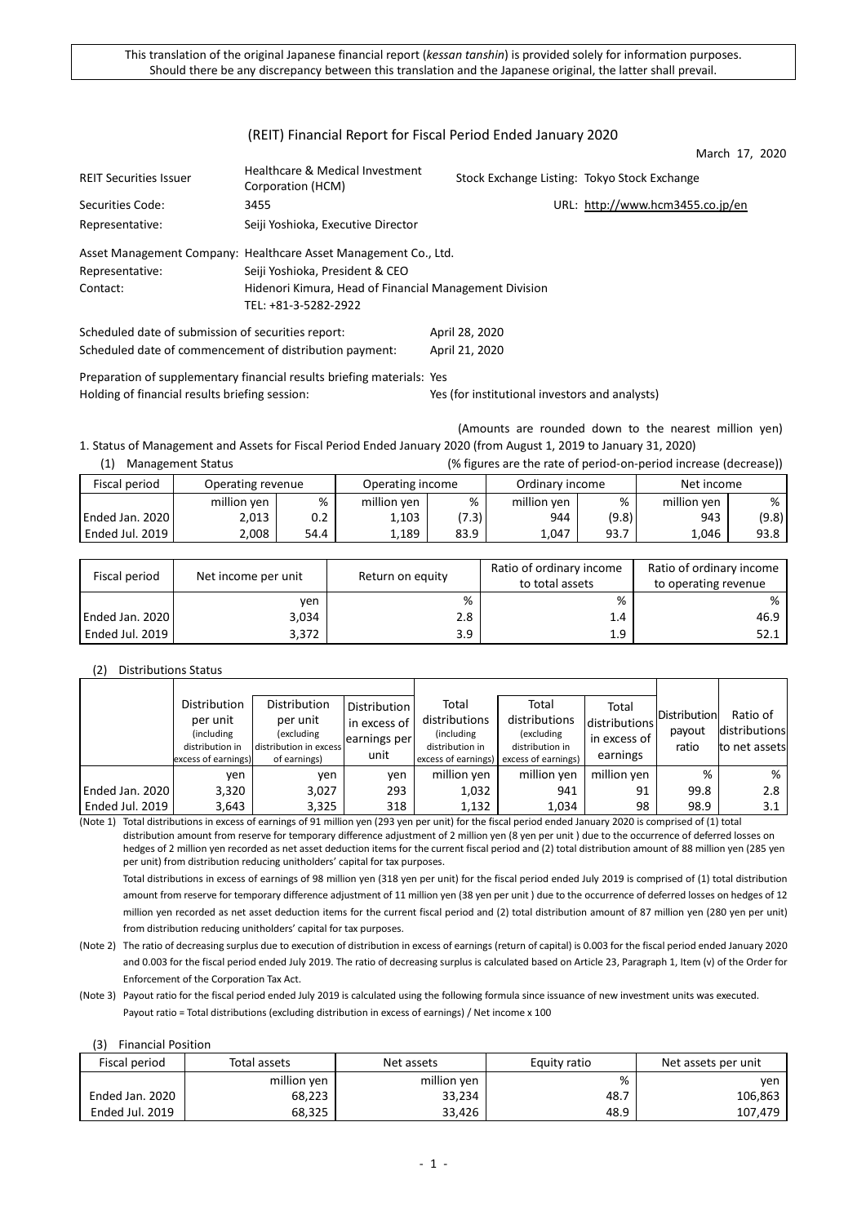### (REIT) Financial Report for Fiscal Period Ended January 2020

March 17, 2020

| <b>REIT Securities Issuer</b>                      | Healthcare & Medical Investment<br>Corporation (HCM)            | Stock Exchange Listing: Tokyo Stock Exchange |                                  |
|----------------------------------------------------|-----------------------------------------------------------------|----------------------------------------------|----------------------------------|
| Securities Code:                                   | 3455                                                            |                                              | URL: http://www.hcm3455.co.jp/en |
| Representative:                                    | Seiji Yoshioka, Executive Director                              |                                              |                                  |
|                                                    | Asset Management Company: Healthcare Asset Management Co., Ltd. |                                              |                                  |
| Representative:                                    | Seiji Yoshioka, President & CEO                                 |                                              |                                  |
| Contact:                                           | Hidenori Kimura, Head of Financial Management Division          |                                              |                                  |
|                                                    | TEL: +81-3-5282-2922                                            |                                              |                                  |
| Scheduled date of submission of securities report: |                                                                 | April 28, 2020                               |                                  |

Scheduled date of commencement of distribution payment: April 21, 2020

Preparation of supplementary financial results briefing materials: Yes Holding of financial results briefing session: Yes (for institutional investors and analysts)

(Amounts are rounded down to the nearest million yen) 1. Status of Management and Assets for Fiscal Period Ended January 2020 (from August 1, 2019 to January 31, 2020)

| (1)                 | <b>Management Status</b> |         |                  |       |                 |       | (% figures are the rate of period-on-period increase (decrease)) |       |
|---------------------|--------------------------|---------|------------------|-------|-----------------|-------|------------------------------------------------------------------|-------|
| Fiscal period       | Operating revenue        |         | Operating income |       | Ordinary income |       | Net income                                                       |       |
|                     | million yen              | %       | million yen      | %     | million yen     | %     | million yen                                                      | %     |
| Ended Jan. 2020     | 2,013                    | $0.2\,$ | 1,103            | (7.3) | 944             | (9.8) | 943                                                              | (9.8) |
| l Ended Jul. 2019 l | 2.008                    | 54.4    | 1.189            | 83.9  | 1.047           | 93.7  | 1.046                                                            | 93.8  |

| Fiscal period   | Net income per unit | Return on equity | Ratio of ordinary income<br>to total assets | Ratio of ordinary income<br>to operating revenue |
|-----------------|---------------------|------------------|---------------------------------------------|--------------------------------------------------|
|                 | ven                 | %                | %                                           | %                                                |
| Ended Jan. 2020 | 3,034               | 2.8              | 1.4                                         | 46.9                                             |
| Ended Jul. 2019 | 3,372               | 3.9              | 1.9                                         | 52.1                                             |

### (2) Distributions Status

|                 | Distribution<br>per unit<br>(including)<br>distribution in<br>excess of earnings) | Distribution<br>per unit<br>(excluding<br>distribution in excess<br>of earnings) | <b>Distribution</b><br>in excess of<br>earnings per<br>unit | Total<br>distributions<br>(including)<br>distribution in<br>excess of earnings) | Total<br>distributions<br>(excluding<br>distribution in<br>excess of earnings) | Total<br>distributions<br>in excess of<br>earnings | <b>Distribution</b><br>payout<br>ratio | Ratio of<br>distributions<br>to net assets |
|-----------------|-----------------------------------------------------------------------------------|----------------------------------------------------------------------------------|-------------------------------------------------------------|---------------------------------------------------------------------------------|--------------------------------------------------------------------------------|----------------------------------------------------|----------------------------------------|--------------------------------------------|
|                 | ven                                                                               | ven                                                                              | ven                                                         | million yen                                                                     | million yen                                                                    | million ven                                        | %                                      | %                                          |
| Ended Jan. 2020 | 3,320                                                                             | 3,027                                                                            | 293                                                         | 1,032                                                                           | 941                                                                            | 91                                                 | 99.8                                   | 2.8                                        |
| Ended Jul. 2019 | 3,643                                                                             | 3,325                                                                            | 318                                                         | 1,132                                                                           | 1,034                                                                          | 98                                                 | 98.9                                   | 3.1                                        |

(Note 1) Total distributions in excess of earnings of 91 million yen (293 yen per unit) for the fiscal period ended January 2020 is comprised of (1) total distribution amount from reserve for temporary difference adjustment of 2 million yen (8 yen per unit ) due to the occurrence of deferred losses on hedges of 2 million yen recorded as net asset deduction items for the current fiscal period and (2) total distribution amount of 88 million yen (285 yen per unit) from distribution reducing unitholders' capital for tax purposes.

Total distributions in excess of earnings of 98 million yen (318 yen per unit) for the fiscal period ended July 2019 is comprised of (1) total distribution amount from reserve for temporary difference adjustment of 11 million yen (38 yen per unit ) due to the occurrence of deferred losses on hedges of 12 million yen recorded as net asset deduction items for the current fiscal period and (2) total distribution amount of 87 million yen (280 yen per unit) from distribution reducing unitholders' capital for tax purposes.

(Note 2) The ratio of decreasing surplus due to execution of distribution in excess of earnings (return of capital) is 0.003 for the fiscal period ended January 2020 and 0.003 for the fiscal period ended July 2019. The ratio of decreasing surplus is calculated based on Article 23, Paragraph 1, Item (v) of the Order for Enforcement of the Corporation Tax Act.

(Note 3) Payout ratio for the fiscal period ended July 2019 is calculated using the following formula since issuance of new investment units was executed. Payout ratio = Total distributions (excluding distribution in excess of earnings) / Net income x 100

### (3) Financial Position

| Fiscal period   | Total assets | Net assets  | Equity ratio | Net assets per unit |  |
|-----------------|--------------|-------------|--------------|---------------------|--|
|                 | million yen  | million yen | %            | ven                 |  |
| Ended Jan. 2020 | 68,223       | 33,234      | 48.7         | 106,863             |  |
| Ended Jul. 2019 | 68.325       | 33.426      | 48.9         | 107.479             |  |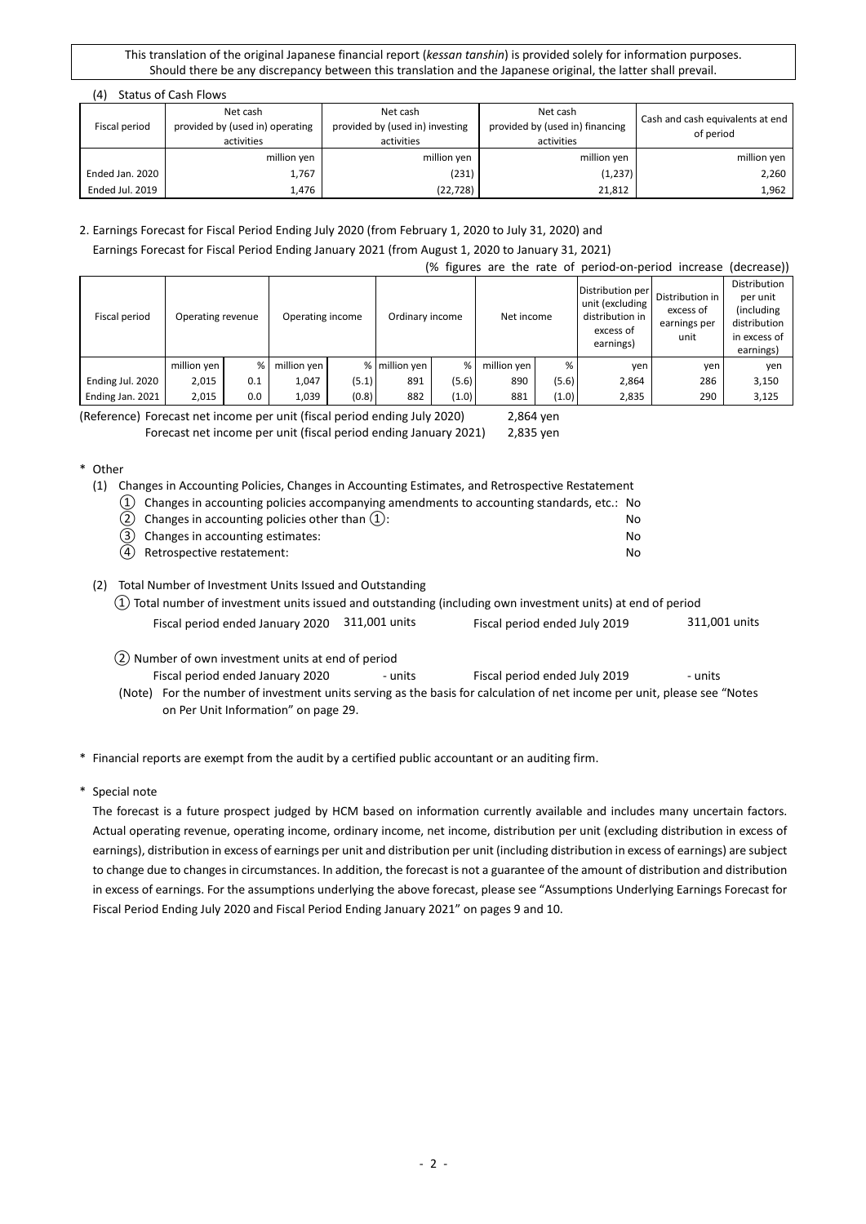|               | (4)             | <b>Status of Cash Flows</b>                                                                                            |             |                                                           |                                               |  |  |  |  |  |  |
|---------------|-----------------|------------------------------------------------------------------------------------------------------------------------|-------------|-----------------------------------------------------------|-----------------------------------------------|--|--|--|--|--|--|
| Fiscal period |                 | Net cash<br>Net cash<br>provided by (used in) investing<br>provided by (used in) operating<br>activities<br>activities |             | Net cash<br>provided by (used in) financing<br>activities | Cash and cash equivalents at end<br>of period |  |  |  |  |  |  |
|               |                 | million yen                                                                                                            | million yen | million yen                                               | million yen                                   |  |  |  |  |  |  |
|               | Ended Jan. 2020 | 1,767                                                                                                                  | (231)       | (1, 237)                                                  | 2,260                                         |  |  |  |  |  |  |
|               | Ended Jul. 2019 | 1,476                                                                                                                  | (22,728)    | 21,812                                                    | 1,962                                         |  |  |  |  |  |  |

### 2. Earnings Forecast for Fiscal Period Ending July 2020 (from February 1, 2020 to July 31, 2020) and Earnings Forecast for Fiscal Period Ending January 2021 (from August 1, 2020 to January 31, 2021)

(% figures are the rate of period-on-period increase (decrease))

|                  |                   |     |                  |       |                 |       |             |       | is in the case of the contract of the contract of the case.                      |                                                      | 19221292211                                                                          |
|------------------|-------------------|-----|------------------|-------|-----------------|-------|-------------|-------|----------------------------------------------------------------------------------|------------------------------------------------------|--------------------------------------------------------------------------------------|
| Fiscal period    | Operating revenue |     | Operating income |       | Ordinary income |       | Net income  |       | Distribution per<br>unit (excluding<br>distribution in<br>excess of<br>earnings) | Distribution in<br>excess of<br>earnings per<br>unit | Distribution<br>per unit<br>(including)<br>distribution<br>in excess of<br>earnings) |
|                  | million yen       | %   | million ven      |       | % million ven   | %     | million yen | %     | ven                                                                              | yen                                                  | yen                                                                                  |
| Ending Jul. 2020 | 2,015             | 0.1 | 1.047            | (5.1) | 891             | (5.6) | 890         | (5.6) | 2,864                                                                            | 286                                                  | 3,150                                                                                |
| Ending Jan. 2021 | 2,015             | 0.0 | 1,039            | (0.8) | 882             | (1.0) | 881         | (1.0) | 2,835                                                                            | 290                                                  | 3,125                                                                                |

(Reference) Forecast net income per unit (fiscal period ending July 2020) 2,864 yen

Forecast net income per unit (fiscal period ending January 2021) 2,835 yen

### \* Other

(1) Changes in Accounting Policies, Changes in Accounting Estimates, and Retrospective Restatement

| $(1)$ Changes in accounting policies accompanying amendments to accounting standards, etc.: No |    |
|------------------------------------------------------------------------------------------------|----|
| $(2)$ Changes in accounting policies other than $(1)$ :                                        | N٥ |
| (3) Changes in accounting estimates:                                                           | N٥ |
| (4) Retrospective restatement:                                                                 | N٥ |

(2) Total Number of Investment Units Issued and Outstanding

| $(1)$ Total number of investment units issued and outstanding (including own investment units) at end of period |  |                               |               |  |  |  |  |
|-----------------------------------------------------------------------------------------------------------------|--|-------------------------------|---------------|--|--|--|--|
| Fiscal period ended January 2020 311,001 units                                                                  |  | Fiscal period ended July 2019 | 311,001 units |  |  |  |  |

② Number of own investment units at end of period

Fiscal period ended January 2020 - units Fiscal period ended July 2019 - units

(Note) For the number of investment units serving as the basis for calculation of net income per unit, please see "Notes on Per Unit Information" on page 29.

\* Financial reports are exempt from the audit by a certified public accountant or an auditing firm.

\* Special note

The forecast is a future prospect judged by HCM based on information currently available and includes many uncertain factors. Actual operating revenue, operating income, ordinary income, net income, distribution per unit (excluding distribution in excess of earnings), distribution in excess of earnings per unit and distribution per unit (including distribution in excess of earnings) are subject to change due to changes in circumstances. In addition, the forecast is not a guarantee of the amount of distribution and distribution in excess of earnings. For the assumptions underlying the above forecast, please see "Assumptions Underlying Earnings Forecast for Fiscal Period Ending July 2020 and Fiscal Period Ending January 2021" on pages 9 and 10.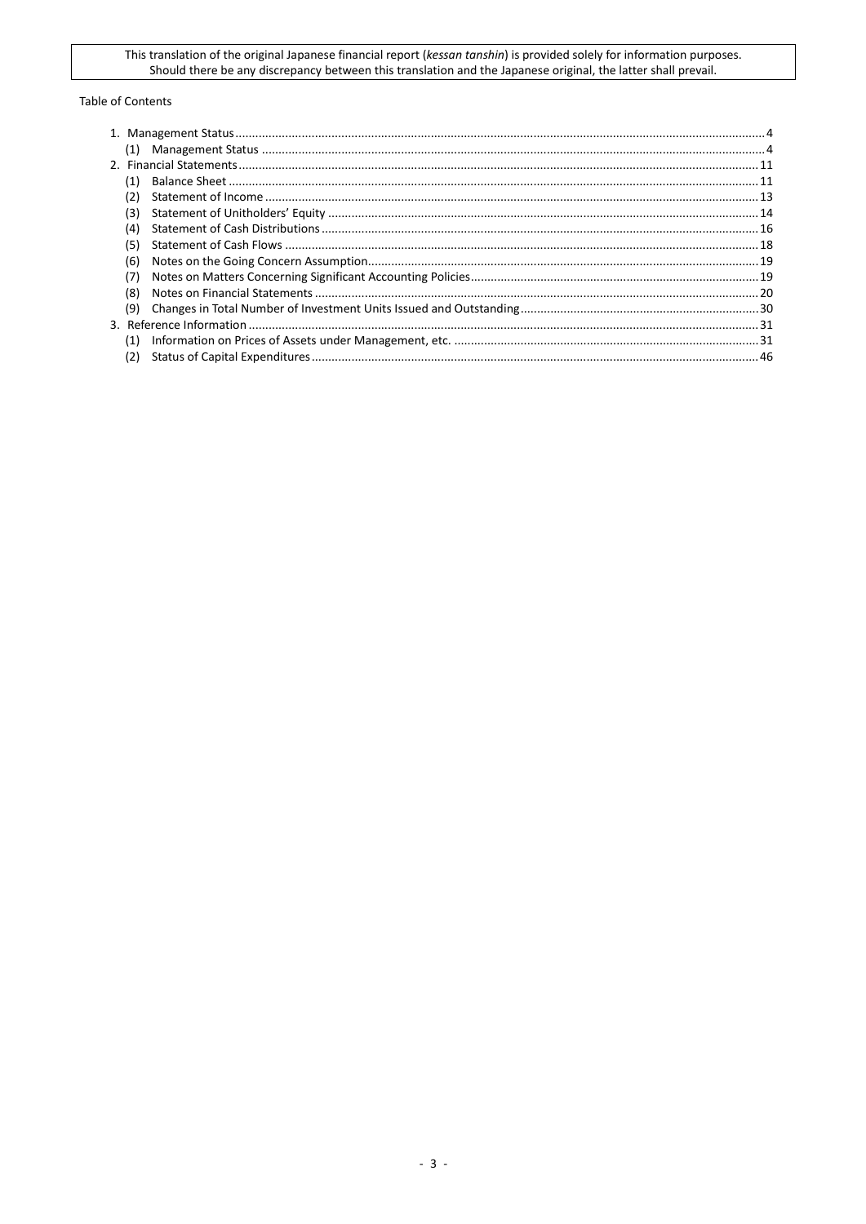#### Table of Contents

| (1) |  |
|-----|--|
|     |  |
| (1) |  |
| (2) |  |
| (3) |  |
| (4) |  |
| (5) |  |
| (6) |  |
| (7) |  |
| (8) |  |
| (9) |  |
|     |  |
| (1) |  |
| (2) |  |
|     |  |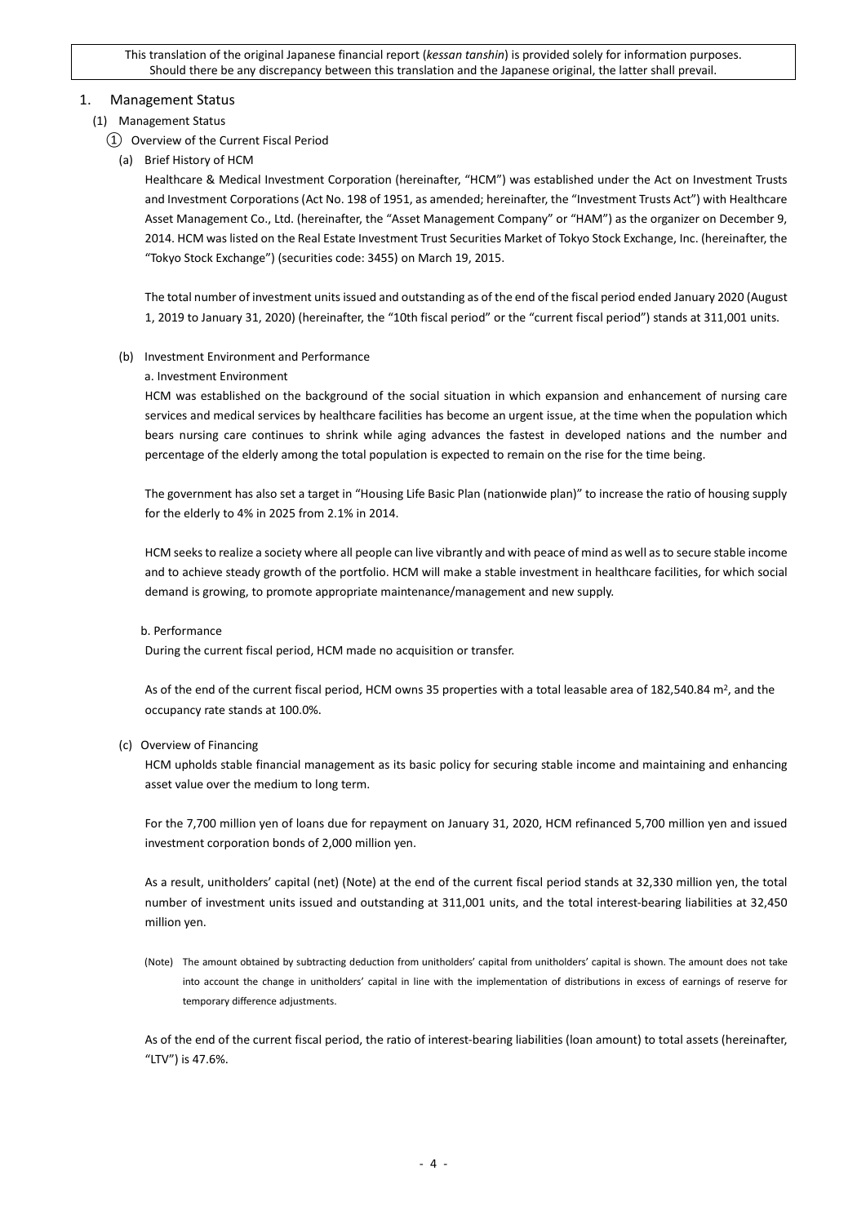### <span id="page-3-0"></span>1. Management Status

### <span id="page-3-1"></span>(1) Management Status

- ① Overview of the Current Fiscal Period
	- (a) Brief History of HCM

Healthcare & Medical Investment Corporation (hereinafter, "HCM") was established under the Act on Investment Trusts and Investment Corporations (Act No. 198 of 1951, as amended; hereinafter, the "Investment Trusts Act") with Healthcare Asset Management Co., Ltd. (hereinafter, the "Asset Management Company" or "HAM") as the organizer on December 9, 2014. HCM was listed on the Real Estate Investment Trust Securities Market of Tokyo Stock Exchange, Inc. (hereinafter, the "Tokyo Stock Exchange") (securities code: 3455) on March 19, 2015.

The total number of investment units issued and outstanding as of the end of the fiscal period ended January 2020 (August 1, 2019 to January 31, 2020) (hereinafter, the "10th fiscal period" or the "current fiscal period") stands at 311,001 units.

(b) Investment Environment and Performance

### a. Investment Environment

HCM was established on the background of the social situation in which expansion and enhancement of nursing care services and medical services by healthcare facilities has become an urgent issue, at the time when the population which bears nursing care continues to shrink while aging advances the fastest in developed nations and the number and percentage of the elderly among the total population is expected to remain on the rise for the time being.

The government has also set a target in "Housing Life Basic Plan (nationwide plan)" to increase the ratio of housing supply for the elderly to 4% in 2025 from 2.1% in 2014.

HCM seeks to realize a society where all people can live vibrantly and with peace of mind as well as to secure stable income and to achieve steady growth of the portfolio. HCM will make a stable investment in healthcare facilities, for which social demand is growing, to promote appropriate maintenance/management and new supply.

#### b. Performance

During the current fiscal period, HCM made no acquisition or transfer.

As of the end of the current fiscal period, HCM owns 35 properties with a total leasable area of 182,540.84 m<sup>2</sup>, and the occupancy rate stands at 100.0%.

#### (c) Overview of Financing

HCM upholds stable financial management as its basic policy for securing stable income and maintaining and enhancing asset value over the medium to long term.

For the 7,700 million yen of loans due for repayment on January 31, 2020, HCM refinanced 5,700 million yen and issued investment corporation bonds of 2,000 million yen.

As a result, unitholders' capital (net) (Note) at the end of the current fiscal period stands at 32,330 million yen, the total number of investment units issued and outstanding at 311,001 units, and the total interest-bearing liabilities at 32,450 million yen.

(Note) The amount obtained by subtracting deduction from unitholders' capital from unitholders' capital is shown. The amount does not take into account the change in unitholders' capital in line with the implementation of distributions in excess of earnings of reserve for temporary difference adjustments.

As of the end of the current fiscal period, the ratio of interest-bearing liabilities (loan amount) to total assets (hereinafter, "LTV") is 47.6%.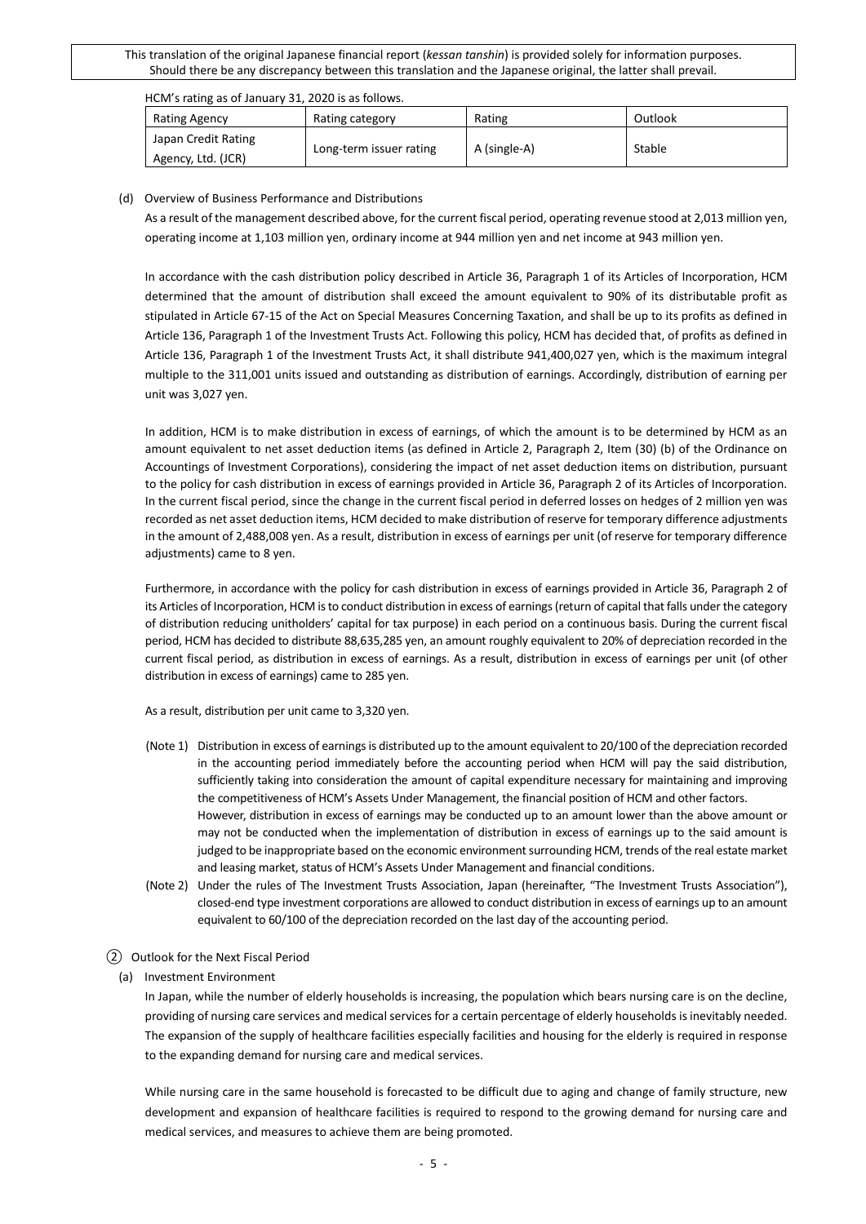| HCM's rating as of January 31, 2020 is as follows. |  |
|----------------------------------------------------|--|
|----------------------------------------------------|--|

| Rating Agency                             | Rating category         | Rating       | Outlook |  |
|-------------------------------------------|-------------------------|--------------|---------|--|
| Japan Credit Rating<br>Agency, Ltd. (JCR) | Long-term issuer rating | A (single-A) | Stable  |  |

#### (d) Overview of Business Performance and Distributions

As a result of the management described above, for the current fiscal period, operating revenue stood at 2,013 million yen, operating income at 1,103 million yen, ordinary income at 944 million yen and net income at 943 million yen.

In accordance with the cash distribution policy described in Article 36, Paragraph 1 of its Articles of Incorporation, HCM determined that the amount of distribution shall exceed the amount equivalent to 90% of its distributable profit as stipulated in Article 67-15 of the Act on Special Measures Concerning Taxation, and shall be up to its profits as defined in Article 136, Paragraph 1 of the Investment Trusts Act. Following this policy, HCM has decided that, of profits as defined in Article 136, Paragraph 1 of the Investment Trusts Act, it shall distribute 941,400,027 yen, which is the maximum integral multiple to the 311,001 units issued and outstanding as distribution of earnings. Accordingly, distribution of earning per unit was 3,027 yen.

In addition, HCM is to make distribution in excess of earnings, of which the amount is to be determined by HCM as an amount equivalent to net asset deduction items (as defined in Article 2, Paragraph 2, Item (30) (b) of the Ordinance on Accountings of Investment Corporations), considering the impact of net asset deduction items on distribution, pursuant to the policy for cash distribution in excess of earnings provided in Article 36, Paragraph 2 of its Articles of Incorporation. In the current fiscal period, since the change in the current fiscal period in deferred losses on hedges of 2 million yen was recorded as net asset deduction items, HCM decided to make distribution of reserve for temporary difference adjustments in the amount of 2,488,008 yen. As a result, distribution in excess of earnings per unit (of reserve for temporary difference adjustments) came to 8 yen.

Furthermore, in accordance with the policy for cash distribution in excess of earnings provided in Article 36, Paragraph 2 of its Articles of Incorporation, HCM is to conduct distribution in excess of earnings (return of capital that falls under the category of distribution reducing unitholders' capital for tax purpose) in each period on a continuous basis. During the current fiscal period, HCM has decided to distribute 88,635,285 yen, an amount roughly equivalent to 20% of depreciation recorded in the current fiscal period, as distribution in excess of earnings. As a result, distribution in excess of earnings per unit (of other distribution in excess of earnings) came to 285 yen.

As a result, distribution per unit came to 3,320 yen.

- (Note 1) Distribution in excess of earnings is distributed up to the amount equivalent to 20/100 of the depreciation recorded in the accounting period immediately before the accounting period when HCM will pay the said distribution, sufficiently taking into consideration the amount of capital expenditure necessary for maintaining and improving the competitiveness of HCM's Assets Under Management, the financial position of HCM and other factors. However, distribution in excess of earnings may be conducted up to an amount lower than the above amount or may not be conducted when the implementation of distribution in excess of earnings up to the said amount is judged to be inappropriate based on the economic environment surrounding HCM, trends of the real estate market and leasing market, status of HCM's Assets Under Management and financial conditions.
- (Note 2) Under the rules of The Investment Trusts Association, Japan (hereinafter, "The Investment Trusts Association"), closed-end type investment corporations are allowed to conduct distribution in excess of earnings up to an amount equivalent to 60/100 of the depreciation recorded on the last day of the accounting period.

#### ② Outlook for the Next Fiscal Period

#### (a) Investment Environment

In Japan, while the number of elderly households is increasing, the population which bears nursing care is on the decline, providing of nursing care services and medical services for a certain percentage of elderly households is inevitably needed. The expansion of the supply of healthcare facilities especially facilities and housing for the elderly is required in response to the expanding demand for nursing care and medical services.

While nursing care in the same household is forecasted to be difficult due to aging and change of family structure, new development and expansion of healthcare facilities is required to respond to the growing demand for nursing care and medical services, and measures to achieve them are being promoted.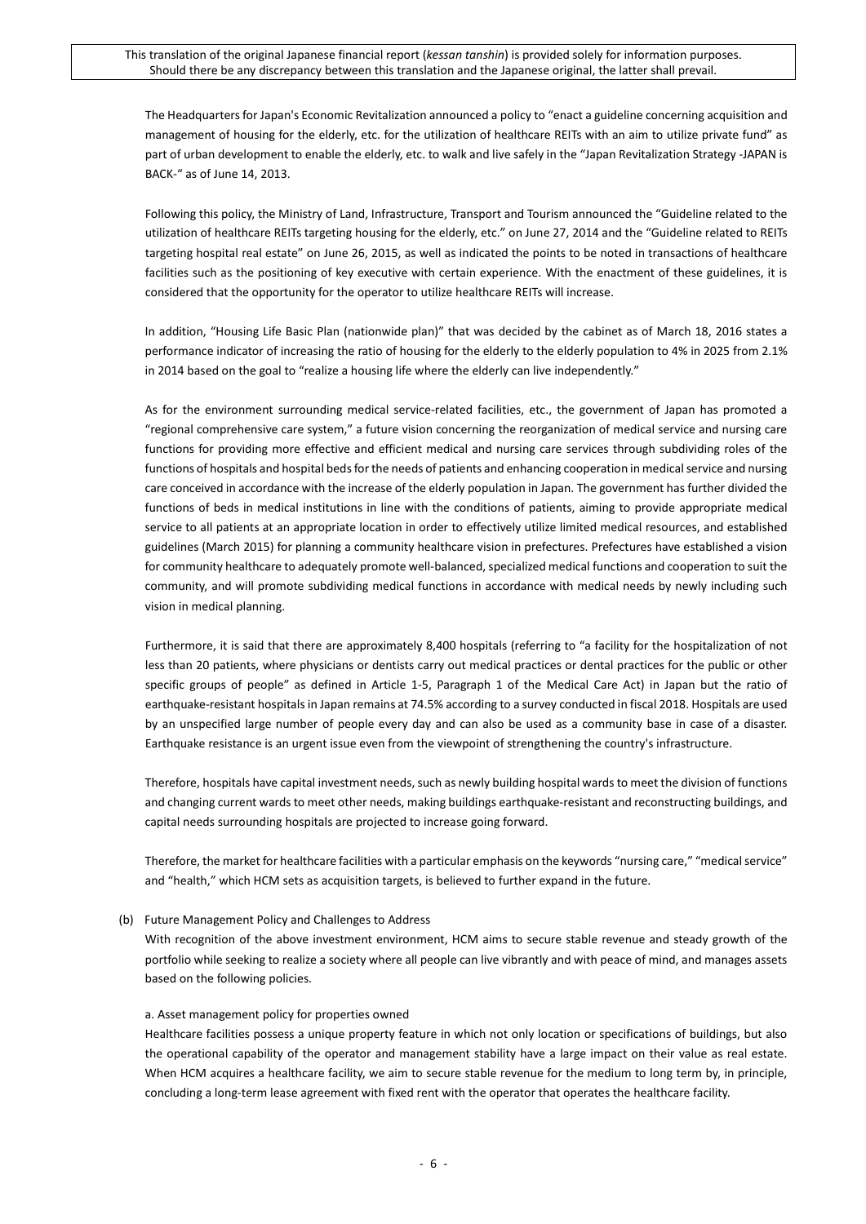The Headquarters for Japan's Economic Revitalization announced a policy to "enact a guideline concerning acquisition and management of housing for the elderly, etc. for the utilization of healthcare REITs with an aim to utilize private fund" as part of urban development to enable the elderly, etc. to walk and live safely in the "Japan Revitalization Strategy -JAPAN is BACK-" as of June 14, 2013.

Following this policy, the Ministry of Land, Infrastructure, Transport and Tourism announced the "Guideline related to the utilization of healthcare REITs targeting housing for the elderly, etc." on June 27, 2014 and the "Guideline related to REITs targeting hospital real estate" on June 26, 2015, as well as indicated the points to be noted in transactions of healthcare facilities such as the positioning of key executive with certain experience. With the enactment of these guidelines, it is considered that the opportunity for the operator to utilize healthcare REITs will increase.

In addition, "Housing Life Basic Plan (nationwide plan)" that was decided by the cabinet as of March 18, 2016 states a performance indicator of increasing the ratio of housing for the elderly to the elderly population to 4% in 2025 from 2.1% in 2014 based on the goal to "realize a housing life where the elderly can live independently."

As for the environment surrounding medical service-related facilities, etc., the government of Japan has promoted a "regional comprehensive care system," a future vision concerning the reorganization of medical service and nursing care functions for providing more effective and efficient medical and nursing care services through subdividing roles of the functions of hospitals and hospital beds for the needs of patients and enhancing cooperation in medical service and nursing care conceived in accordance with the increase of the elderly population in Japan. The government has further divided the functions of beds in medical institutions in line with the conditions of patients, aiming to provide appropriate medical service to all patients at an appropriate location in order to effectively utilize limited medical resources, and established guidelines (March 2015) for planning a community healthcare vision in prefectures. Prefectures have established a vision for community healthcare to adequately promote well-balanced, specialized medical functions and cooperation to suit the community, and will promote subdividing medical functions in accordance with medical needs by newly including such vision in medical planning.

Furthermore, it is said that there are approximately 8,400 hospitals (referring to "a facility for the hospitalization of not less than 20 patients, where physicians or dentists carry out medical practices or dental practices for the public or other specific groups of people" as defined in Article 1-5, Paragraph 1 of the Medical Care Act) in Japan but the ratio of earthquake-resistant hospitals in Japan remains at 74.5% according to a survey conducted in fiscal 2018. Hospitals are used by an unspecified large number of people every day and can also be used as a community base in case of a disaster. Earthquake resistance is an urgent issue even from the viewpoint of strengthening the country's infrastructure.

Therefore, hospitals have capital investment needs, such as newly building hospital wards to meet the division of functions and changing current wards to meet other needs, making buildings earthquake-resistant and reconstructing buildings, and capital needs surrounding hospitals are projected to increase going forward.

Therefore, the market for healthcare facilities with a particular emphasis on the keywords "nursing care," "medical service" and "health," which HCM sets as acquisition targets, is believed to further expand in the future.

### (b) Future Management Policy and Challenges to Address

With recognition of the above investment environment, HCM aims to secure stable revenue and steady growth of the portfolio while seeking to realize a society where all people can live vibrantly and with peace of mind, and manages assets based on the following policies.

#### a. Asset management policy for properties owned

Healthcare facilities possess a unique property feature in which not only location or specifications of buildings, but also the operational capability of the operator and management stability have a large impact on their value as real estate. When HCM acquires a healthcare facility, we aim to secure stable revenue for the medium to long term by, in principle, concluding a long-term lease agreement with fixed rent with the operator that operates the healthcare facility.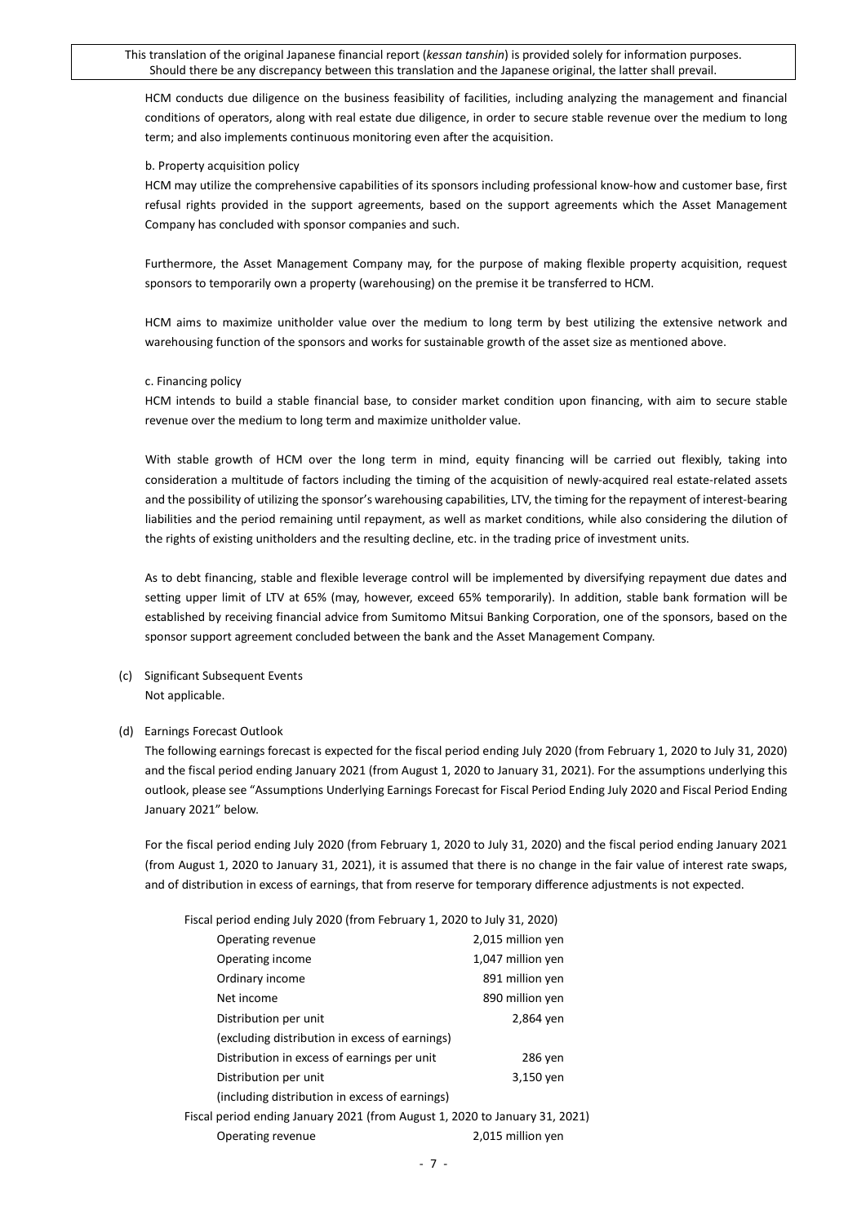HCM conducts due diligence on the business feasibility of facilities, including analyzing the management and financial conditions of operators, along with real estate due diligence, in order to secure stable revenue over the medium to long term; and also implements continuous monitoring even after the acquisition.

#### b. Property acquisition policy

HCM may utilize the comprehensive capabilities of its sponsors including professional know-how and customer base, first refusal rights provided in the support agreements, based on the support agreements which the Asset Management Company has concluded with sponsor companies and such.

Furthermore, the Asset Management Company may, for the purpose of making flexible property acquisition, request sponsors to temporarily own a property (warehousing) on the premise it be transferred to HCM.

HCM aims to maximize unitholder value over the medium to long term by best utilizing the extensive network and warehousing function of the sponsors and works for sustainable growth of the asset size as mentioned above.

#### c. Financing policy

HCM intends to build a stable financial base, to consider market condition upon financing, with aim to secure stable revenue over the medium to long term and maximize unitholder value.

With stable growth of HCM over the long term in mind, equity financing will be carried out flexibly, taking into consideration a multitude of factors including the timing of the acquisition of newly-acquired real estate-related assets and the possibility of utilizing the sponsor's warehousing capabilities, LTV, the timing for the repayment of interest-bearing liabilities and the period remaining until repayment, as well as market conditions, while also considering the dilution of the rights of existing unitholders and the resulting decline, etc. in the trading price of investment units.

As to debt financing, stable and flexible leverage control will be implemented by diversifying repayment due dates and setting upper limit of LTV at 65% (may, however, exceed 65% temporarily). In addition, stable bank formation will be established by receiving financial advice from Sumitomo Mitsui Banking Corporation, one of the sponsors, based on the sponsor support agreement concluded between the bank and the Asset Management Company.

(c) Significant Subsequent Events Not applicable.

#### (d) Earnings Forecast Outlook

The following earnings forecast is expected for the fiscal period ending July 2020 (from February 1, 2020 to July 31, 2020) and the fiscal period ending January 2021 (from August 1, 2020 to January 31, 2021). For the assumptions underlying this outlook, please see "Assumptions Underlying Earnings Forecast for Fiscal Period Ending July 2020 and Fiscal Period Ending January 2021" below.

For the fiscal period ending July 2020 (from February 1, 2020 to July 31, 2020) and the fiscal period ending January 2021 (from August 1, 2020 to January 31, 2021), it is assumed that there is no change in the fair value of interest rate swaps, and of distribution in excess of earnings, that from reserve for temporary difference adjustments is not expected.

| Fiscal period ending July 2020 (from February 1, 2020 to July 31, 2020)     |                   |
|-----------------------------------------------------------------------------|-------------------|
| Operating revenue                                                           | 2,015 million yen |
| Operating income                                                            | 1,047 million yen |
| Ordinary income                                                             | 891 million yen   |
| Net income                                                                  | 890 million yen   |
| Distribution per unit                                                       | 2,864 yen         |
| (excluding distribution in excess of earnings)                              |                   |
| Distribution in excess of earnings per unit                                 | 286 yen           |
| Distribution per unit                                                       | 3,150 yen         |
| (including distribution in excess of earnings)                              |                   |
| Fiscal period ending January 2021 (from August 1, 2020 to January 31, 2021) |                   |
| Operating revenue                                                           | 2,015 million yen |
|                                                                             |                   |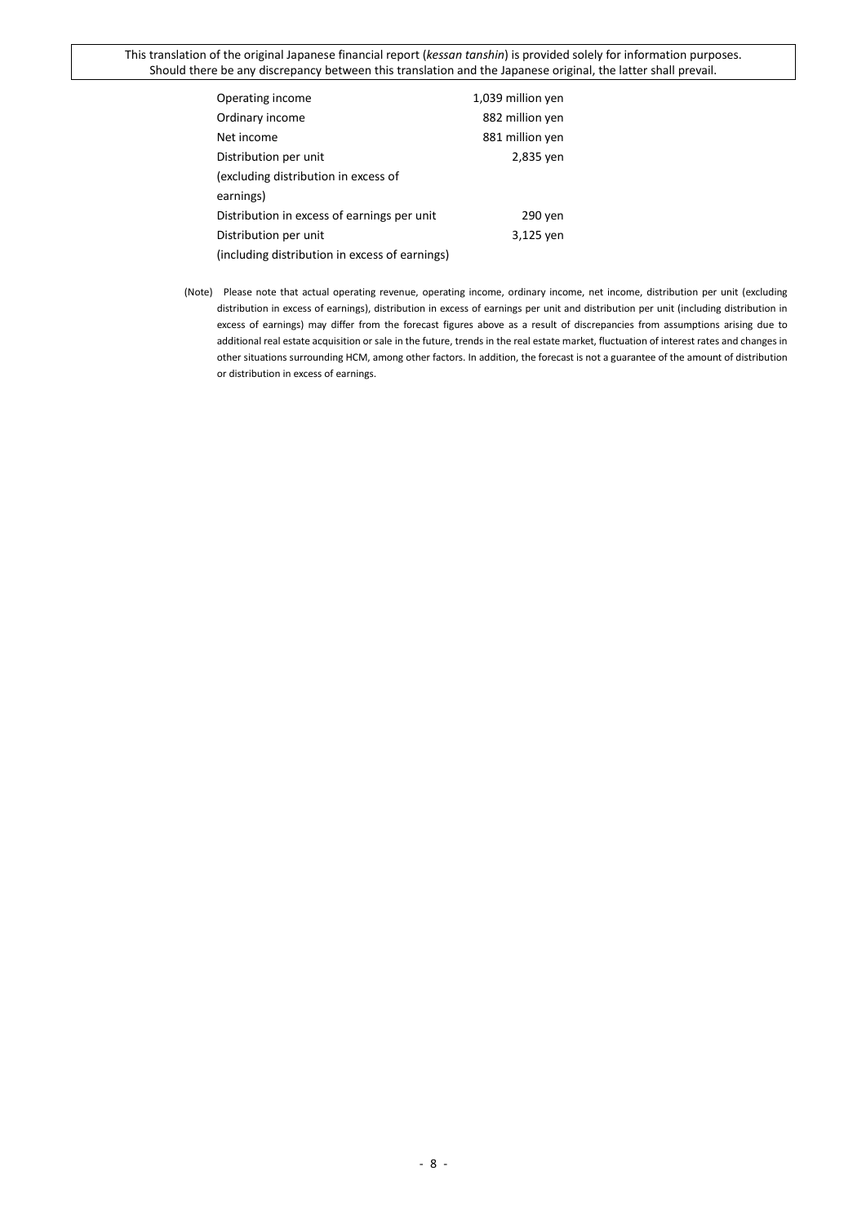| Operating income                               | 1,039 million yen |
|------------------------------------------------|-------------------|
| Ordinary income                                | 882 million yen   |
| Net income                                     | 881 million yen   |
| Distribution per unit                          | 2,835 yen         |
| (excluding distribution in excess of           |                   |
| earnings)                                      |                   |
| Distribution in excess of earnings per unit    | 290 yen           |
| Distribution per unit                          | 3,125 yen         |
| (including distribution in excess of earnings) |                   |

(Note) Please note that actual operating revenue, operating income, ordinary income, net income, distribution per unit (excluding distribution in excess of earnings), distribution in excess of earnings per unit and distribution per unit (including distribution in excess of earnings) may differ from the forecast figures above as a result of discrepancies from assumptions arising due to additional real estate acquisition or sale in the future, trends in the real estate market, fluctuation of interest rates and changes in other situations surrounding HCM, among other factors. In addition, the forecast is not a guarantee of the amount of distribution or distribution in excess of earnings.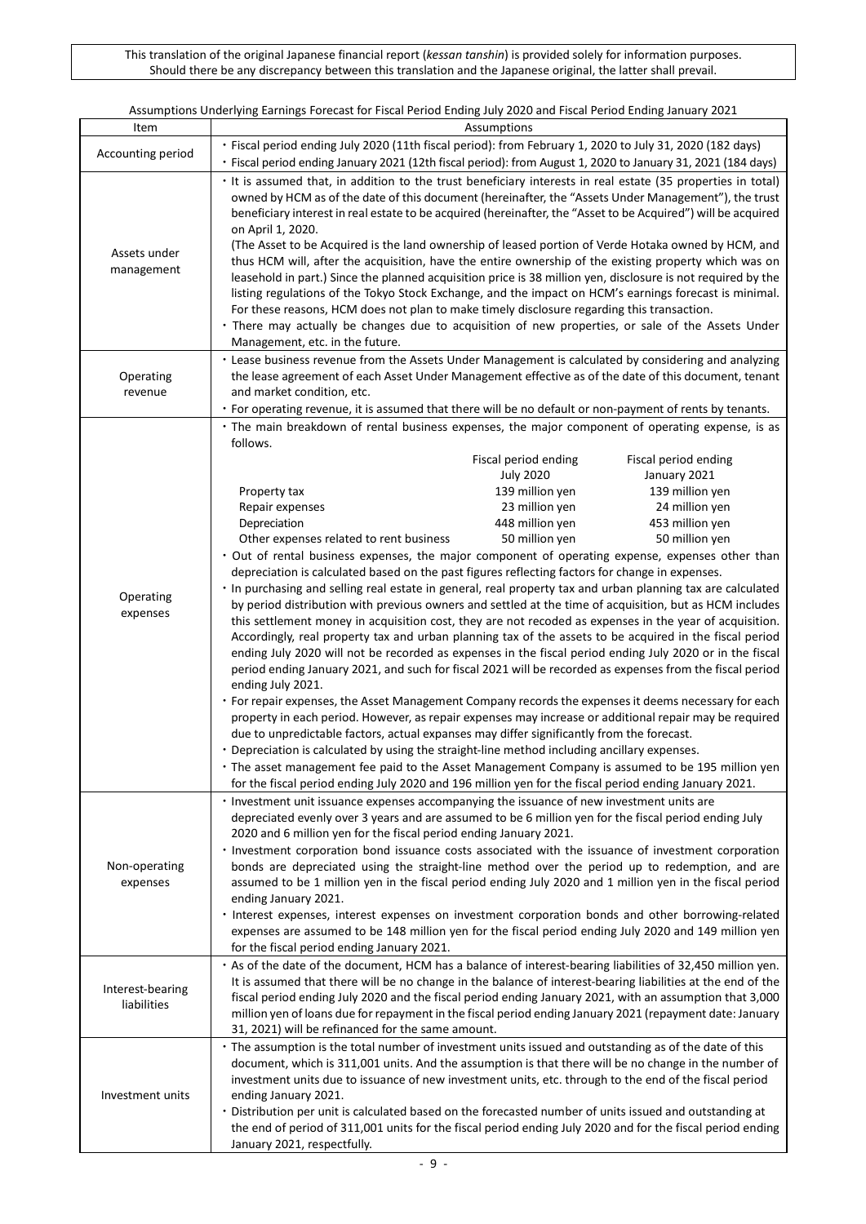|                            | Assumptions Underlying Earnings Forecast for Fiscal Period Ending July 2020 and Fiscal Period Ending January 2021                                                                                                                                                                                                                                                                                                                                                                                                                                                                                                                                                                                                                                                                                                                                                                                                                                                                                                                          |  |  |  |  |
|----------------------------|--------------------------------------------------------------------------------------------------------------------------------------------------------------------------------------------------------------------------------------------------------------------------------------------------------------------------------------------------------------------------------------------------------------------------------------------------------------------------------------------------------------------------------------------------------------------------------------------------------------------------------------------------------------------------------------------------------------------------------------------------------------------------------------------------------------------------------------------------------------------------------------------------------------------------------------------------------------------------------------------------------------------------------------------|--|--|--|--|
| Item                       | Assumptions                                                                                                                                                                                                                                                                                                                                                                                                                                                                                                                                                                                                                                                                                                                                                                                                                                                                                                                                                                                                                                |  |  |  |  |
| Accounting period          | · Fiscal period ending July 2020 (11th fiscal period): from February 1, 2020 to July 31, 2020 (182 days)                                                                                                                                                                                                                                                                                                                                                                                                                                                                                                                                                                                                                                                                                                                                                                                                                                                                                                                                   |  |  |  |  |
|                            | · Fiscal period ending January 2021 (12th fiscal period): from August 1, 2020 to January 31, 2021 (184 days)                                                                                                                                                                                                                                                                                                                                                                                                                                                                                                                                                                                                                                                                                                                                                                                                                                                                                                                               |  |  |  |  |
| Assets under<br>management | · It is assumed that, in addition to the trust beneficiary interests in real estate (35 properties in total)<br>owned by HCM as of the date of this document (hereinafter, the "Assets Under Management"), the trust<br>beneficiary interest in real estate to be acquired (hereinafter, the "Asset to be Acquired") will be acquired<br>on April 1, 2020.<br>(The Asset to be Acquired is the land ownership of leased portion of Verde Hotaka owned by HCM, and<br>thus HCM will, after the acquisition, have the entire ownership of the existing property which was on<br>leasehold in part.) Since the planned acquisition price is 38 million yen, disclosure is not required by the<br>listing regulations of the Tokyo Stock Exchange, and the impact on HCM's earnings forecast is minimal.<br>For these reasons, HCM does not plan to make timely disclosure regarding this transaction.<br>• There may actually be changes due to acquisition of new properties, or sale of the Assets Under<br>Management, etc. in the future. |  |  |  |  |
|                            | • Lease business revenue from the Assets Under Management is calculated by considering and analyzing                                                                                                                                                                                                                                                                                                                                                                                                                                                                                                                                                                                                                                                                                                                                                                                                                                                                                                                                       |  |  |  |  |
| Operating                  | the lease agreement of each Asset Under Management effective as of the date of this document, tenant                                                                                                                                                                                                                                                                                                                                                                                                                                                                                                                                                                                                                                                                                                                                                                                                                                                                                                                                       |  |  |  |  |
| revenue                    | and market condition, etc.                                                                                                                                                                                                                                                                                                                                                                                                                                                                                                                                                                                                                                                                                                                                                                                                                                                                                                                                                                                                                 |  |  |  |  |
|                            | • For operating revenue, it is assumed that there will be no default or non-payment of rents by tenants.                                                                                                                                                                                                                                                                                                                                                                                                                                                                                                                                                                                                                                                                                                                                                                                                                                                                                                                                   |  |  |  |  |
|                            | · The main breakdown of rental business expenses, the major component of operating expense, is as                                                                                                                                                                                                                                                                                                                                                                                                                                                                                                                                                                                                                                                                                                                                                                                                                                                                                                                                          |  |  |  |  |
|                            | follows.                                                                                                                                                                                                                                                                                                                                                                                                                                                                                                                                                                                                                                                                                                                                                                                                                                                                                                                                                                                                                                   |  |  |  |  |
|                            | Fiscal period ending<br>Fiscal period ending<br><b>July 2020</b><br>January 2021                                                                                                                                                                                                                                                                                                                                                                                                                                                                                                                                                                                                                                                                                                                                                                                                                                                                                                                                                           |  |  |  |  |
|                            | 139 million yen<br>139 million yen<br>Property tax                                                                                                                                                                                                                                                                                                                                                                                                                                                                                                                                                                                                                                                                                                                                                                                                                                                                                                                                                                                         |  |  |  |  |
|                            | 23 million yen<br>Repair expenses<br>24 million yen                                                                                                                                                                                                                                                                                                                                                                                                                                                                                                                                                                                                                                                                                                                                                                                                                                                                                                                                                                                        |  |  |  |  |
|                            | 448 million yen<br>453 million yen<br>Depreciation                                                                                                                                                                                                                                                                                                                                                                                                                                                                                                                                                                                                                                                                                                                                                                                                                                                                                                                                                                                         |  |  |  |  |
|                            | Other expenses related to rent business<br>50 million yen<br>50 million yen                                                                                                                                                                                                                                                                                                                                                                                                                                                                                                                                                                                                                                                                                                                                                                                                                                                                                                                                                                |  |  |  |  |
|                            | · Out of rental business expenses, the major component of operating expense, expenses other than                                                                                                                                                                                                                                                                                                                                                                                                                                                                                                                                                                                                                                                                                                                                                                                                                                                                                                                                           |  |  |  |  |
|                            | depreciation is calculated based on the past figures reflecting factors for change in expenses.                                                                                                                                                                                                                                                                                                                                                                                                                                                                                                                                                                                                                                                                                                                                                                                                                                                                                                                                            |  |  |  |  |
| Operating                  | · In purchasing and selling real estate in general, real property tax and urban planning tax are calculated                                                                                                                                                                                                                                                                                                                                                                                                                                                                                                                                                                                                                                                                                                                                                                                                                                                                                                                                |  |  |  |  |
| expenses                   | by period distribution with previous owners and settled at the time of acquisition, but as HCM includes                                                                                                                                                                                                                                                                                                                                                                                                                                                                                                                                                                                                                                                                                                                                                                                                                                                                                                                                    |  |  |  |  |
|                            | this settlement money in acquisition cost, they are not recoded as expenses in the year of acquisition.                                                                                                                                                                                                                                                                                                                                                                                                                                                                                                                                                                                                                                                                                                                                                                                                                                                                                                                                    |  |  |  |  |
|                            | Accordingly, real property tax and urban planning tax of the assets to be acquired in the fiscal period                                                                                                                                                                                                                                                                                                                                                                                                                                                                                                                                                                                                                                                                                                                                                                                                                                                                                                                                    |  |  |  |  |
|                            | ending July 2020 will not be recorded as expenses in the fiscal period ending July 2020 or in the fiscal                                                                                                                                                                                                                                                                                                                                                                                                                                                                                                                                                                                                                                                                                                                                                                                                                                                                                                                                   |  |  |  |  |
|                            | period ending January 2021, and such for fiscal 2021 will be recorded as expenses from the fiscal period                                                                                                                                                                                                                                                                                                                                                                                                                                                                                                                                                                                                                                                                                                                                                                                                                                                                                                                                   |  |  |  |  |
|                            | ending July 2021.                                                                                                                                                                                                                                                                                                                                                                                                                                                                                                                                                                                                                                                                                                                                                                                                                                                                                                                                                                                                                          |  |  |  |  |
|                            | • For repair expenses, the Asset Management Company records the expenses it deems necessary for each                                                                                                                                                                                                                                                                                                                                                                                                                                                                                                                                                                                                                                                                                                                                                                                                                                                                                                                                       |  |  |  |  |
|                            | property in each period. However, as repair expenses may increase or additional repair may be required                                                                                                                                                                                                                                                                                                                                                                                                                                                                                                                                                                                                                                                                                                                                                                                                                                                                                                                                     |  |  |  |  |
|                            | due to unpredictable factors, actual expanses may differ significantly from the forecast.                                                                                                                                                                                                                                                                                                                                                                                                                                                                                                                                                                                                                                                                                                                                                                                                                                                                                                                                                  |  |  |  |  |
|                            | • Depreciation is calculated by using the straight-line method including ancillary expenses.                                                                                                                                                                                                                                                                                                                                                                                                                                                                                                                                                                                                                                                                                                                                                                                                                                                                                                                                               |  |  |  |  |
|                            | • The asset management fee paid to the Asset Management Company is assumed to be 195 million yen                                                                                                                                                                                                                                                                                                                                                                                                                                                                                                                                                                                                                                                                                                                                                                                                                                                                                                                                           |  |  |  |  |
|                            | for the fiscal period ending July 2020 and 196 million yen for the fiscal period ending January 2021.                                                                                                                                                                                                                                                                                                                                                                                                                                                                                                                                                                                                                                                                                                                                                                                                                                                                                                                                      |  |  |  |  |
|                            | · Investment unit issuance expenses accompanying the issuance of new investment units are                                                                                                                                                                                                                                                                                                                                                                                                                                                                                                                                                                                                                                                                                                                                                                                                                                                                                                                                                  |  |  |  |  |
|                            | depreciated evenly over 3 years and are assumed to be 6 million yen for the fiscal period ending July                                                                                                                                                                                                                                                                                                                                                                                                                                                                                                                                                                                                                                                                                                                                                                                                                                                                                                                                      |  |  |  |  |
|                            | 2020 and 6 million yen for the fiscal period ending January 2021.                                                                                                                                                                                                                                                                                                                                                                                                                                                                                                                                                                                                                                                                                                                                                                                                                                                                                                                                                                          |  |  |  |  |
|                            | · Investment corporation bond issuance costs associated with the issuance of investment corporation                                                                                                                                                                                                                                                                                                                                                                                                                                                                                                                                                                                                                                                                                                                                                                                                                                                                                                                                        |  |  |  |  |
| Non-operating              | bonds are depreciated using the straight-line method over the period up to redemption, and are                                                                                                                                                                                                                                                                                                                                                                                                                                                                                                                                                                                                                                                                                                                                                                                                                                                                                                                                             |  |  |  |  |
| expenses                   | assumed to be 1 million yen in the fiscal period ending July 2020 and 1 million yen in the fiscal period                                                                                                                                                                                                                                                                                                                                                                                                                                                                                                                                                                                                                                                                                                                                                                                                                                                                                                                                   |  |  |  |  |
|                            | ending January 2021.                                                                                                                                                                                                                                                                                                                                                                                                                                                                                                                                                                                                                                                                                                                                                                                                                                                                                                                                                                                                                       |  |  |  |  |
|                            | · Interest expenses, interest expenses on investment corporation bonds and other borrowing-related                                                                                                                                                                                                                                                                                                                                                                                                                                                                                                                                                                                                                                                                                                                                                                                                                                                                                                                                         |  |  |  |  |
|                            | expenses are assumed to be 148 million yen for the fiscal period ending July 2020 and 149 million yen                                                                                                                                                                                                                                                                                                                                                                                                                                                                                                                                                                                                                                                                                                                                                                                                                                                                                                                                      |  |  |  |  |
|                            | for the fiscal period ending January 2021.                                                                                                                                                                                                                                                                                                                                                                                                                                                                                                                                                                                                                                                                                                                                                                                                                                                                                                                                                                                                 |  |  |  |  |
|                            | · As of the date of the document, HCM has a balance of interest-bearing liabilities of 32,450 million yen.                                                                                                                                                                                                                                                                                                                                                                                                                                                                                                                                                                                                                                                                                                                                                                                                                                                                                                                                 |  |  |  |  |
|                            |                                                                                                                                                                                                                                                                                                                                                                                                                                                                                                                                                                                                                                                                                                                                                                                                                                                                                                                                                                                                                                            |  |  |  |  |
| Interest-bearing           | It is assumed that there will be no change in the balance of interest-bearing liabilities at the end of the<br>fiscal period ending July 2020 and the fiscal period ending January 2021, with an assumption that 3,000                                                                                                                                                                                                                                                                                                                                                                                                                                                                                                                                                                                                                                                                                                                                                                                                                     |  |  |  |  |
| liabilities                |                                                                                                                                                                                                                                                                                                                                                                                                                                                                                                                                                                                                                                                                                                                                                                                                                                                                                                                                                                                                                                            |  |  |  |  |
|                            | million yen of loans due for repayment in the fiscal period ending January 2021 (repayment date: January                                                                                                                                                                                                                                                                                                                                                                                                                                                                                                                                                                                                                                                                                                                                                                                                                                                                                                                                   |  |  |  |  |
|                            | 31, 2021) will be refinanced for the same amount.                                                                                                                                                                                                                                                                                                                                                                                                                                                                                                                                                                                                                                                                                                                                                                                                                                                                                                                                                                                          |  |  |  |  |
|                            | · The assumption is the total number of investment units issued and outstanding as of the date of this                                                                                                                                                                                                                                                                                                                                                                                                                                                                                                                                                                                                                                                                                                                                                                                                                                                                                                                                     |  |  |  |  |
|                            | document, which is 311,001 units. And the assumption is that there will be no change in the number of                                                                                                                                                                                                                                                                                                                                                                                                                                                                                                                                                                                                                                                                                                                                                                                                                                                                                                                                      |  |  |  |  |
|                            | investment units due to issuance of new investment units, etc. through to the end of the fiscal period                                                                                                                                                                                                                                                                                                                                                                                                                                                                                                                                                                                                                                                                                                                                                                                                                                                                                                                                     |  |  |  |  |
| Investment units           | ending January 2021.                                                                                                                                                                                                                                                                                                                                                                                                                                                                                                                                                                                                                                                                                                                                                                                                                                                                                                                                                                                                                       |  |  |  |  |
|                            | · Distribution per unit is calculated based on the forecasted number of units issued and outstanding at                                                                                                                                                                                                                                                                                                                                                                                                                                                                                                                                                                                                                                                                                                                                                                                                                                                                                                                                    |  |  |  |  |
|                            | the end of period of 311,001 units for the fiscal period ending July 2020 and for the fiscal period ending                                                                                                                                                                                                                                                                                                                                                                                                                                                                                                                                                                                                                                                                                                                                                                                                                                                                                                                                 |  |  |  |  |
|                            | January 2021, respectfully.                                                                                                                                                                                                                                                                                                                                                                                                                                                                                                                                                                                                                                                                                                                                                                                                                                                                                                                                                                                                                |  |  |  |  |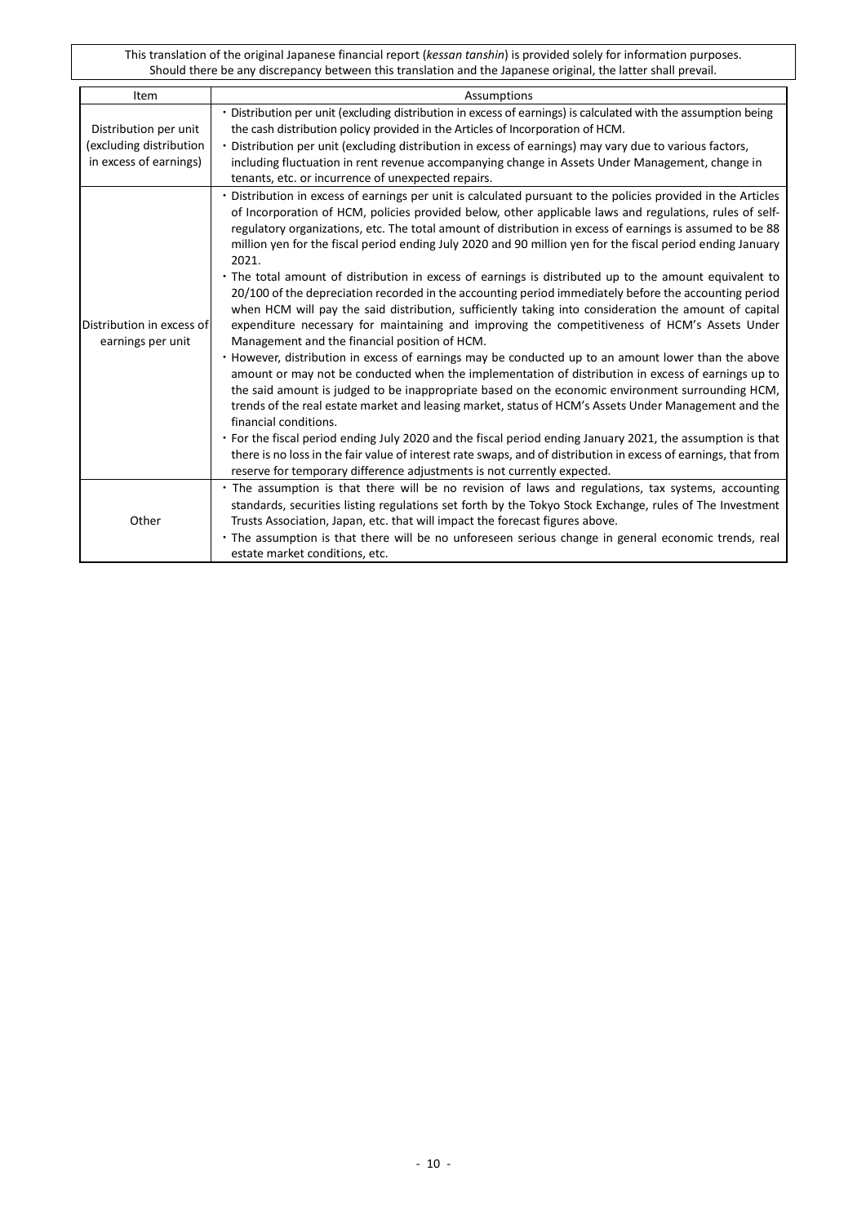| Item                                                                       | Assumptions                                                                                                                                                                                                                                                                                                                                                                                                                                                                                                                                                                                                                                                                                                                                                                                                                                                                                                                                                                                                                                                                                                                                                                                                                                                                                                                                                                                                                                                                                                                                                                                                                                                                                              |
|----------------------------------------------------------------------------|----------------------------------------------------------------------------------------------------------------------------------------------------------------------------------------------------------------------------------------------------------------------------------------------------------------------------------------------------------------------------------------------------------------------------------------------------------------------------------------------------------------------------------------------------------------------------------------------------------------------------------------------------------------------------------------------------------------------------------------------------------------------------------------------------------------------------------------------------------------------------------------------------------------------------------------------------------------------------------------------------------------------------------------------------------------------------------------------------------------------------------------------------------------------------------------------------------------------------------------------------------------------------------------------------------------------------------------------------------------------------------------------------------------------------------------------------------------------------------------------------------------------------------------------------------------------------------------------------------------------------------------------------------------------------------------------------------|
| Distribution per unit<br>(excluding distribution<br>in excess of earnings) | · Distribution per unit (excluding distribution in excess of earnings) is calculated with the assumption being<br>the cash distribution policy provided in the Articles of Incorporation of HCM.<br>· Distribution per unit (excluding distribution in excess of earnings) may vary due to various factors,<br>including fluctuation in rent revenue accompanying change in Assets Under Management, change in<br>tenants, etc. or incurrence of unexpected repairs.                                                                                                                                                                                                                                                                                                                                                                                                                                                                                                                                                                                                                                                                                                                                                                                                                                                                                                                                                                                                                                                                                                                                                                                                                                     |
| Distribution in excess of<br>earnings per unit                             | · Distribution in excess of earnings per unit is calculated pursuant to the policies provided in the Articles<br>of Incorporation of HCM, policies provided below, other applicable laws and regulations, rules of self-<br>regulatory organizations, etc. The total amount of distribution in excess of earnings is assumed to be 88<br>million yen for the fiscal period ending July 2020 and 90 million yen for the fiscal period ending January<br>2021.<br>• The total amount of distribution in excess of earnings is distributed up to the amount equivalent to<br>20/100 of the depreciation recorded in the accounting period immediately before the accounting period<br>when HCM will pay the said distribution, sufficiently taking into consideration the amount of capital<br>expenditure necessary for maintaining and improving the competitiveness of HCM's Assets Under<br>Management and the financial position of HCM.<br>. However, distribution in excess of earnings may be conducted up to an amount lower than the above<br>amount or may not be conducted when the implementation of distribution in excess of earnings up to<br>the said amount is judged to be inappropriate based on the economic environment surrounding HCM,<br>trends of the real estate market and leasing market, status of HCM's Assets Under Management and the<br>financial conditions.<br>• For the fiscal period ending July 2020 and the fiscal period ending January 2021, the assumption is that<br>there is no loss in the fair value of interest rate swaps, and of distribution in excess of earnings, that from<br>reserve for temporary difference adjustments is not currently expected. |
| Other                                                                      | · The assumption is that there will be no revision of laws and regulations, tax systems, accounting<br>standards, securities listing regulations set forth by the Tokyo Stock Exchange, rules of The Investment<br>Trusts Association, Japan, etc. that will impact the forecast figures above.<br>· The assumption is that there will be no unforeseen serious change in general economic trends, real<br>estate market conditions, etc.                                                                                                                                                                                                                                                                                                                                                                                                                                                                                                                                                                                                                                                                                                                                                                                                                                                                                                                                                                                                                                                                                                                                                                                                                                                                |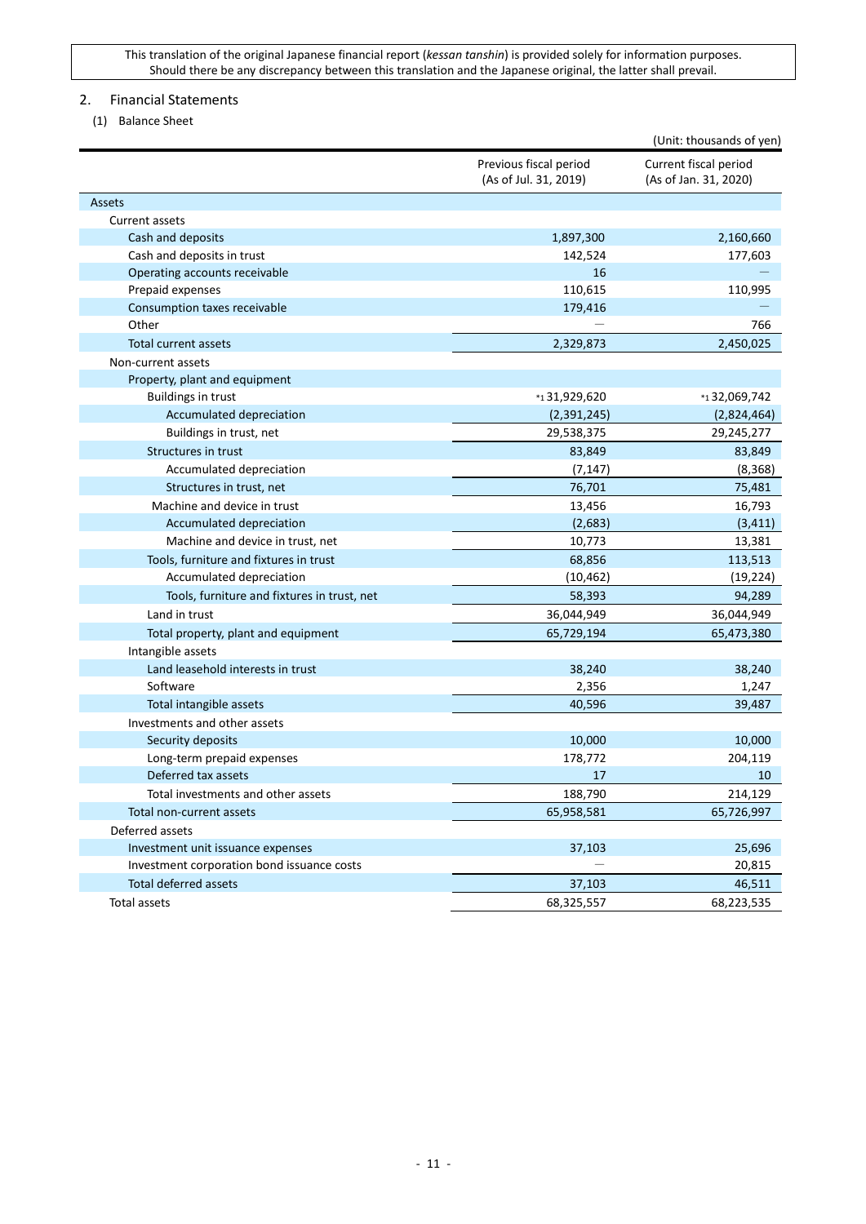## <span id="page-10-0"></span>2. Financial Statements

<span id="page-10-1"></span>(1) Balance Sheet

|                                             |                                                 | (Unit: thousands of yen)                       |
|---------------------------------------------|-------------------------------------------------|------------------------------------------------|
|                                             | Previous fiscal period<br>(As of Jul. 31, 2019) | Current fiscal period<br>(As of Jan. 31, 2020) |
| Assets                                      |                                                 |                                                |
| Current assets                              |                                                 |                                                |
| Cash and deposits                           | 1,897,300                                       | 2,160,660                                      |
| Cash and deposits in trust                  | 142,524                                         | 177,603                                        |
| Operating accounts receivable               | 16                                              |                                                |
| Prepaid expenses                            | 110,615                                         | 110,995                                        |
| Consumption taxes receivable                | 179,416                                         |                                                |
| Other                                       |                                                 | 766                                            |
| <b>Total current assets</b>                 | 2,329,873                                       | 2,450,025                                      |
| Non-current assets                          |                                                 |                                                |
| Property, plant and equipment               |                                                 |                                                |
| <b>Buildings in trust</b>                   | *131,929,620                                    | *132,069,742                                   |
| Accumulated depreciation                    | (2,391,245)                                     | (2,824,464)                                    |
| Buildings in trust, net                     | 29,538,375                                      | 29,245,277                                     |
| Structures in trust                         | 83,849                                          | 83,849                                         |
| Accumulated depreciation                    | (7, 147)                                        | (8, 368)                                       |
| Structures in trust, net                    | 76,701                                          | 75,481                                         |
| Machine and device in trust                 | 13,456                                          | 16,793                                         |
| Accumulated depreciation                    | (2,683)                                         | (3, 411)                                       |
| Machine and device in trust, net            | 10,773                                          | 13,381                                         |
| Tools, furniture and fixtures in trust      | 68,856                                          | 113,513                                        |
| Accumulated depreciation                    | (10, 462)                                       | (19, 224)                                      |
| Tools, furniture and fixtures in trust, net | 58,393                                          | 94,289                                         |
| Land in trust                               | 36,044,949                                      | 36,044,949                                     |
| Total property, plant and equipment         | 65,729,194                                      | 65,473,380                                     |
| Intangible assets                           |                                                 |                                                |
| Land leasehold interests in trust           | 38,240                                          | 38,240                                         |
| Software                                    | 2,356                                           | 1,247                                          |
| Total intangible assets                     | 40,596                                          | 39,487                                         |
| Investments and other assets                |                                                 |                                                |
| Security deposits                           | 10,000                                          | 10,000                                         |
| Long-term prepaid expenses                  | 178,772                                         | 204,119                                        |
| Deferred tax assets                         | 17                                              | 10                                             |
| Total investments and other assets          | 188,790                                         | 214,129                                        |
| Total non-current assets                    | 65,958,581                                      | 65,726,997                                     |
| Deferred assets                             |                                                 |                                                |
| Investment unit issuance expenses           | 37,103                                          | 25,696                                         |
| Investment corporation bond issuance costs  |                                                 | 20,815                                         |
| Total deferred assets                       | 37,103                                          | 46,511                                         |
| Total assets                                | 68,325,557                                      | 68,223,535                                     |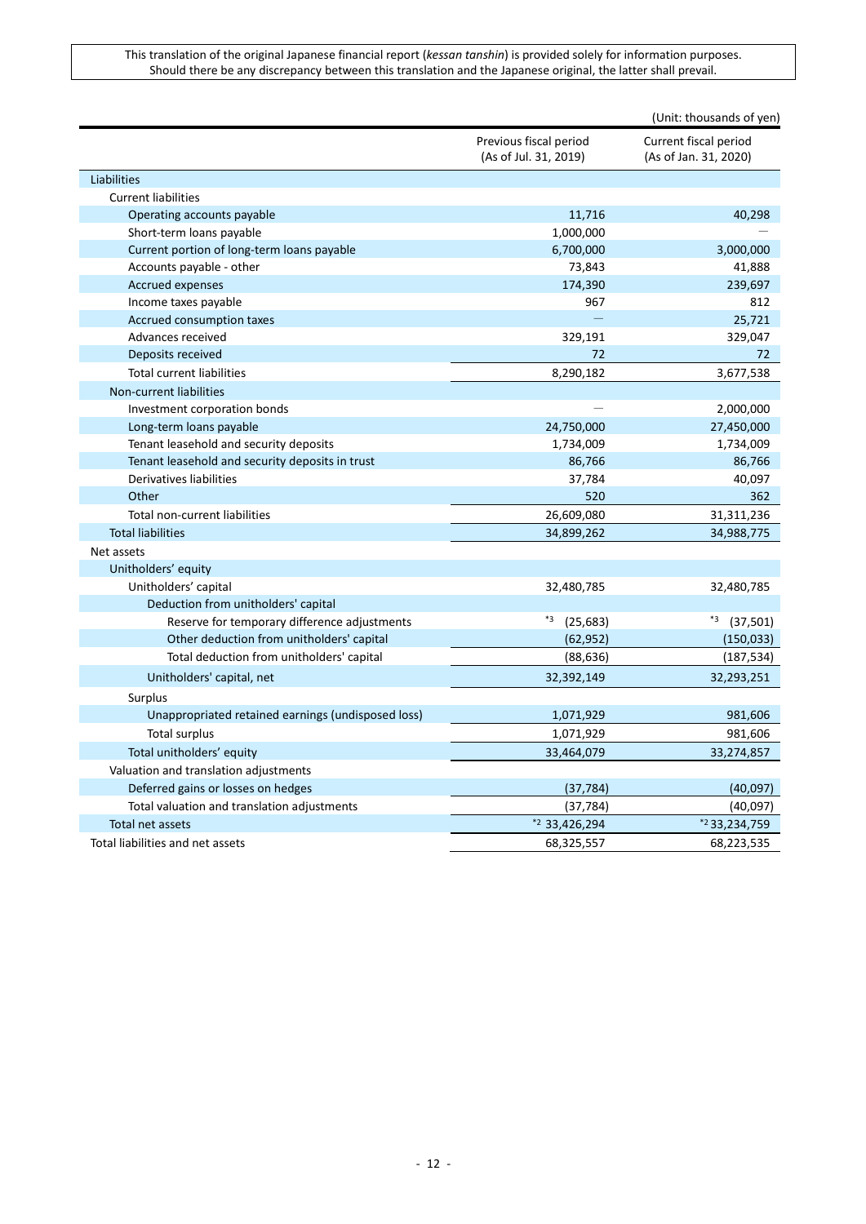| Current fiscal period<br>Previous fiscal period<br>(As of Jul. 31, 2019)<br>(As of Jan. 31, 2020)<br>Liabilities<br><b>Current liabilities</b><br>Operating accounts payable<br>11,716<br>40,298<br>1,000,000<br>Short-term loans payable<br>6,700,000<br>3,000,000<br>Current portion of long-term loans payable<br>Accounts payable - other<br>73,843<br>41,888<br>239,697<br><b>Accrued expenses</b><br>174,390<br>812<br>Income taxes payable<br>967<br>25,721<br>Accrued consumption taxes<br>329,047<br>Advances received<br>329,191<br>72<br>Deposits received<br>72<br><b>Total current liabilities</b><br>8,290,182<br>3,677,538<br>Non-current liabilities<br>Investment corporation bonds<br>2,000,000<br>24,750,000<br>Long-term loans payable<br>27,450,000<br>1,734,009<br>1,734,009<br>Tenant leasehold and security deposits<br>Tenant leasehold and security deposits in trust<br>86,766<br>86,766<br>Derivatives liabilities<br>40,097<br>37,784<br>Other<br>520<br>362<br>26,609,080<br>31,311,236<br>Total non-current liabilities<br><b>Total liabilities</b><br>34,899,262<br>34,988,775<br>Net assets<br>Unitholders' equity<br>Unitholders' capital<br>32,480,785<br>32,480,785<br>Deduction from unitholders' capital<br>*3<br>*3<br>Reserve for temporary difference adjustments<br>(25, 683)<br>(37,501)<br>Other deduction from unitholders' capital<br>(62, 952)<br>(150, 033)<br>Total deduction from unitholders' capital<br>(88, 636)<br>(187, 534)<br>Unitholders' capital, net<br>32,392,149<br>32,293,251<br>Surplus<br>Unappropriated retained earnings (undisposed loss)<br>1,071,929<br>981,606<br><b>Total surplus</b><br>1,071,929<br>981,606<br>Total unitholders' equity<br>33,464,079<br>33,274,857<br>Valuation and translation adjustments<br>Deferred gains or losses on hedges<br>(40,097)<br>(37, 784)<br>Total valuation and translation adjustments<br>(37, 784)<br>(40,097)<br>$*2$ 33,426,294<br>Total net assets<br>*233,234,759<br>Total liabilities and net assets<br>68,325,557<br>68,223,535 |  | (Unit: thousands of yen) |
|-------------------------------------------------------------------------------------------------------------------------------------------------------------------------------------------------------------------------------------------------------------------------------------------------------------------------------------------------------------------------------------------------------------------------------------------------------------------------------------------------------------------------------------------------------------------------------------------------------------------------------------------------------------------------------------------------------------------------------------------------------------------------------------------------------------------------------------------------------------------------------------------------------------------------------------------------------------------------------------------------------------------------------------------------------------------------------------------------------------------------------------------------------------------------------------------------------------------------------------------------------------------------------------------------------------------------------------------------------------------------------------------------------------------------------------------------------------------------------------------------------------------------------------------------------------------------------------------------------------------------------------------------------------------------------------------------------------------------------------------------------------------------------------------------------------------------------------------------------------------------------------------------------------------------------------------------------------------------------------------------------------------------------------------------------|--|--------------------------|
|                                                                                                                                                                                                                                                                                                                                                                                                                                                                                                                                                                                                                                                                                                                                                                                                                                                                                                                                                                                                                                                                                                                                                                                                                                                                                                                                                                                                                                                                                                                                                                                                                                                                                                                                                                                                                                                                                                                                                                                                                                                       |  |                          |
|                                                                                                                                                                                                                                                                                                                                                                                                                                                                                                                                                                                                                                                                                                                                                                                                                                                                                                                                                                                                                                                                                                                                                                                                                                                                                                                                                                                                                                                                                                                                                                                                                                                                                                                                                                                                                                                                                                                                                                                                                                                       |  |                          |
|                                                                                                                                                                                                                                                                                                                                                                                                                                                                                                                                                                                                                                                                                                                                                                                                                                                                                                                                                                                                                                                                                                                                                                                                                                                                                                                                                                                                                                                                                                                                                                                                                                                                                                                                                                                                                                                                                                                                                                                                                                                       |  |                          |
|                                                                                                                                                                                                                                                                                                                                                                                                                                                                                                                                                                                                                                                                                                                                                                                                                                                                                                                                                                                                                                                                                                                                                                                                                                                                                                                                                                                                                                                                                                                                                                                                                                                                                                                                                                                                                                                                                                                                                                                                                                                       |  |                          |
|                                                                                                                                                                                                                                                                                                                                                                                                                                                                                                                                                                                                                                                                                                                                                                                                                                                                                                                                                                                                                                                                                                                                                                                                                                                                                                                                                                                                                                                                                                                                                                                                                                                                                                                                                                                                                                                                                                                                                                                                                                                       |  |                          |
|                                                                                                                                                                                                                                                                                                                                                                                                                                                                                                                                                                                                                                                                                                                                                                                                                                                                                                                                                                                                                                                                                                                                                                                                                                                                                                                                                                                                                                                                                                                                                                                                                                                                                                                                                                                                                                                                                                                                                                                                                                                       |  |                          |
|                                                                                                                                                                                                                                                                                                                                                                                                                                                                                                                                                                                                                                                                                                                                                                                                                                                                                                                                                                                                                                                                                                                                                                                                                                                                                                                                                                                                                                                                                                                                                                                                                                                                                                                                                                                                                                                                                                                                                                                                                                                       |  |                          |
|                                                                                                                                                                                                                                                                                                                                                                                                                                                                                                                                                                                                                                                                                                                                                                                                                                                                                                                                                                                                                                                                                                                                                                                                                                                                                                                                                                                                                                                                                                                                                                                                                                                                                                                                                                                                                                                                                                                                                                                                                                                       |  |                          |
|                                                                                                                                                                                                                                                                                                                                                                                                                                                                                                                                                                                                                                                                                                                                                                                                                                                                                                                                                                                                                                                                                                                                                                                                                                                                                                                                                                                                                                                                                                                                                                                                                                                                                                                                                                                                                                                                                                                                                                                                                                                       |  |                          |
|                                                                                                                                                                                                                                                                                                                                                                                                                                                                                                                                                                                                                                                                                                                                                                                                                                                                                                                                                                                                                                                                                                                                                                                                                                                                                                                                                                                                                                                                                                                                                                                                                                                                                                                                                                                                                                                                                                                                                                                                                                                       |  |                          |
|                                                                                                                                                                                                                                                                                                                                                                                                                                                                                                                                                                                                                                                                                                                                                                                                                                                                                                                                                                                                                                                                                                                                                                                                                                                                                                                                                                                                                                                                                                                                                                                                                                                                                                                                                                                                                                                                                                                                                                                                                                                       |  |                          |
|                                                                                                                                                                                                                                                                                                                                                                                                                                                                                                                                                                                                                                                                                                                                                                                                                                                                                                                                                                                                                                                                                                                                                                                                                                                                                                                                                                                                                                                                                                                                                                                                                                                                                                                                                                                                                                                                                                                                                                                                                                                       |  |                          |
|                                                                                                                                                                                                                                                                                                                                                                                                                                                                                                                                                                                                                                                                                                                                                                                                                                                                                                                                                                                                                                                                                                                                                                                                                                                                                                                                                                                                                                                                                                                                                                                                                                                                                                                                                                                                                                                                                                                                                                                                                                                       |  |                          |
|                                                                                                                                                                                                                                                                                                                                                                                                                                                                                                                                                                                                                                                                                                                                                                                                                                                                                                                                                                                                                                                                                                                                                                                                                                                                                                                                                                                                                                                                                                                                                                                                                                                                                                                                                                                                                                                                                                                                                                                                                                                       |  |                          |
|                                                                                                                                                                                                                                                                                                                                                                                                                                                                                                                                                                                                                                                                                                                                                                                                                                                                                                                                                                                                                                                                                                                                                                                                                                                                                                                                                                                                                                                                                                                                                                                                                                                                                                                                                                                                                                                                                                                                                                                                                                                       |  |                          |
|                                                                                                                                                                                                                                                                                                                                                                                                                                                                                                                                                                                                                                                                                                                                                                                                                                                                                                                                                                                                                                                                                                                                                                                                                                                                                                                                                                                                                                                                                                                                                                                                                                                                                                                                                                                                                                                                                                                                                                                                                                                       |  |                          |
|                                                                                                                                                                                                                                                                                                                                                                                                                                                                                                                                                                                                                                                                                                                                                                                                                                                                                                                                                                                                                                                                                                                                                                                                                                                                                                                                                                                                                                                                                                                                                                                                                                                                                                                                                                                                                                                                                                                                                                                                                                                       |  |                          |
|                                                                                                                                                                                                                                                                                                                                                                                                                                                                                                                                                                                                                                                                                                                                                                                                                                                                                                                                                                                                                                                                                                                                                                                                                                                                                                                                                                                                                                                                                                                                                                                                                                                                                                                                                                                                                                                                                                                                                                                                                                                       |  |                          |
|                                                                                                                                                                                                                                                                                                                                                                                                                                                                                                                                                                                                                                                                                                                                                                                                                                                                                                                                                                                                                                                                                                                                                                                                                                                                                                                                                                                                                                                                                                                                                                                                                                                                                                                                                                                                                                                                                                                                                                                                                                                       |  |                          |
|                                                                                                                                                                                                                                                                                                                                                                                                                                                                                                                                                                                                                                                                                                                                                                                                                                                                                                                                                                                                                                                                                                                                                                                                                                                                                                                                                                                                                                                                                                                                                                                                                                                                                                                                                                                                                                                                                                                                                                                                                                                       |  |                          |
|                                                                                                                                                                                                                                                                                                                                                                                                                                                                                                                                                                                                                                                                                                                                                                                                                                                                                                                                                                                                                                                                                                                                                                                                                                                                                                                                                                                                                                                                                                                                                                                                                                                                                                                                                                                                                                                                                                                                                                                                                                                       |  |                          |
|                                                                                                                                                                                                                                                                                                                                                                                                                                                                                                                                                                                                                                                                                                                                                                                                                                                                                                                                                                                                                                                                                                                                                                                                                                                                                                                                                                                                                                                                                                                                                                                                                                                                                                                                                                                                                                                                                                                                                                                                                                                       |  |                          |
|                                                                                                                                                                                                                                                                                                                                                                                                                                                                                                                                                                                                                                                                                                                                                                                                                                                                                                                                                                                                                                                                                                                                                                                                                                                                                                                                                                                                                                                                                                                                                                                                                                                                                                                                                                                                                                                                                                                                                                                                                                                       |  |                          |
|                                                                                                                                                                                                                                                                                                                                                                                                                                                                                                                                                                                                                                                                                                                                                                                                                                                                                                                                                                                                                                                                                                                                                                                                                                                                                                                                                                                                                                                                                                                                                                                                                                                                                                                                                                                                                                                                                                                                                                                                                                                       |  |                          |
|                                                                                                                                                                                                                                                                                                                                                                                                                                                                                                                                                                                                                                                                                                                                                                                                                                                                                                                                                                                                                                                                                                                                                                                                                                                                                                                                                                                                                                                                                                                                                                                                                                                                                                                                                                                                                                                                                                                                                                                                                                                       |  |                          |
|                                                                                                                                                                                                                                                                                                                                                                                                                                                                                                                                                                                                                                                                                                                                                                                                                                                                                                                                                                                                                                                                                                                                                                                                                                                                                                                                                                                                                                                                                                                                                                                                                                                                                                                                                                                                                                                                                                                                                                                                                                                       |  |                          |
|                                                                                                                                                                                                                                                                                                                                                                                                                                                                                                                                                                                                                                                                                                                                                                                                                                                                                                                                                                                                                                                                                                                                                                                                                                                                                                                                                                                                                                                                                                                                                                                                                                                                                                                                                                                                                                                                                                                                                                                                                                                       |  |                          |
|                                                                                                                                                                                                                                                                                                                                                                                                                                                                                                                                                                                                                                                                                                                                                                                                                                                                                                                                                                                                                                                                                                                                                                                                                                                                                                                                                                                                                                                                                                                                                                                                                                                                                                                                                                                                                                                                                                                                                                                                                                                       |  |                          |
|                                                                                                                                                                                                                                                                                                                                                                                                                                                                                                                                                                                                                                                                                                                                                                                                                                                                                                                                                                                                                                                                                                                                                                                                                                                                                                                                                                                                                                                                                                                                                                                                                                                                                                                                                                                                                                                                                                                                                                                                                                                       |  |                          |
|                                                                                                                                                                                                                                                                                                                                                                                                                                                                                                                                                                                                                                                                                                                                                                                                                                                                                                                                                                                                                                                                                                                                                                                                                                                                                                                                                                                                                                                                                                                                                                                                                                                                                                                                                                                                                                                                                                                                                                                                                                                       |  |                          |
|                                                                                                                                                                                                                                                                                                                                                                                                                                                                                                                                                                                                                                                                                                                                                                                                                                                                                                                                                                                                                                                                                                                                                                                                                                                                                                                                                                                                                                                                                                                                                                                                                                                                                                                                                                                                                                                                                                                                                                                                                                                       |  |                          |
|                                                                                                                                                                                                                                                                                                                                                                                                                                                                                                                                                                                                                                                                                                                                                                                                                                                                                                                                                                                                                                                                                                                                                                                                                                                                                                                                                                                                                                                                                                                                                                                                                                                                                                                                                                                                                                                                                                                                                                                                                                                       |  |                          |
|                                                                                                                                                                                                                                                                                                                                                                                                                                                                                                                                                                                                                                                                                                                                                                                                                                                                                                                                                                                                                                                                                                                                                                                                                                                                                                                                                                                                                                                                                                                                                                                                                                                                                                                                                                                                                                                                                                                                                                                                                                                       |  |                          |
|                                                                                                                                                                                                                                                                                                                                                                                                                                                                                                                                                                                                                                                                                                                                                                                                                                                                                                                                                                                                                                                                                                                                                                                                                                                                                                                                                                                                                                                                                                                                                                                                                                                                                                                                                                                                                                                                                                                                                                                                                                                       |  |                          |
|                                                                                                                                                                                                                                                                                                                                                                                                                                                                                                                                                                                                                                                                                                                                                                                                                                                                                                                                                                                                                                                                                                                                                                                                                                                                                                                                                                                                                                                                                                                                                                                                                                                                                                                                                                                                                                                                                                                                                                                                                                                       |  |                          |
|                                                                                                                                                                                                                                                                                                                                                                                                                                                                                                                                                                                                                                                                                                                                                                                                                                                                                                                                                                                                                                                                                                                                                                                                                                                                                                                                                                                                                                                                                                                                                                                                                                                                                                                                                                                                                                                                                                                                                                                                                                                       |  |                          |
|                                                                                                                                                                                                                                                                                                                                                                                                                                                                                                                                                                                                                                                                                                                                                                                                                                                                                                                                                                                                                                                                                                                                                                                                                                                                                                                                                                                                                                                                                                                                                                                                                                                                                                                                                                                                                                                                                                                                                                                                                                                       |  |                          |
|                                                                                                                                                                                                                                                                                                                                                                                                                                                                                                                                                                                                                                                                                                                                                                                                                                                                                                                                                                                                                                                                                                                                                                                                                                                                                                                                                                                                                                                                                                                                                                                                                                                                                                                                                                                                                                                                                                                                                                                                                                                       |  |                          |
|                                                                                                                                                                                                                                                                                                                                                                                                                                                                                                                                                                                                                                                                                                                                                                                                                                                                                                                                                                                                                                                                                                                                                                                                                                                                                                                                                                                                                                                                                                                                                                                                                                                                                                                                                                                                                                                                                                                                                                                                                                                       |  |                          |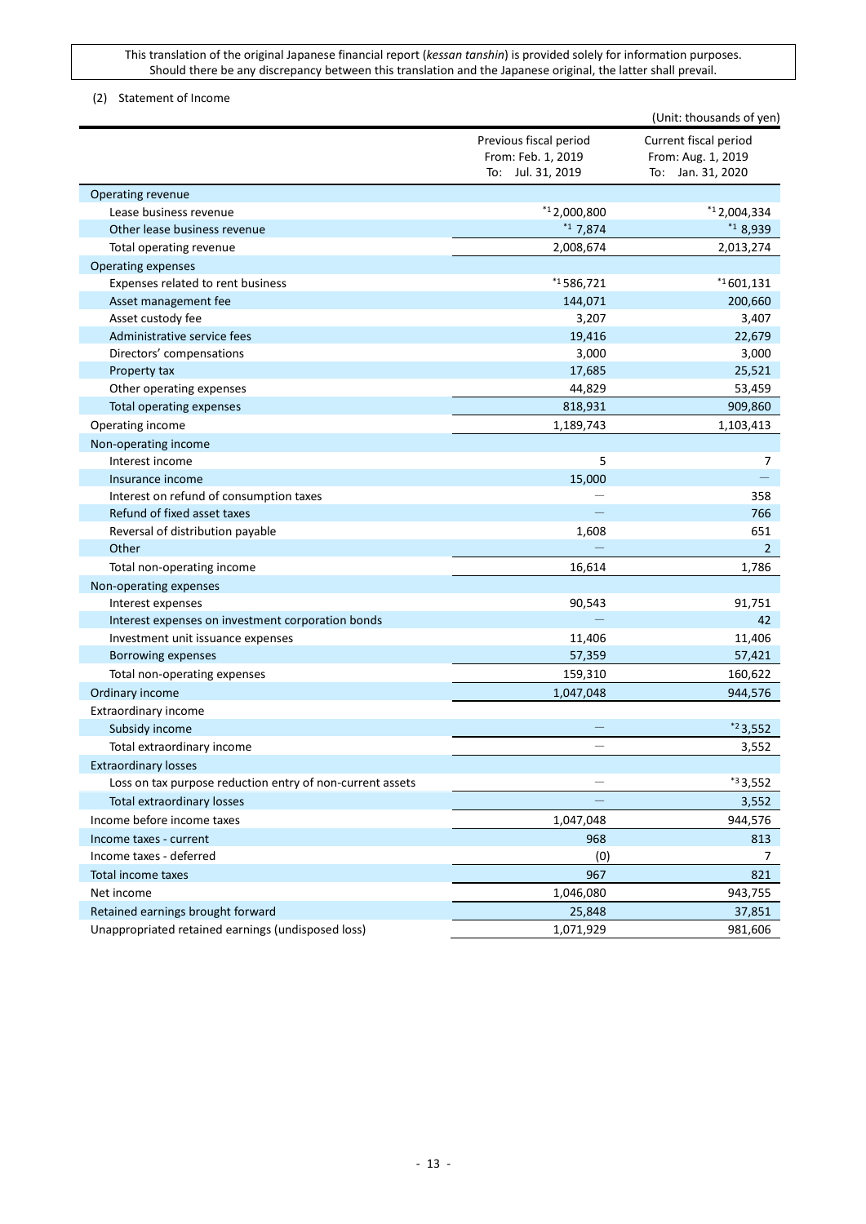## <span id="page-12-0"></span>(2) Statement of Income

|                                                           |                                                                   | (Unit: thousands of yen)                                         |
|-----------------------------------------------------------|-------------------------------------------------------------------|------------------------------------------------------------------|
|                                                           | Previous fiscal period<br>From: Feb. 1, 2019<br>To: Jul. 31, 2019 | Current fiscal period<br>From: Aug. 1, 2019<br>To: Jan. 31, 2020 |
| <b>Operating revenue</b>                                  |                                                                   |                                                                  |
| Lease business revenue                                    | $*12,000,800$                                                     | $*12,004,334$                                                    |
| Other lease business revenue                              | $*17,874$                                                         | $*18,939$                                                        |
| Total operating revenue                                   | 2,008,674                                                         | 2,013,274                                                        |
| Operating expenses                                        |                                                                   |                                                                  |
| Expenses related to rent business                         | $*1586,721$                                                       | $*1601,131$                                                      |
| Asset management fee                                      | 144,071                                                           | 200,660                                                          |
| Asset custody fee                                         | 3,207                                                             | 3,407                                                            |
| Administrative service fees                               | 19,416                                                            | 22,679                                                           |
| Directors' compensations                                  | 3,000                                                             | 3,000                                                            |
| Property tax                                              | 17,685                                                            | 25,521                                                           |
| Other operating expenses                                  | 44,829                                                            | 53,459                                                           |
| Total operating expenses                                  | 818,931                                                           | 909,860                                                          |
| Operating income                                          | 1,189,743                                                         | 1,103,413                                                        |
| Non-operating income                                      |                                                                   |                                                                  |
| Interest income                                           | 5                                                                 | 7                                                                |
| Insurance income                                          | 15,000                                                            |                                                                  |
| Interest on refund of consumption taxes                   |                                                                   | 358                                                              |
| Refund of fixed asset taxes                               |                                                                   | 766                                                              |
| Reversal of distribution payable                          | 1,608                                                             | 651                                                              |
| Other                                                     |                                                                   | $2^{\circ}$                                                      |
| Total non-operating income                                | 16,614                                                            | 1,786                                                            |
| Non-operating expenses                                    |                                                                   |                                                                  |
| Interest expenses                                         | 90,543                                                            | 91,751                                                           |
| Interest expenses on investment corporation bonds         |                                                                   | 42                                                               |
| Investment unit issuance expenses                         | 11,406                                                            | 11,406                                                           |
| Borrowing expenses                                        | 57,359                                                            | 57,421                                                           |
| Total non-operating expenses                              | 159,310                                                           | 160,622                                                          |
| Ordinary income                                           | 1,047,048                                                         | 944,576                                                          |
| Extraordinary income                                      |                                                                   |                                                                  |
| Subsidy income                                            |                                                                   | $*23,552$                                                        |
| Total extraordinary income                                |                                                                   | 3,552                                                            |
| <b>Extraordinary losses</b>                               |                                                                   |                                                                  |
| Loss on tax purpose reduction entry of non-current assets |                                                                   | $*33,552$                                                        |
| Total extraordinary losses                                |                                                                   | 3,552                                                            |
| Income before income taxes                                | 1,047,048                                                         | 944,576                                                          |
| Income taxes - current                                    | 968                                                               | 813                                                              |
| Income taxes - deferred                                   | (0)                                                               | 7                                                                |
| Total income taxes                                        | 967                                                               | 821                                                              |
| Net income                                                | 1,046,080                                                         | 943,755                                                          |
| Retained earnings brought forward                         | 25,848                                                            | 37,851                                                           |
| Unappropriated retained earnings (undisposed loss)        | 1,071,929                                                         | 981,606                                                          |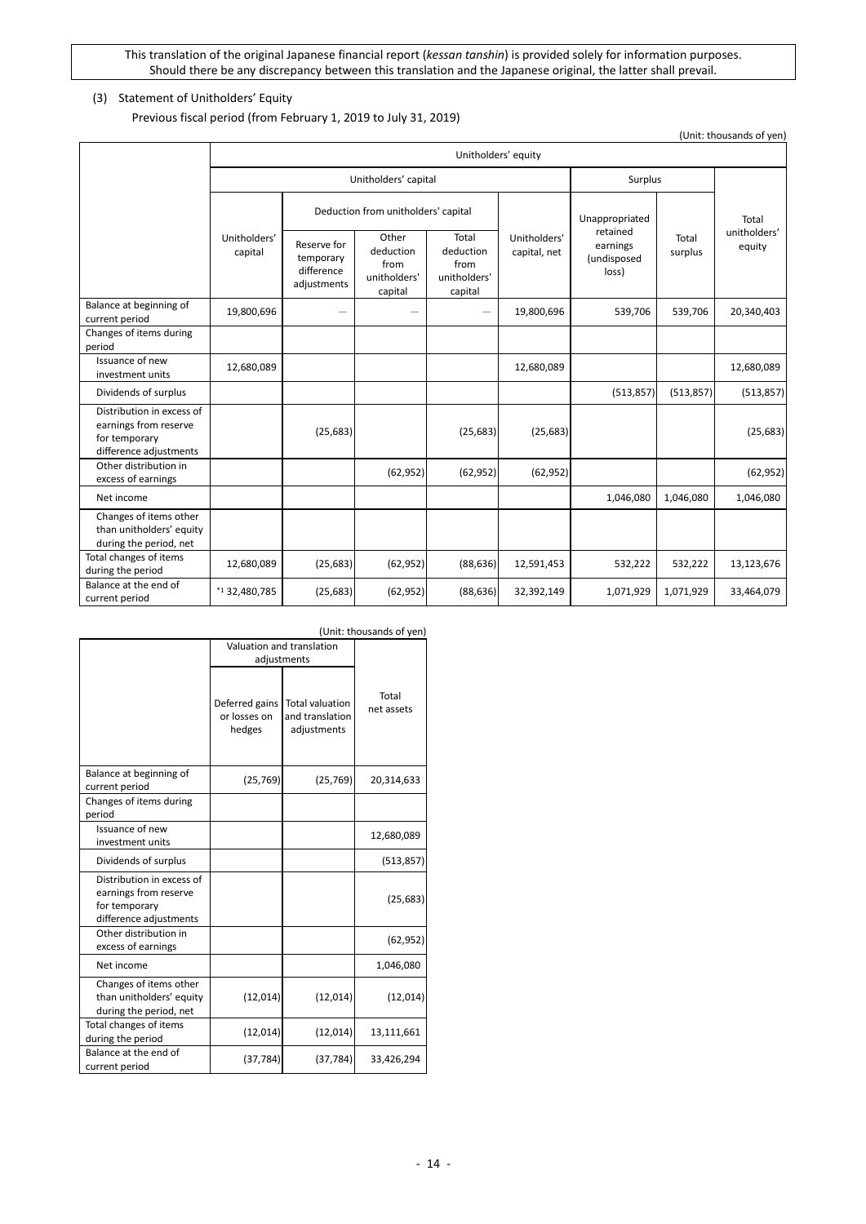## <span id="page-13-0"></span>(3) Statement of Unitholders' Equity

Previous fiscal period (from February 1, 2019 to July 31, 2019)

Unitholders' equity Unitholders' capital and surplus Surplus Total unitholders' equity Unitholders' capital Deduction from unitholders' capital Unitholders' capital, net Unappropriated retained earnings (undisposed loss) Total Reserve for equilibrium deduction deduction deduction capital, net earnings surplus temporary difference adjustments **Other** deduction from unitholders' capital Total deduction from unitholders' capital Balance at beginning of current period 19,800,696 - - - 19,800,696 539,706 539,706 20,340,403 Changes of items during period Issuance of new investment units 12,680,089 12,680,089 12,680,089 12,680,089 12,680,089 12,680,089 12,680,089 Dividends of surplus (513,857) (513,857) (513,857) Distribution in excess of earnings from reserve for temporary difference adjustments (25,683) (25,683) (25,683) (25,683) Other distribution in excess of earnings (62,952) (62,952) (62,952) (62,952) (62,952) (62,952) Net income 1,046,080 1,046,080 1,046,080 Changes of items other than unitholders' equity during the period, net Total changes of items during the period  $\begin{bmatrix} 12,680,089 \\ 13,123,676 \end{bmatrix}$  (52,952) (62,952) (88,636) 12,591,453 532,222 532,222 532,222 13,123,676 Balance at the end of current period **1.0 a.m. 2.480,785** (25,683) (62,952) (88,636) 32,392,149 1,071,929 1,071,929 33,464,079 2.071,929

|                                                                                               | (Unit: thousands of yen)                 |                                                          |                     |  |  |
|-----------------------------------------------------------------------------------------------|------------------------------------------|----------------------------------------------------------|---------------------|--|--|
|                                                                                               |                                          | Valuation and translation                                |                     |  |  |
|                                                                                               |                                          | adjustments                                              |                     |  |  |
|                                                                                               | Deferred gains<br>or losses on<br>hedges | <b>Total valuation</b><br>and translation<br>adjustments | Total<br>net assets |  |  |
| Balance at beginning of<br>current period                                                     | (25, 769)                                | (25, 769)                                                | 20,314,633          |  |  |
| Changes of items during<br>period                                                             |                                          |                                                          |                     |  |  |
| Issuance of new<br>investment units                                                           |                                          |                                                          | 12,680,089          |  |  |
| Dividends of surplus                                                                          |                                          |                                                          | (513, 857)          |  |  |
| Distribution in excess of<br>earnings from reserve<br>for temporary<br>difference adjustments |                                          |                                                          | (25, 683)           |  |  |
| Other distribution in<br>excess of earnings                                                   |                                          |                                                          | (62, 952)           |  |  |
| Net income                                                                                    |                                          |                                                          | 1,046,080           |  |  |
| Changes of items other<br>than unitholders' equity<br>during the period, net                  | (12, 014)                                | (12, 014)                                                | (12,014)            |  |  |
| Total changes of items<br>during the period                                                   | (12, 014)                                | (12, 014)                                                | 13,111,661          |  |  |
| Balance at the end of<br>current period                                                       | (37, 784)                                | (37, 784)                                                | 33,426,294          |  |  |

(Unit: thousands of yen)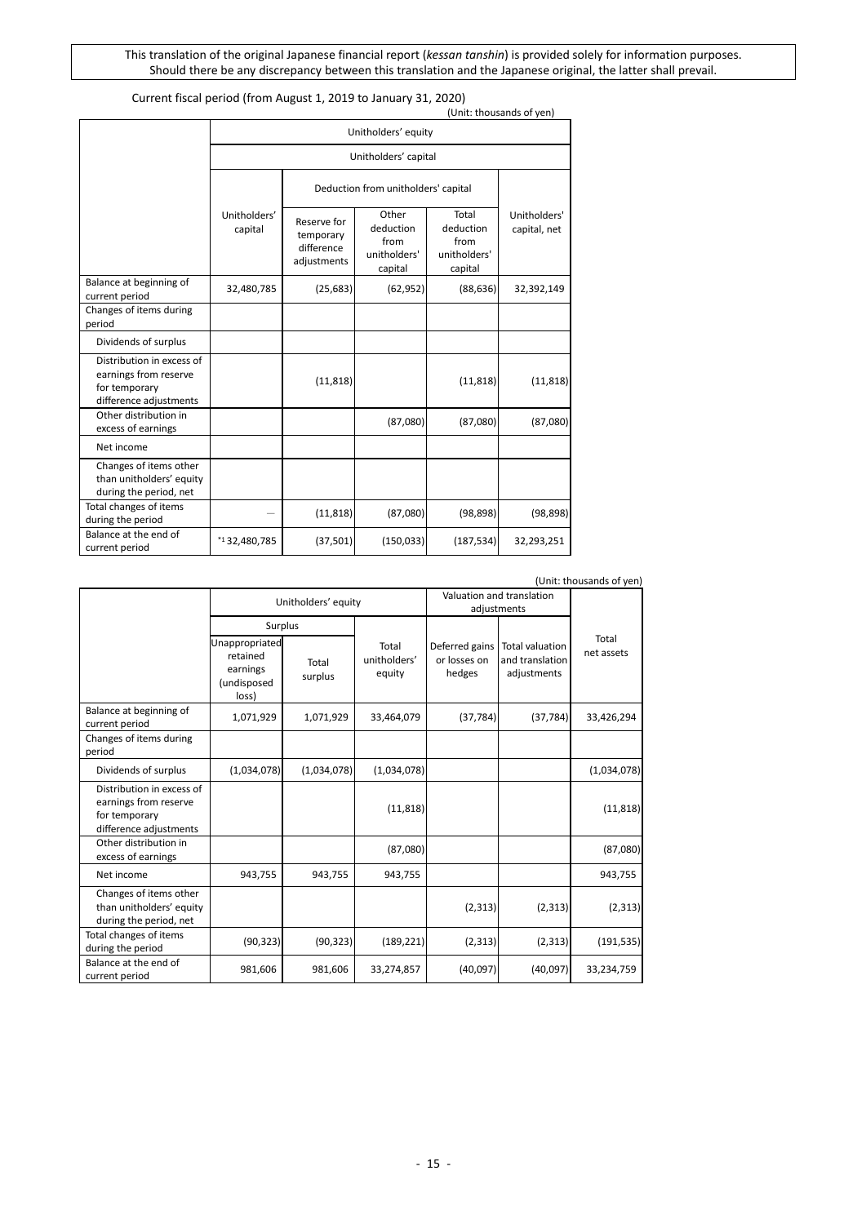## Current fiscal period (from August 1, 2019 to January 31, 2020)

|                                                                                               |                                     |                                                       |                                                       |                                                       | (Unit: thousands of yen)     |
|-----------------------------------------------------------------------------------------------|-------------------------------------|-------------------------------------------------------|-------------------------------------------------------|-------------------------------------------------------|------------------------------|
|                                                                                               |                                     | Unitholders' equity                                   |                                                       |                                                       |                              |
|                                                                                               | Unitholders' capital                |                                                       |                                                       |                                                       |                              |
|                                                                                               | Deduction from unitholders' capital |                                                       |                                                       |                                                       |                              |
|                                                                                               | Unitholders'<br>capital             | Reserve for<br>temporary<br>difference<br>adjustments | Other<br>deduction<br>from<br>unitholders'<br>capital | Total<br>deduction<br>from<br>unitholders'<br>capital | Unitholders'<br>capital, net |
| Balance at beginning of<br>current period                                                     | 32,480,785                          | (25, 683)                                             | (62, 952)                                             | (88, 636)                                             | 32,392,149                   |
| Changes of items during<br>period                                                             |                                     |                                                       |                                                       |                                                       |                              |
| Dividends of surplus                                                                          |                                     |                                                       |                                                       |                                                       |                              |
| Distribution in excess of<br>earnings from reserve<br>for temporary<br>difference adjustments |                                     | (11, 818)                                             |                                                       | (11, 818)                                             | (11, 818)                    |
| Other distribution in<br>excess of earnings                                                   |                                     |                                                       | (87,080)                                              | (87,080)                                              | (87,080)                     |
| Net income                                                                                    |                                     |                                                       |                                                       |                                                       |                              |
| Changes of items other<br>than unitholders' equity<br>during the period, net                  |                                     |                                                       |                                                       |                                                       |                              |
| Total changes of items<br>during the period                                                   |                                     | (11, 818)                                             | (87,080)                                              | (98, 898)                                             | (98, 898)                    |
| Balance at the end of<br>current period                                                       | $*1$ 32,480,785                     | (37, 501)                                             | (150, 033)                                            | (187, 534)                                            | 32,293,251                   |

| (Unit: thousands of yen)                                                                      |                                                                |                  |                                          |                                          |                                                          |                     |
|-----------------------------------------------------------------------------------------------|----------------------------------------------------------------|------------------|------------------------------------------|------------------------------------------|----------------------------------------------------------|---------------------|
|                                                                                               | Unitholders' equity                                            |                  | Valuation and translation<br>adjustments |                                          |                                                          |                     |
|                                                                                               | Surplus                                                        |                  |                                          |                                          |                                                          |                     |
|                                                                                               | Unappropriated<br>retained<br>earnings<br>(undisposed<br>loss) | Total<br>surplus | Total<br>unitholders'<br>equity          | Deferred gains<br>or losses on<br>hedges | <b>Total valuation</b><br>and translation<br>adjustments | Total<br>net assets |
| Balance at beginning of<br>current period                                                     | 1,071,929                                                      | 1,071,929        | 33,464,079                               | (37, 784)                                | (37, 784)                                                | 33,426,294          |
| Changes of items during<br>period                                                             |                                                                |                  |                                          |                                          |                                                          |                     |
| Dividends of surplus                                                                          | (1,034,078)                                                    | (1,034,078)      | (1,034,078)                              |                                          |                                                          | (1,034,078)         |
| Distribution in excess of<br>earnings from reserve<br>for temporary<br>difference adjustments |                                                                |                  | (11, 818)                                |                                          |                                                          | (11, 818)           |
| Other distribution in<br>excess of earnings                                                   |                                                                |                  | (87,080)                                 |                                          |                                                          | (87,080)            |
| Net income                                                                                    | 943,755                                                        | 943,755          | 943,755                                  |                                          |                                                          | 943,755             |
| Changes of items other<br>than unitholders' equity<br>during the period, net                  |                                                                |                  |                                          | (2, 313)                                 | (2, 313)                                                 | (2, 313)            |
| Total changes of items<br>during the period                                                   | (90, 323)                                                      | (90, 323)        | (189, 221)                               | (2, 313)                                 | (2, 313)                                                 | (191, 535)          |
| Balance at the end of<br>current period                                                       | 981,606                                                        | 981,606          | 33,274,857                               | (40,097)                                 | (40,097)                                                 | 33,234,759          |

(Unit: thousands of yen)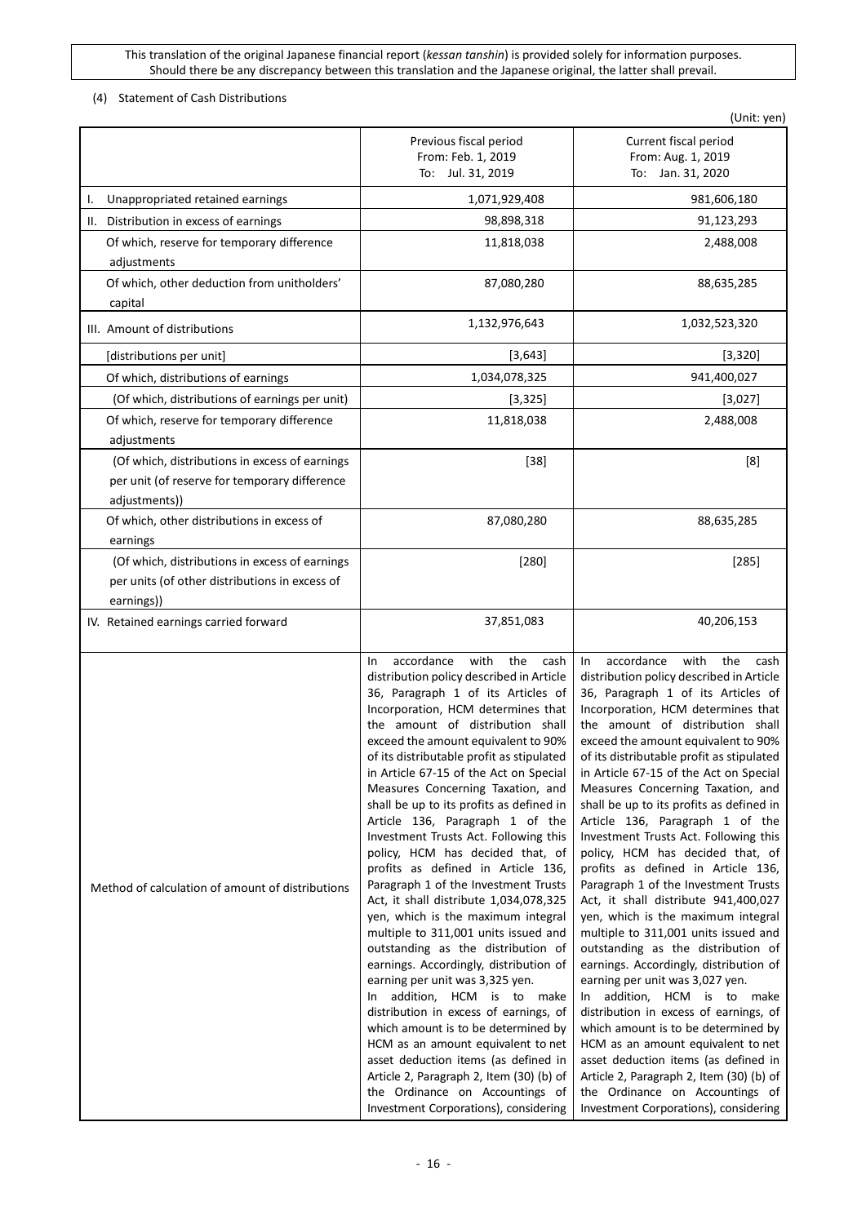## <span id="page-15-0"></span>(4) Statement of Cash Distributions

|                                                                                                                  |                                                                                                                                                                                                                                                                                                                                                                                                                                                                                                                                                                                                                                                                                                                                                                                                                                                                                                                                                                                                                                                                                                                                                                                      | (Unit: yen)                                                                                                                                                                                                                                                                                                                                                                                                                                                                                                                                                                                                                                                                                                                                                                                                                                                                                                                                                                                                                                                                                                                                                                        |
|------------------------------------------------------------------------------------------------------------------|--------------------------------------------------------------------------------------------------------------------------------------------------------------------------------------------------------------------------------------------------------------------------------------------------------------------------------------------------------------------------------------------------------------------------------------------------------------------------------------------------------------------------------------------------------------------------------------------------------------------------------------------------------------------------------------------------------------------------------------------------------------------------------------------------------------------------------------------------------------------------------------------------------------------------------------------------------------------------------------------------------------------------------------------------------------------------------------------------------------------------------------------------------------------------------------|------------------------------------------------------------------------------------------------------------------------------------------------------------------------------------------------------------------------------------------------------------------------------------------------------------------------------------------------------------------------------------------------------------------------------------------------------------------------------------------------------------------------------------------------------------------------------------------------------------------------------------------------------------------------------------------------------------------------------------------------------------------------------------------------------------------------------------------------------------------------------------------------------------------------------------------------------------------------------------------------------------------------------------------------------------------------------------------------------------------------------------------------------------------------------------|
|                                                                                                                  | Previous fiscal period<br>From: Feb. 1, 2019<br>To: Jul. 31, 2019                                                                                                                                                                                                                                                                                                                                                                                                                                                                                                                                                                                                                                                                                                                                                                                                                                                                                                                                                                                                                                                                                                                    | Current fiscal period<br>From: Aug. 1, 2019<br>To: Jan. 31, 2020                                                                                                                                                                                                                                                                                                                                                                                                                                                                                                                                                                                                                                                                                                                                                                                                                                                                                                                                                                                                                                                                                                                   |
| Unappropriated retained earnings<br>ı.                                                                           | 1,071,929,408                                                                                                                                                                                                                                                                                                                                                                                                                                                                                                                                                                                                                                                                                                                                                                                                                                                                                                                                                                                                                                                                                                                                                                        | 981,606,180                                                                                                                                                                                                                                                                                                                                                                                                                                                                                                                                                                                                                                                                                                                                                                                                                                                                                                                                                                                                                                                                                                                                                                        |
| Distribution in excess of earnings<br>Ш.                                                                         | 98,898,318                                                                                                                                                                                                                                                                                                                                                                                                                                                                                                                                                                                                                                                                                                                                                                                                                                                                                                                                                                                                                                                                                                                                                                           | 91,123,293                                                                                                                                                                                                                                                                                                                                                                                                                                                                                                                                                                                                                                                                                                                                                                                                                                                                                                                                                                                                                                                                                                                                                                         |
| Of which, reserve for temporary difference<br>adjustments                                                        | 11,818,038                                                                                                                                                                                                                                                                                                                                                                                                                                                                                                                                                                                                                                                                                                                                                                                                                                                                                                                                                                                                                                                                                                                                                                           | 2,488,008                                                                                                                                                                                                                                                                                                                                                                                                                                                                                                                                                                                                                                                                                                                                                                                                                                                                                                                                                                                                                                                                                                                                                                          |
| Of which, other deduction from unitholders'<br>capital                                                           | 87,080,280                                                                                                                                                                                                                                                                                                                                                                                                                                                                                                                                                                                                                                                                                                                                                                                                                                                                                                                                                                                                                                                                                                                                                                           | 88,635,285                                                                                                                                                                                                                                                                                                                                                                                                                                                                                                                                                                                                                                                                                                                                                                                                                                                                                                                                                                                                                                                                                                                                                                         |
| III. Amount of distributions                                                                                     | 1,132,976,643                                                                                                                                                                                                                                                                                                                                                                                                                                                                                                                                                                                                                                                                                                                                                                                                                                                                                                                                                                                                                                                                                                                                                                        | 1,032,523,320                                                                                                                                                                                                                                                                                                                                                                                                                                                                                                                                                                                                                                                                                                                                                                                                                                                                                                                                                                                                                                                                                                                                                                      |
| [distributions per unit]                                                                                         | [3, 643]                                                                                                                                                                                                                                                                                                                                                                                                                                                                                                                                                                                                                                                                                                                                                                                                                                                                                                                                                                                                                                                                                                                                                                             | [3, 320]                                                                                                                                                                                                                                                                                                                                                                                                                                                                                                                                                                                                                                                                                                                                                                                                                                                                                                                                                                                                                                                                                                                                                                           |
| Of which, distributions of earnings                                                                              | 1,034,078,325                                                                                                                                                                                                                                                                                                                                                                                                                                                                                                                                                                                                                                                                                                                                                                                                                                                                                                                                                                                                                                                                                                                                                                        | 941,400,027                                                                                                                                                                                                                                                                                                                                                                                                                                                                                                                                                                                                                                                                                                                                                                                                                                                                                                                                                                                                                                                                                                                                                                        |
| (Of which, distributions of earnings per unit)                                                                   | [3, 325]                                                                                                                                                                                                                                                                                                                                                                                                                                                                                                                                                                                                                                                                                                                                                                                                                                                                                                                                                                                                                                                                                                                                                                             | [3,027]                                                                                                                                                                                                                                                                                                                                                                                                                                                                                                                                                                                                                                                                                                                                                                                                                                                                                                                                                                                                                                                                                                                                                                            |
| Of which, reserve for temporary difference<br>adjustments                                                        | 11,818,038                                                                                                                                                                                                                                                                                                                                                                                                                                                                                                                                                                                                                                                                                                                                                                                                                                                                                                                                                                                                                                                                                                                                                                           | 2,488,008                                                                                                                                                                                                                                                                                                                                                                                                                                                                                                                                                                                                                                                                                                                                                                                                                                                                                                                                                                                                                                                                                                                                                                          |
| (Of which, distributions in excess of earnings<br>per unit (of reserve for temporary difference<br>adjustments)) | $[38]$                                                                                                                                                                                                                                                                                                                                                                                                                                                                                                                                                                                                                                                                                                                                                                                                                                                                                                                                                                                                                                                                                                                                                                               | [8]                                                                                                                                                                                                                                                                                                                                                                                                                                                                                                                                                                                                                                                                                                                                                                                                                                                                                                                                                                                                                                                                                                                                                                                |
| Of which, other distributions in excess of<br>earnings                                                           | 87,080,280                                                                                                                                                                                                                                                                                                                                                                                                                                                                                                                                                                                                                                                                                                                                                                                                                                                                                                                                                                                                                                                                                                                                                                           | 88,635,285                                                                                                                                                                                                                                                                                                                                                                                                                                                                                                                                                                                                                                                                                                                                                                                                                                                                                                                                                                                                                                                                                                                                                                         |
| (Of which, distributions in excess of earnings<br>per units (of other distributions in excess of<br>earnings))   | $[280]$                                                                                                                                                                                                                                                                                                                                                                                                                                                                                                                                                                                                                                                                                                                                                                                                                                                                                                                                                                                                                                                                                                                                                                              | [285]                                                                                                                                                                                                                                                                                                                                                                                                                                                                                                                                                                                                                                                                                                                                                                                                                                                                                                                                                                                                                                                                                                                                                                              |
| IV. Retained earnings carried forward                                                                            | 37,851,083                                                                                                                                                                                                                                                                                                                                                                                                                                                                                                                                                                                                                                                                                                                                                                                                                                                                                                                                                                                                                                                                                                                                                                           | 40,206,153                                                                                                                                                                                                                                                                                                                                                                                                                                                                                                                                                                                                                                                                                                                                                                                                                                                                                                                                                                                                                                                                                                                                                                         |
| Method of calculation of amount of distributions                                                                 | accordance<br>with<br>the<br>cash<br>In<br>distribution policy described in Article<br>36, Paragraph 1 of its Articles of<br>Incorporation, HCM determines that<br>the amount of distribution shall<br>exceed the amount equivalent to 90%<br>of its distributable profit as stipulated<br>in Article 67-15 of the Act on Special<br>Measures Concerning Taxation, and<br>shall be up to its profits as defined in<br>Article 136, Paragraph 1 of the<br>Investment Trusts Act. Following this<br>policy, HCM has decided that, of<br>profits as defined in Article 136,<br>Paragraph 1 of the Investment Trusts<br>Act, it shall distribute 1,034,078,325<br>yen, which is the maximum integral<br>multiple to 311,001 units issued and<br>outstanding as the distribution of<br>earnings. Accordingly, distribution of<br>earning per unit was 3,325 yen.<br>addition, HCM is to make<br>In<br>distribution in excess of earnings, of<br>which amount is to be determined by<br>HCM as an amount equivalent to net<br>asset deduction items (as defined in<br>Article 2, Paragraph 2, Item (30) (b) of<br>the Ordinance on Accountings of<br>Investment Corporations), considering | with<br>accordance<br>the<br>In<br>cash<br>distribution policy described in Article<br>36, Paragraph 1 of its Articles of<br>Incorporation, HCM determines that<br>the amount of distribution shall<br>exceed the amount equivalent to 90%<br>of its distributable profit as stipulated<br>in Article 67-15 of the Act on Special<br>Measures Concerning Taxation, and<br>shall be up to its profits as defined in<br>Article 136, Paragraph 1 of the<br>Investment Trusts Act. Following this<br>policy, HCM has decided that, of<br>profits as defined in Article 136,<br>Paragraph 1 of the Investment Trusts<br>Act, it shall distribute 941,400,027<br>yen, which is the maximum integral<br>multiple to 311,001 units issued and<br>outstanding as the distribution of<br>earnings. Accordingly, distribution of<br>earning per unit was 3,027 yen.<br>addition, HCM is to make<br>In<br>distribution in excess of earnings, of<br>which amount is to be determined by<br>HCM as an amount equivalent to net<br>asset deduction items (as defined in<br>Article 2, Paragraph 2, Item (30) (b) of<br>the Ordinance on Accountings of<br>Investment Corporations), considering |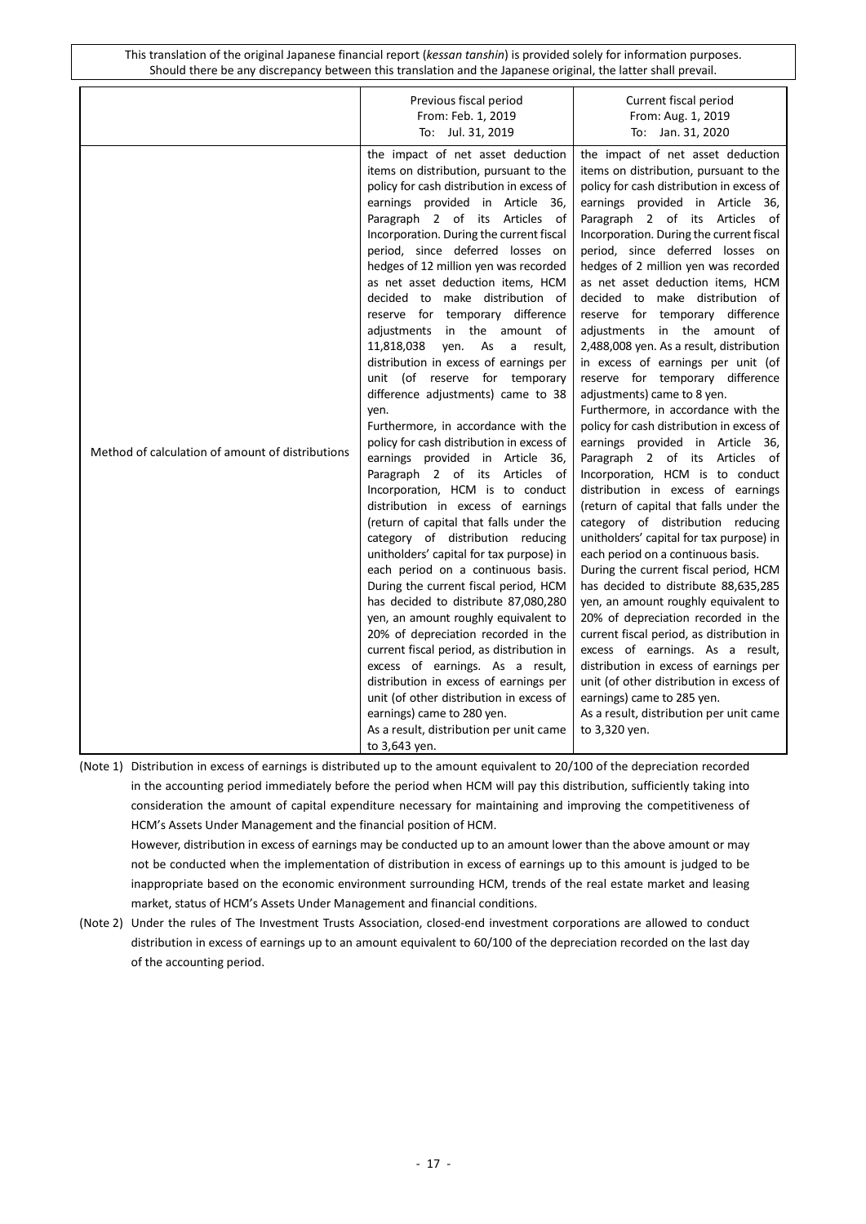|                                                  | Previous fiscal period<br>From: Feb. 1, 2019<br>To: Jul. 31, 2019                                                                                                                                                                                                                                                                                                                                                                                                                                                                                                                                                                                                                                                                                                                                                                                                                                                                                                                                                                                                                                                                                                                                                                                                                                                                                                                                                                                                          | Current fiscal period<br>From: Aug. 1, 2019<br>To: Jan. 31, 2020                                                                                                                                                                                                                                                                                                                                                                                                                                                                                                                                                                                                                                                                                                                                                                                                                                                                                                                                                                                                                                                                                                                                                                                                                                                                                                                                                                                               |
|--------------------------------------------------|----------------------------------------------------------------------------------------------------------------------------------------------------------------------------------------------------------------------------------------------------------------------------------------------------------------------------------------------------------------------------------------------------------------------------------------------------------------------------------------------------------------------------------------------------------------------------------------------------------------------------------------------------------------------------------------------------------------------------------------------------------------------------------------------------------------------------------------------------------------------------------------------------------------------------------------------------------------------------------------------------------------------------------------------------------------------------------------------------------------------------------------------------------------------------------------------------------------------------------------------------------------------------------------------------------------------------------------------------------------------------------------------------------------------------------------------------------------------------|----------------------------------------------------------------------------------------------------------------------------------------------------------------------------------------------------------------------------------------------------------------------------------------------------------------------------------------------------------------------------------------------------------------------------------------------------------------------------------------------------------------------------------------------------------------------------------------------------------------------------------------------------------------------------------------------------------------------------------------------------------------------------------------------------------------------------------------------------------------------------------------------------------------------------------------------------------------------------------------------------------------------------------------------------------------------------------------------------------------------------------------------------------------------------------------------------------------------------------------------------------------------------------------------------------------------------------------------------------------------------------------------------------------------------------------------------------------|
| Method of calculation of amount of distributions | the impact of net asset deduction<br>items on distribution, pursuant to the<br>policy for cash distribution in excess of<br>earnings provided in Article 36,<br>Paragraph 2 of its Articles of<br>Incorporation. During the current fiscal<br>period, since deferred losses on<br>hedges of 12 million yen was recorded<br>as net asset deduction items, HCM<br>decided to make distribution of<br>reserve for temporary difference<br>adjustments in the amount of<br>11,818,038<br>yen.<br>As a result,<br>distribution in excess of earnings per<br>unit (of reserve for temporary<br>difference adjustments) came to 38<br>yen.<br>Furthermore, in accordance with the<br>policy for cash distribution in excess of<br>earnings provided in Article 36,<br>Paragraph 2 of its Articles of<br>Incorporation, HCM is to conduct<br>distribution in excess of earnings<br>(return of capital that falls under the<br>category of distribution reducing<br>unitholders' capital for tax purpose) in<br>each period on a continuous basis.<br>During the current fiscal period, HCM<br>has decided to distribute 87,080,280<br>yen, an amount roughly equivalent to<br>20% of depreciation recorded in the<br>current fiscal period, as distribution in<br>excess of earnings. As a result,<br>distribution in excess of earnings per<br>unit (of other distribution in excess of<br>earnings) came to 280 yen.<br>As a result, distribution per unit came<br>to 3,643 yen. | the impact of net asset deduction<br>items on distribution, pursuant to the<br>policy for cash distribution in excess of<br>earnings provided in Article 36,<br>Paragraph 2 of its Articles of<br>Incorporation. During the current fiscal<br>period, since deferred losses on<br>hedges of 2 million yen was recorded<br>as net asset deduction items, HCM<br>decided to make distribution of<br>reserve for temporary difference<br>adjustments in the amount of<br>2,488,008 yen. As a result, distribution<br>in excess of earnings per unit (of<br>reserve for temporary difference<br>adjustments) came to 8 yen.<br>Furthermore, in accordance with the<br>policy for cash distribution in excess of<br>earnings provided in Article 36,<br>Paragraph 2 of its Articles of<br>Incorporation, HCM is to conduct<br>distribution in excess of earnings<br>(return of capital that falls under the<br>category of distribution reducing<br>unitholders' capital for tax purpose) in<br>each period on a continuous basis.<br>During the current fiscal period, HCM<br>has decided to distribute 88,635,285<br>yen, an amount roughly equivalent to<br>20% of depreciation recorded in the<br>current fiscal period, as distribution in<br>excess of earnings. As a result,<br>distribution in excess of earnings per<br>unit (of other distribution in excess of<br>earnings) came to 285 yen.<br>As a result, distribution per unit came<br>to 3,320 yen. |

(Note 1) Distribution in excess of earnings is distributed up to the amount equivalent to 20/100 of the depreciation recorded in the accounting period immediately before the period when HCM will pay this distribution, sufficiently taking into consideration the amount of capital expenditure necessary for maintaining and improving the competitiveness of HCM's Assets Under Management and the financial position of HCM.

However, distribution in excess of earnings may be conducted up to an amount lower than the above amount or may not be conducted when the implementation of distribution in excess of earnings up to this amount is judged to be inappropriate based on the economic environment surrounding HCM, trends of the real estate market and leasing market, status of HCM's Assets Under Management and financial conditions.

(Note 2) Under the rules of The Investment Trusts Association, closed-end investment corporations are allowed to conduct distribution in excess of earnings up to an amount equivalent to 60/100 of the depreciation recorded on the last day of the accounting period.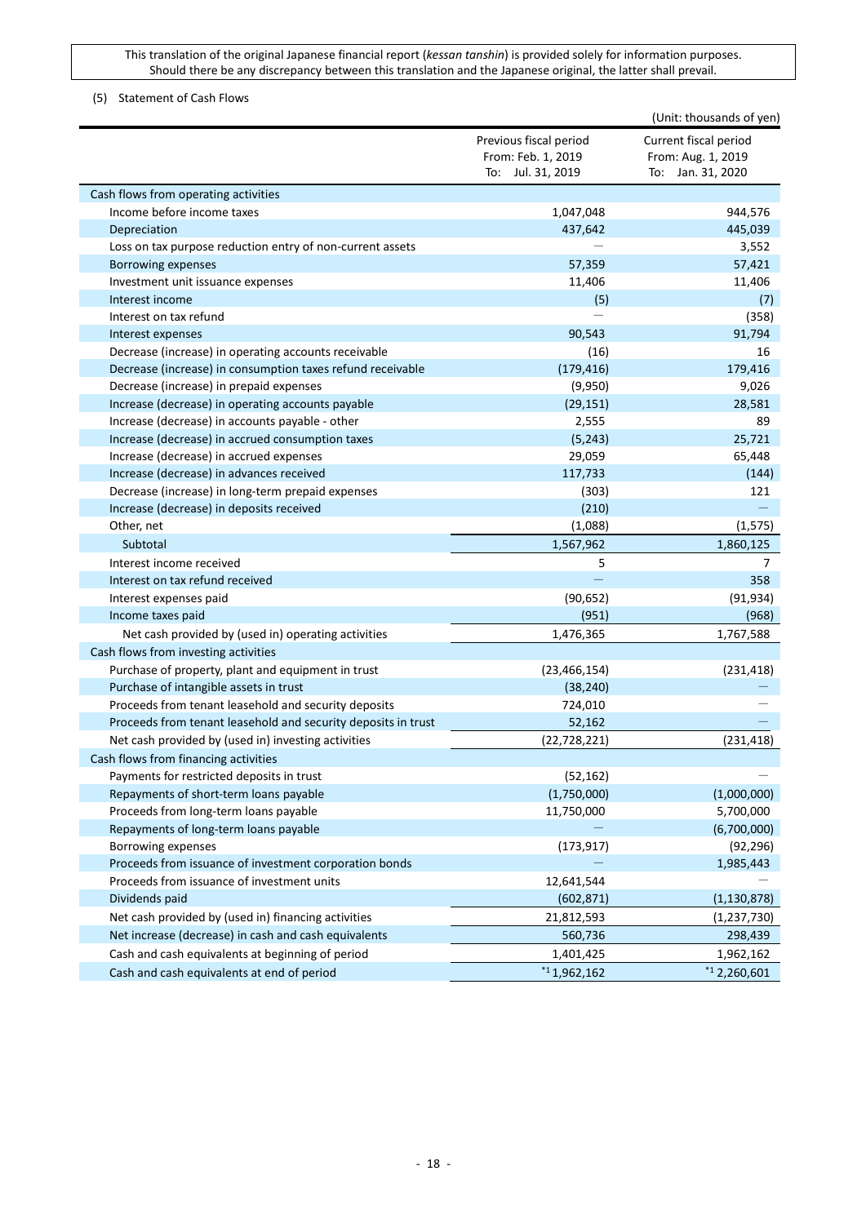### <span id="page-17-0"></span>(5) Statement of Cash Flows

|                                                               |                        | (Unit: thousands of yen) |
|---------------------------------------------------------------|------------------------|--------------------------|
|                                                               | Previous fiscal period | Current fiscal period    |
|                                                               | From: Feb. 1, 2019     | From: Aug. 1, 2019       |
|                                                               | To: Jul. 31, 2019      | To: Jan. 31, 2020        |
| Cash flows from operating activities                          |                        |                          |
| Income before income taxes                                    | 1,047,048              | 944,576                  |
| Depreciation                                                  | 437,642                | 445,039                  |
| Loss on tax purpose reduction entry of non-current assets     |                        | 3,552                    |
| Borrowing expenses                                            | 57,359                 | 57,421                   |
| Investment unit issuance expenses                             | 11,406                 | 11,406                   |
| Interest income                                               | (5)                    | (7)                      |
| Interest on tax refund                                        |                        | (358)                    |
| Interest expenses                                             | 90,543                 | 91,794                   |
| Decrease (increase) in operating accounts receivable          | (16)                   | 16                       |
| Decrease (increase) in consumption taxes refund receivable    | (179, 416)             | 179,416                  |
| Decrease (increase) in prepaid expenses                       | (9,950)                | 9,026                    |
| Increase (decrease) in operating accounts payable             | (29, 151)              | 28,581                   |
| Increase (decrease) in accounts payable - other               | 2,555                  | 89                       |
| Increase (decrease) in accrued consumption taxes              | (5, 243)               | 25,721                   |
| Increase (decrease) in accrued expenses                       | 29,059                 | 65,448                   |
| Increase (decrease) in advances received                      | 117,733                | (144)                    |
| Decrease (increase) in long-term prepaid expenses             | (303)                  | 121                      |
| Increase (decrease) in deposits received                      | (210)                  |                          |
| Other, net                                                    | (1,088)                | (1, 575)                 |
| Subtotal                                                      | 1,567,962              | 1,860,125                |
| Interest income received                                      | 5                      | 7                        |
| Interest on tax refund received                               |                        | 358                      |
| Interest expenses paid                                        | (90, 652)              | (91, 934)                |
| Income taxes paid                                             | (951)                  | (968)                    |
| Net cash provided by (used in) operating activities           | 1,476,365              | 1,767,588                |
| Cash flows from investing activities                          |                        |                          |
| Purchase of property, plant and equipment in trust            | (23, 466, 154)         | (231, 418)               |
| Purchase of intangible assets in trust                        | (38, 240)              |                          |
| Proceeds from tenant leasehold and security deposits          | 724,010                |                          |
| Proceeds from tenant leasehold and security deposits in trust | 52,162                 |                          |
| Net cash provided by (used in) investing activities           | (22, 728, 221)         | (231, 418)               |
| Cash flows from financing activities                          |                        |                          |
| Payments for restricted deposits in trust                     | (52, 162)              |                          |
| Repayments of short-term loans payable                        | (1,750,000)            | (1,000,000)              |
| Proceeds from long-term loans payable                         | 11,750,000             | 5,700,000                |
| Repayments of long-term loans payable                         |                        | (6,700,000)              |
| Borrowing expenses                                            | (173, 917)             | (92, 296)                |
| Proceeds from issuance of investment corporation bonds        |                        | 1,985,443                |
| Proceeds from issuance of investment units                    | 12,641,544             |                          |
| Dividends paid                                                | (602, 871)             | (1, 130, 878)            |
| Net cash provided by (used in) financing activities           | 21,812,593             | (1, 237, 730)            |
| Net increase (decrease) in cash and cash equivalents          | 560,736                | 298,439                  |
| Cash and cash equivalents at beginning of period              | 1,401,425              | 1,962,162                |
| Cash and cash equivalents at end of period                    | $*1,962,162$           | $*12,260,601$            |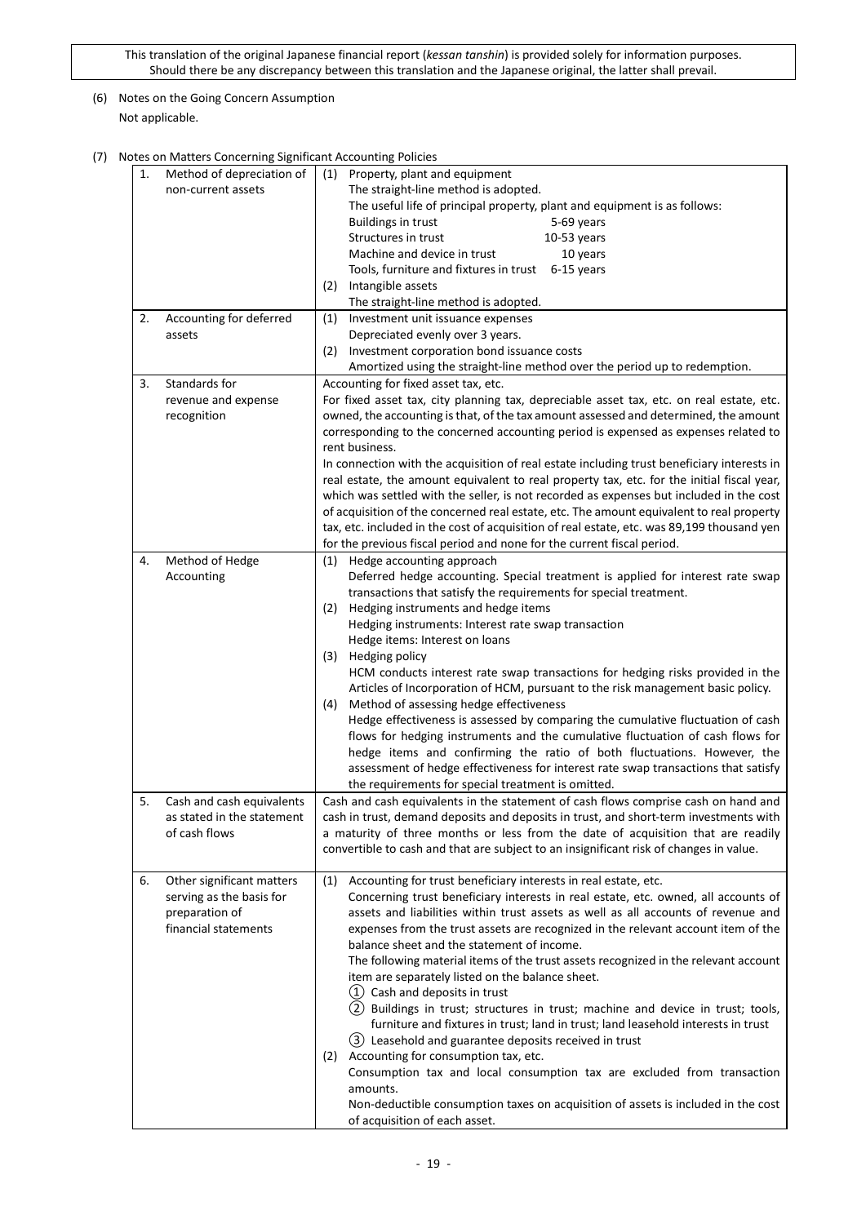## <span id="page-18-0"></span>(6) Notes on the Going Concern Assumption Not applicable.

<span id="page-18-1"></span>(7) Notes on Matters Concerning Significant Accounting Policies

| 1.<br>2. | on matters concerning significant riccounting rollercs<br>Method of depreciation of<br>non-current assets<br>Accounting for deferred<br>assets | (1) Property, plant and equipment<br>The straight-line method is adopted.<br>The useful life of principal property, plant and equipment is as follows:<br><b>Buildings in trust</b><br>5-69 years<br>Structures in trust<br>$10-53$ years<br>Machine and device in trust<br>10 years<br>Tools, furniture and fixtures in trust 6-15 years<br>Intangible assets<br>(2)<br>The straight-line method is adopted.<br>Investment unit issuance expenses<br>(1)<br>Depreciated evenly over 3 years.<br>(2) Investment corporation bond issuance costs                                                                                                                                                                                                                                                                                                                                                                                                                                                                                                               |
|----------|------------------------------------------------------------------------------------------------------------------------------------------------|---------------------------------------------------------------------------------------------------------------------------------------------------------------------------------------------------------------------------------------------------------------------------------------------------------------------------------------------------------------------------------------------------------------------------------------------------------------------------------------------------------------------------------------------------------------------------------------------------------------------------------------------------------------------------------------------------------------------------------------------------------------------------------------------------------------------------------------------------------------------------------------------------------------------------------------------------------------------------------------------------------------------------------------------------------------|
| 3.       | Standards for<br>revenue and expense<br>recognition                                                                                            | Amortized using the straight-line method over the period up to redemption.<br>Accounting for fixed asset tax, etc.<br>For fixed asset tax, city planning tax, depreciable asset tax, etc. on real estate, etc.<br>owned, the accounting is that, of the tax amount assessed and determined, the amount<br>corresponding to the concerned accounting period is expensed as expenses related to<br>rent business.<br>In connection with the acquisition of real estate including trust beneficiary interests in<br>real estate, the amount equivalent to real property tax, etc. for the initial fiscal year,<br>which was settled with the seller, is not recorded as expenses but included in the cost<br>of acquisition of the concerned real estate, etc. The amount equivalent to real property<br>tax, etc. included in the cost of acquisition of real estate, etc. was 89,199 thousand yen<br>for the previous fiscal period and none for the current fiscal period.                                                                                    |
| 4.       | Method of Hedge<br>Accounting                                                                                                                  | (1) Hedge accounting approach<br>Deferred hedge accounting. Special treatment is applied for interest rate swap<br>transactions that satisfy the requirements for special treatment.<br>Hedging instruments and hedge items<br>(2)<br>Hedging instruments: Interest rate swap transaction<br>Hedge items: Interest on loans<br>Hedging policy<br>(3)<br>HCM conducts interest rate swap transactions for hedging risks provided in the<br>Articles of Incorporation of HCM, pursuant to the risk management basic policy.<br>Method of assessing hedge effectiveness<br>(4)<br>Hedge effectiveness is assessed by comparing the cumulative fluctuation of cash<br>flows for hedging instruments and the cumulative fluctuation of cash flows for<br>hedge items and confirming the ratio of both fluctuations. However, the<br>assessment of hedge effectiveness for interest rate swap transactions that satisfy<br>the requirements for special treatment is omitted.                                                                                       |
| 5.       | Cash and cash equivalents<br>as stated in the statement<br>of cash flows                                                                       | Cash and cash equivalents in the statement of cash flows comprise cash on hand and<br>cash in trust, demand deposits and deposits in trust, and short-term investments with<br>a maturity of three months or less from the date of acquisition that are readily<br>convertible to cash and that are subject to an insignificant risk of changes in value.                                                                                                                                                                                                                                                                                                                                                                                                                                                                                                                                                                                                                                                                                                     |
| 6.       | Other significant matters<br>serving as the basis for<br>preparation of<br>financial statements                                                | Accounting for trust beneficiary interests in real estate, etc.<br>(1)<br>Concerning trust beneficiary interests in real estate, etc. owned, all accounts of<br>assets and liabilities within trust assets as well as all accounts of revenue and<br>expenses from the trust assets are recognized in the relevant account item of the<br>balance sheet and the statement of income.<br>The following material items of the trust assets recognized in the relevant account<br>item are separately listed on the balance sheet.<br>(1) Cash and deposits in trust<br>(2) Buildings in trust; structures in trust; machine and device in trust; tools,<br>furniture and fixtures in trust; land in trust; land leasehold interests in trust<br>(3) Leasehold and guarantee deposits received in trust<br>(2) Accounting for consumption tax, etc.<br>Consumption tax and local consumption tax are excluded from transaction<br>amounts.<br>Non-deductible consumption taxes on acquisition of assets is included in the cost<br>of acquisition of each asset. |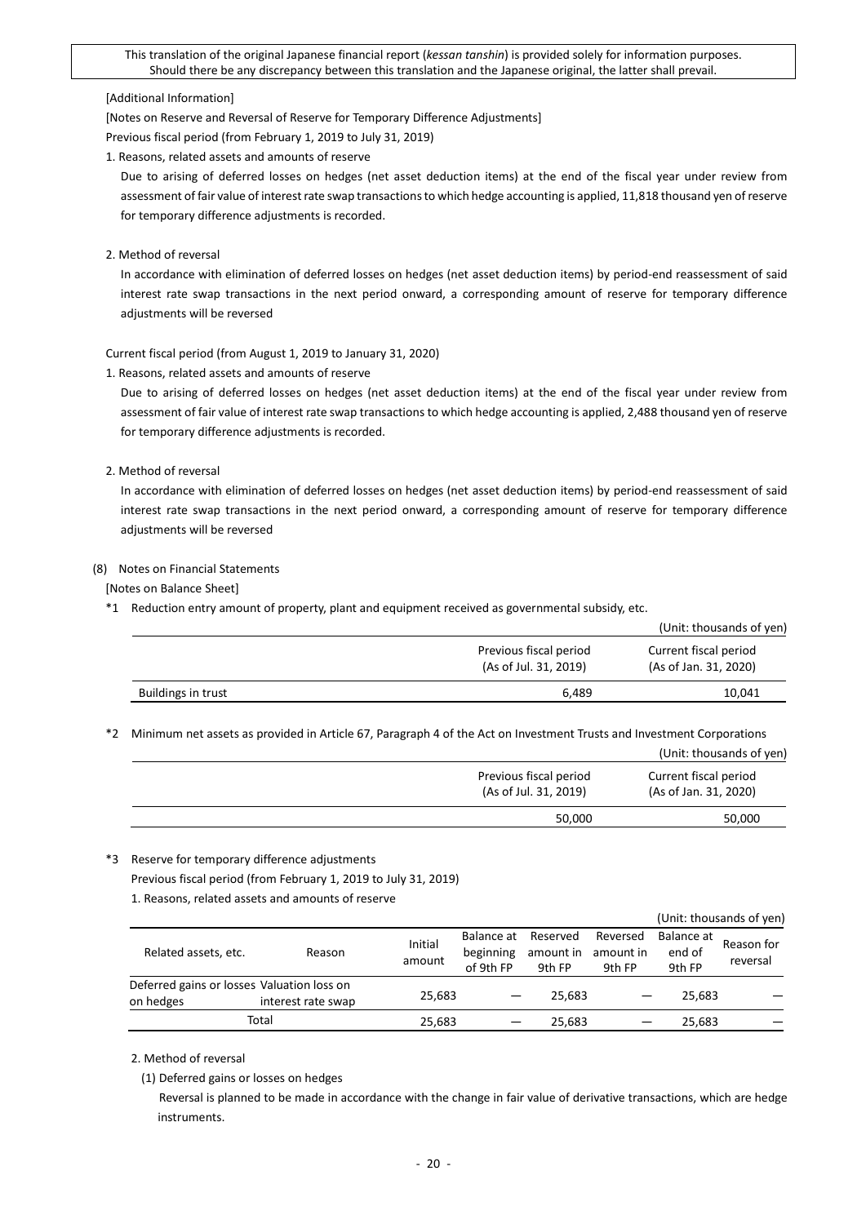#### [Additional Information]

[Notes on Reserve and Reversal of Reserve for Temporary Difference Adjustments]

Previous fiscal period (from February 1, 2019 to July 31, 2019)

1. Reasons, related assets and amounts of reserve

Due to arising of deferred losses on hedges (net asset deduction items) at the end of the fiscal year under review from assessment of fair value of interest rate swap transactions to which hedge accounting is applied, 11,818 thousand yen of reserve for temporary difference adjustments is recorded.

2. Method of reversal

In accordance with elimination of deferred losses on hedges (net asset deduction items) by period-end reassessment of said interest rate swap transactions in the next period onward, a corresponding amount of reserve for temporary difference adjustments will be reversed

Current fiscal period (from August 1, 2019 to January 31, 2020)

1. Reasons, related assets and amounts of reserve

Due to arising of deferred losses on hedges (net asset deduction items) at the end of the fiscal year under review from assessment of fair value of interest rate swap transactions to which hedge accounting is applied, 2,488 thousand yen of reserve for temporary difference adjustments is recorded.

### 2. Method of reversal

In accordance with elimination of deferred losses on hedges (net asset deduction items) by period-end reassessment of said interest rate swap transactions in the next period onward, a corresponding amount of reserve for temporary difference adjustments will be reversed

### <span id="page-19-0"></span>(8) Notes on Financial Statements

[Notes on Balance Sheet]

\*1 Reduction entry amount of property, plant and equipment received as governmental subsidy, etc.

|                    |                                                 | (Unit: thousands of yen)                       |
|--------------------|-------------------------------------------------|------------------------------------------------|
|                    | Previous fiscal period<br>(As of Jul. 31, 2019) | Current fiscal period<br>(As of Jan. 31, 2020) |
| Buildings in trust | 6.489                                           | 10,041                                         |

\*2 Minimum net assets as provided in Article 67, Paragraph 4 of the Act on Investment Trusts and Investment Corporations

|                                                 | (Unit: thousands of yen)                       |
|-------------------------------------------------|------------------------------------------------|
| Previous fiscal period<br>(As of Jul. 31, 2019) | Current fiscal period<br>(As of Jan. 31, 2020) |
| 50,000                                          | 50,000                                         |
|                                                 |                                                |

#### \*3 Reserve for temporary difference adjustments

Previous fiscal period (from February 1, 2019 to July 31, 2019)

1. Reasons, related assets and amounts of reserve

|                                                         |                    |                   |                                      |                                 |                                 |                                | (Unit: thousands of yen) |
|---------------------------------------------------------|--------------------|-------------------|--------------------------------------|---------------------------------|---------------------------------|--------------------------------|--------------------------|
| Related assets, etc.                                    | Reason             | Initial<br>amount | Balance at<br>beginning<br>of 9th FP | Reserved<br>amount in<br>9th FP | Reversed<br>amount in<br>9th FP | Balance at<br>end of<br>9th FP | Reason for<br>reversal   |
| Deferred gains or losses Valuation loss on<br>on hedges | interest rate swap | 25,683            |                                      | 25.683                          |                                 | 25.683                         |                          |
|                                                         | Total              | 25,683            |                                      | 25.683                          |                                 | 25.683                         |                          |

## 2. Method of reversal

(1) Deferred gains or losses on hedges

Reversal is planned to be made in accordance with the change in fair value of derivative transactions, which are hedge instruments.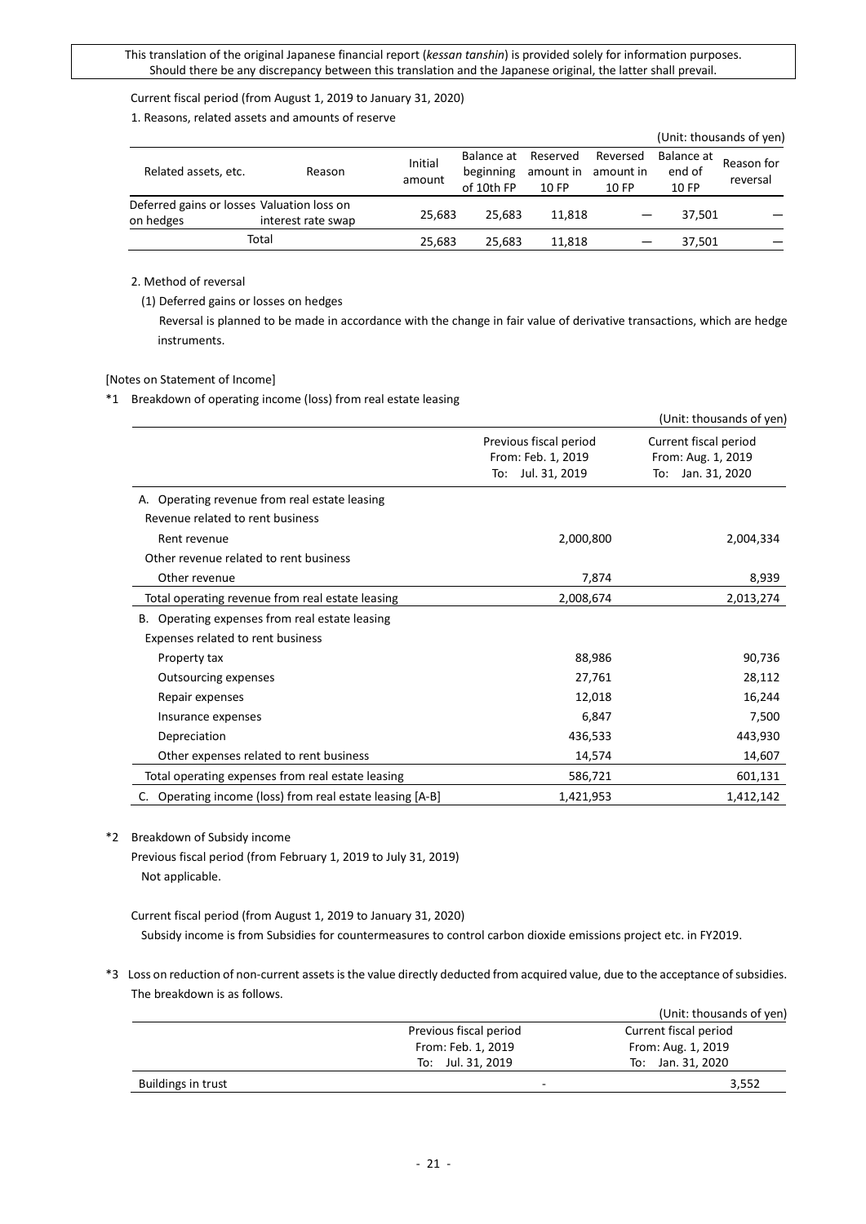Current fiscal period (from August 1, 2019 to January 31, 2020)

1. Reasons, related assets and amounts of reserve

|                                                         |                    |                   |                                       |                                |                                |                               | (Unit: thousands of yen) |
|---------------------------------------------------------|--------------------|-------------------|---------------------------------------|--------------------------------|--------------------------------|-------------------------------|--------------------------|
| Related assets, etc.                                    | Reason             | Initial<br>amount | Balance at<br>beginning<br>of 10th FP | Reserved<br>amount in<br>10 FP | Reversed<br>amount in<br>10 FP | Balance at<br>end of<br>10 FP | Reason for<br>reversal   |
| Deferred gains or losses Valuation loss on<br>on hedges | interest rate swap | 25.683            | 25.683                                | 11.818                         |                                | 37.501                        |                          |
|                                                         | Total              | 25.683            | 25.683                                | 11.818                         |                                | 37.501                        |                          |

### 2. Method of reversal

(1) Deferred gains or losses on hedges

Reversal is planned to be made in accordance with the change in fair value of derivative transactions, which are hedge instruments.

### [Notes on Statement of Income]

\*1 Breakdown of operating income (loss) from real estate leasing

|                                                              |                                                                      | (Unit: thousands of yen)                                            |
|--------------------------------------------------------------|----------------------------------------------------------------------|---------------------------------------------------------------------|
|                                                              | Previous fiscal period<br>From: Feb. 1, 2019<br>Jul. 31, 2019<br>To: | Current fiscal period<br>From: Aug. 1, 2019<br>Jan. 31, 2020<br>To: |
| A. Operating revenue from real estate leasing                |                                                                      |                                                                     |
| Revenue related to rent business                             |                                                                      |                                                                     |
| Rent revenue                                                 | 2,000,800                                                            | 2,004,334                                                           |
| Other revenue related to rent business                       |                                                                      |                                                                     |
| Other revenue                                                | 7,874                                                                | 8,939                                                               |
| Total operating revenue from real estate leasing             | 2,008,674                                                            | 2,013,274                                                           |
| Operating expenses from real estate leasing<br>В.            |                                                                      |                                                                     |
| Expenses related to rent business                            |                                                                      |                                                                     |
| Property tax                                                 | 88,986                                                               | 90,736                                                              |
| <b>Outsourcing expenses</b>                                  | 27,761                                                               | 28,112                                                              |
| Repair expenses                                              | 12,018                                                               | 16,244                                                              |
| Insurance expenses                                           | 6,847                                                                | 7,500                                                               |
| Depreciation                                                 | 436,533                                                              | 443,930                                                             |
| Other expenses related to rent business                      | 14,574                                                               | 14,607                                                              |
| Total operating expenses from real estate leasing            | 586,721                                                              | 601,131                                                             |
| Operating income (loss) from real estate leasing [A-B]<br>C. | 1,421,953                                                            | 1,412,142                                                           |

\*2 Breakdown of Subsidy income

Previous fiscal period (from February 1, 2019 to July 31, 2019) Not applicable.

Current fiscal period (from August 1, 2019 to January 31, 2020) Subsidy income is from Subsidies for countermeasures to control carbon dioxide emissions project etc. in FY2019.

\*3 Loss on reduction of non-current assets is the value directly deducted from acquired value, due to the acceptance of subsidies. The breakdown is as follows.

|                    |                        | (Unit: thousands of yen) |
|--------------------|------------------------|--------------------------|
|                    | Previous fiscal period | Current fiscal period    |
|                    | From: Feb. 1, 2019     | From: Aug. 1, 2019       |
|                    | To: Jul. 31, 2019      | To: Jan. 31, 2020        |
| Buildings in trust | -                      | 3,552                    |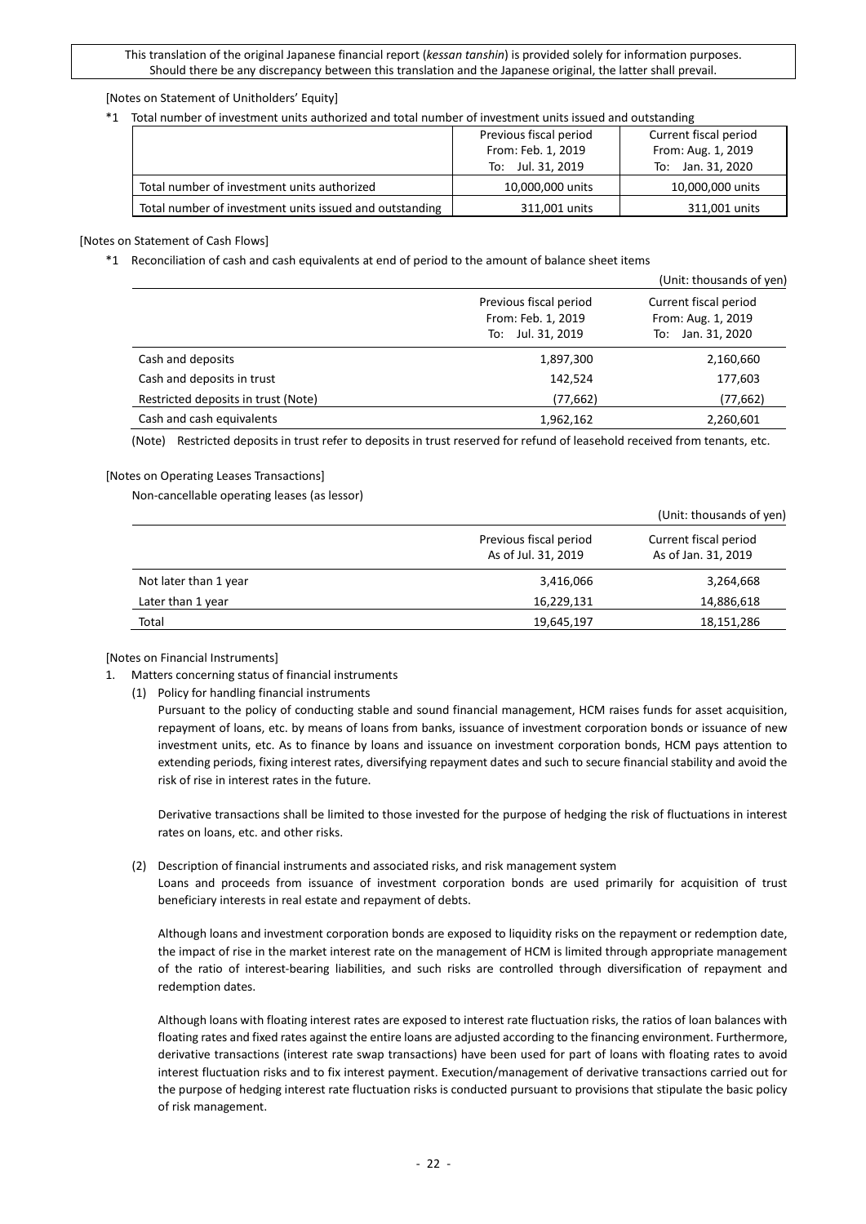#### [Notes on Statement of Unitholders' Equity]

\*1 Total number of investment units authorized and total number of investment units issued and outstanding

|                                                         | Previous fiscal period |                    |  |  |  |
|---------------------------------------------------------|------------------------|--------------------|--|--|--|
|                                                         | From: Feb. 1, 2019     | From: Aug. 1, 2019 |  |  |  |
|                                                         | To: Jul. 31, 2019      | To: Jan. 31, 2020  |  |  |  |
| Total number of investment units authorized             | 10,000,000 units       | 10,000,000 units   |  |  |  |
| Total number of investment units issued and outstanding | 311,001 units          | 311,001 units      |  |  |  |

#### [Notes on Statement of Cash Flows]

#### \*1 Reconciliation of cash and cash equivalents at end of period to the amount of balance sheet items

|                                     |                                                                   | (Unit: thousands of yen)                                         |
|-------------------------------------|-------------------------------------------------------------------|------------------------------------------------------------------|
|                                     | Previous fiscal period<br>From: Feb. 1, 2019<br>To: Jul. 31, 2019 | Current fiscal period<br>From: Aug. 1, 2019<br>To: Jan. 31, 2020 |
| Cash and deposits                   | 1,897,300                                                         | 2,160,660                                                        |
| Cash and deposits in trust          | 142,524                                                           | 177,603                                                          |
| Restricted deposits in trust (Note) | (77, 662)                                                         | (77, 662)                                                        |
| Cash and cash equivalents           | 1,962,162                                                         | 2,260,601                                                        |

(Note) Restricted deposits in trust refer to deposits in trust reserved for refund of leasehold received from tenants, etc.

#### [Notes on Operating Leases Transactions]

Non-cancellable operating leases (as lessor)

|                       |                                               | (Unit: thousands of yen)                     |
|-----------------------|-----------------------------------------------|----------------------------------------------|
|                       | Previous fiscal period<br>As of Jul. 31, 2019 | Current fiscal period<br>As of Jan. 31, 2019 |
| Not later than 1 year | 3,416,066                                     | 3,264,668                                    |
| Later than 1 year     | 16,229,131                                    | 14,886,618                                   |
| Total                 | 19,645,197                                    | 18,151,286                                   |

[Notes on Financial Instruments]

- 1. Matters concerning status of financial instruments
	- (1) Policy for handling financial instruments

Pursuant to the policy of conducting stable and sound financial management, HCM raises funds for asset acquisition, repayment of loans, etc. by means of loans from banks, issuance of investment corporation bonds or issuance of new investment units, etc. As to finance by loans and issuance on investment corporation bonds, HCM pays attention to extending periods, fixing interest rates, diversifying repayment dates and such to secure financial stability and avoid the risk of rise in interest rates in the future.

Derivative transactions shall be limited to those invested for the purpose of hedging the risk of fluctuations in interest rates on loans, etc. and other risks.

(2) Description of financial instruments and associated risks, and risk management system Loans and proceeds from issuance of investment corporation bonds are used primarily for acquisition of trust

beneficiary interests in real estate and repayment of debts.

Although loans and investment corporation bonds are exposed to liquidity risks on the repayment or redemption date, the impact of rise in the market interest rate on the management of HCM is limited through appropriate management of the ratio of interest-bearing liabilities, and such risks are controlled through diversification of repayment and redemption dates.

Although loans with floating interest rates are exposed to interest rate fluctuation risks, the ratios of loan balances with floating rates and fixed rates against the entire loans are adjusted according to the financing environment. Furthermore, derivative transactions (interest rate swap transactions) have been used for part of loans with floating rates to avoid interest fluctuation risks and to fix interest payment. Execution/management of derivative transactions carried out for the purpose of hedging interest rate fluctuation risks is conducted pursuant to provisions that stipulate the basic policy of risk management.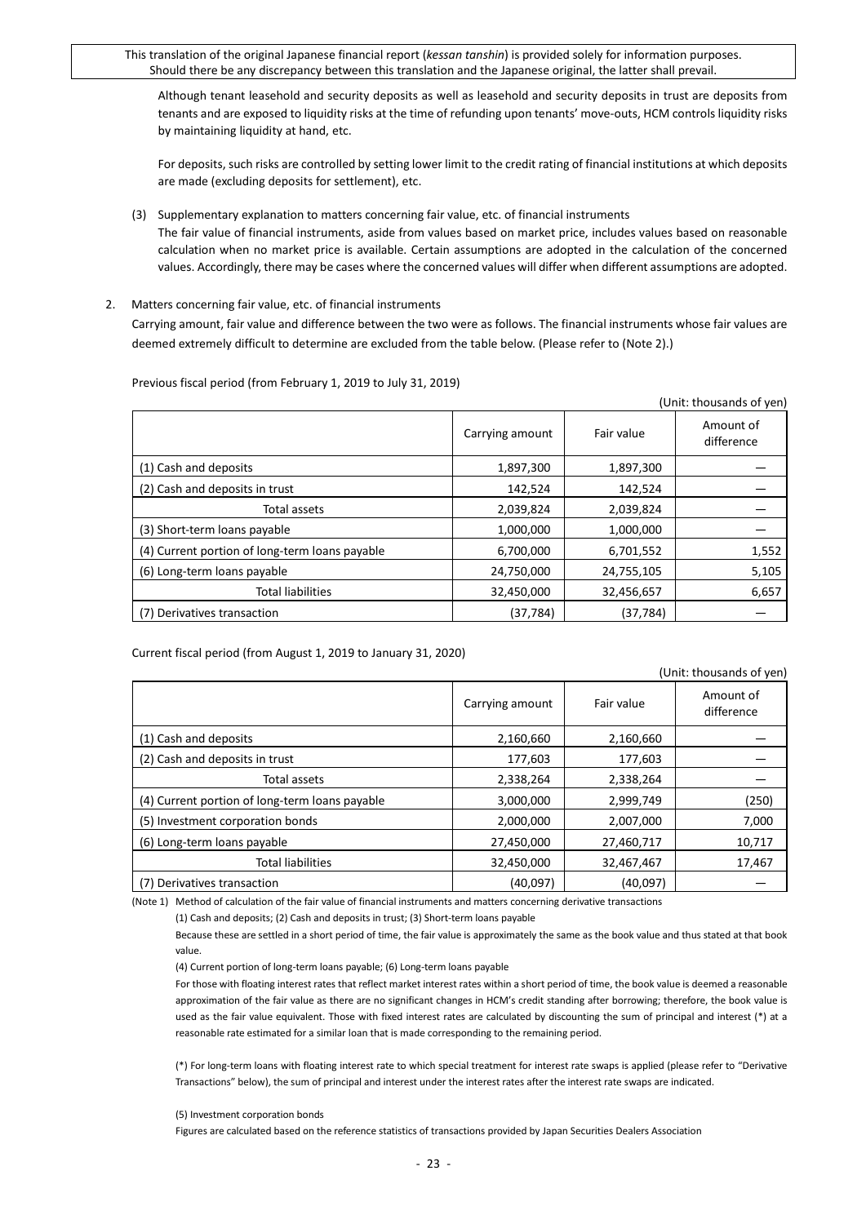Although tenant leasehold and security deposits as well as leasehold and security deposits in trust are deposits from tenants and are exposed to liquidity risks at the time of refunding upon tenants' move-outs, HCM controls liquidity risks by maintaining liquidity at hand, etc.

For deposits, such risks are controlled by setting lower limit to the credit rating of financial institutions at which deposits are made (excluding deposits for settlement), etc.

(3) Supplementary explanation to matters concerning fair value, etc. of financial instruments

The fair value of financial instruments, aside from values based on market price, includes values based on reasonable calculation when no market price is available. Certain assumptions are adopted in the calculation of the concerned values. Accordingly, there may be cases where the concerned values will differ when different assumptions are adopted.

2. Matters concerning fair value, etc. of financial instruments

Carrying amount, fair value and difference between the two were as follows. The financial instruments whose fair values are deemed extremely difficult to determine are excluded from the table below. (Please refer to (Note 2).)

| (Unit: thousands of yen)                       |                 |            |                         |  |
|------------------------------------------------|-----------------|------------|-------------------------|--|
|                                                | Carrying amount | Fair value | Amount of<br>difference |  |
| (1) Cash and deposits                          | 1,897,300       | 1,897,300  |                         |  |
| (2) Cash and deposits in trust                 | 142,524         | 142,524    |                         |  |
| Total assets                                   | 2,039,824       | 2,039,824  |                         |  |
| (3) Short-term loans payable                   | 1,000,000       | 1,000,000  |                         |  |
| (4) Current portion of long-term loans payable | 6,700,000       | 6,701,552  | 1,552                   |  |
| (6) Long-term loans payable                    | 24,750,000      | 24,755,105 | 5,105                   |  |
| <b>Total liabilities</b>                       | 32,450,000      | 32,456,657 | 6,657                   |  |
| (7) Derivatives transaction                    | (37,784)        | (37, 784)  |                         |  |

Previous fiscal period (from February 1, 2019 to July 31, 2019)

Current fiscal period (from August 1, 2019 to January 31, 2020)

| (Unit: thousands of yen)                       |                 |            |                         |  |  |  |  |
|------------------------------------------------|-----------------|------------|-------------------------|--|--|--|--|
|                                                | Carrying amount | Fair value | Amount of<br>difference |  |  |  |  |
| (1) Cash and deposits                          | 2,160,660       | 2,160,660  |                         |  |  |  |  |
| (2) Cash and deposits in trust                 | 177,603         | 177,603    |                         |  |  |  |  |
| Total assets                                   | 2,338,264       | 2,338,264  |                         |  |  |  |  |
| (4) Current portion of long-term loans payable | 3,000,000       | 2,999,749  | (250)                   |  |  |  |  |
| (5) Investment corporation bonds               | 2,000,000       | 2,007,000  | 7,000                   |  |  |  |  |
| (6) Long-term loans payable                    | 27,450,000      | 27,460,717 | 10,717                  |  |  |  |  |
| <b>Total liabilities</b>                       | 32,450,000      | 32,467,467 | 17,467                  |  |  |  |  |
| (7) Derivatives transaction                    | (40,097)        | (40,097)   |                         |  |  |  |  |

(Note 1) Method of calculation of the fair value of financial instruments and matters concerning derivative transactions

(1) Cash and deposits; (2) Cash and deposits in trust; (3) Short-term loans payable

Because these are settled in a short period of time, the fair value is approximately the same as the book value and thus stated at that book value.

(4) Current portion of long-term loans payable; (6) Long-term loans payable

For those with floating interest rates that reflect market interest rates within a short period of time, the book value is deemed a reasonable approximation of the fair value as there are no significant changes in HCM's credit standing after borrowing; therefore, the book value is used as the fair value equivalent. Those with fixed interest rates are calculated by discounting the sum of principal and interest (\*) at a reasonable rate estimated for a similar loan that is made corresponding to the remaining period.

(\*) For long-term loans with floating interest rate to which special treatment for interest rate swaps is applied (please refer to "Derivative Transactions" below), the sum of principal and interest under the interest rates after the interest rate swaps are indicated.

(5) Investment corporation bonds

Figures are calculated based on the reference statistics of transactions provided by Japan Securities Dealers Association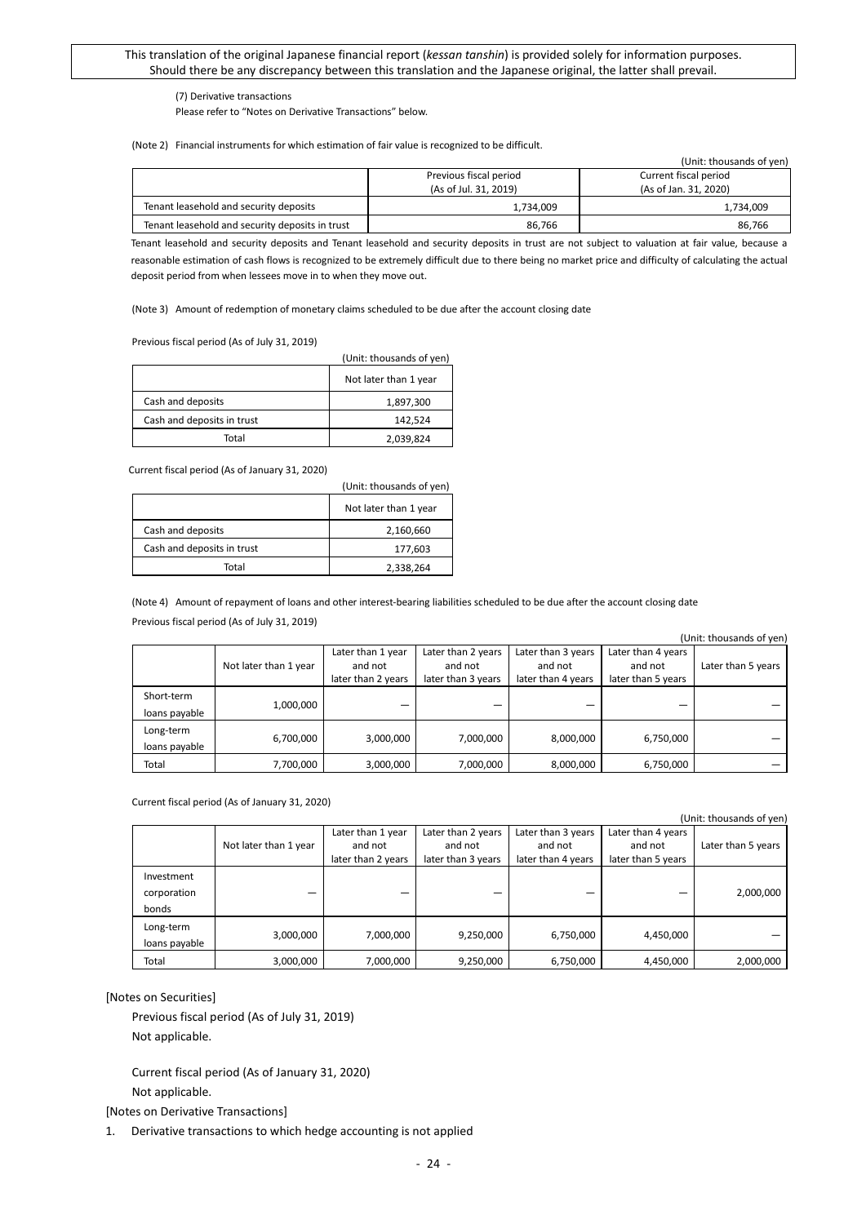#### (7) Derivative transactions

Please refer to "Notes on Derivative Transactions" below.

(Note 2) Financial instruments for which estimation of fair value is recognized to be difficult.

(Unit: thousands of yen)

| (UNIIL. LNUUSANUS UI VEN)                       |                        |                       |  |  |  |  |  |  |
|-------------------------------------------------|------------------------|-----------------------|--|--|--|--|--|--|
|                                                 | Previous fiscal period | Current fiscal period |  |  |  |  |  |  |
|                                                 | (As of Jul. 31, 2019)  | (As of Jan. 31, 2020) |  |  |  |  |  |  |
| Tenant leasehold and security deposits          | 1.734.009              | 1,734,009             |  |  |  |  |  |  |
| Tenant leasehold and security deposits in trust | 86.766                 | 86,766                |  |  |  |  |  |  |

Tenant leasehold and security deposits and Tenant leasehold and security deposits in trust are not subject to valuation at fair value, because a reasonable estimation of cash flows is recognized to be extremely difficult due to there being no market price and difficulty of calculating the actual deposit period from when lessees move in to when they move out.

(Note 3) Amount of redemption of monetary claims scheduled to be due after the account closing date

Previous fiscal period (As of July 31, 2019)

|                            | (Unit: thousands of yen) |
|----------------------------|--------------------------|
|                            | Not later than 1 year    |
| Cash and deposits          | 1,897,300                |
| Cash and deposits in trust | 142,524                  |
| Total                      | 2,039,824                |

Current fiscal period (As of January 31, 2020)

|                            | (Unit: thousands of yen) |
|----------------------------|--------------------------|
|                            | Not later than 1 year    |
| Cash and deposits          | 2,160,660                |
| Cash and deposits in trust | 177,603                  |
| Total                      | 2,338,264                |

(Note 4) Amount of repayment of loans and other interest-bearing liabilities scheduled to be due after the account closing date Previous fiscal period (As of July 31, 2019)

| (Unit: thousands of yen)    |                       |                                                    |                                                     |                                                     |                                                     |                    |  |  |  |
|-----------------------------|-----------------------|----------------------------------------------------|-----------------------------------------------------|-----------------------------------------------------|-----------------------------------------------------|--------------------|--|--|--|
|                             | Not later than 1 year | Later than 1 year<br>and not<br>later than 2 years | Later than 2 years<br>and not<br>later than 3 years | Later than 3 years<br>and not<br>later than 4 years | Later than 4 years<br>and not<br>later than 5 years | Later than 5 years |  |  |  |
| Short-term<br>loans payable | 1,000,000             |                                                    |                                                     |                                                     |                                                     |                    |  |  |  |
| Long-term<br>loans payable  | 6,700,000             | 3,000,000                                          | 7,000,000                                           | 8,000,000                                           | 6,750,000                                           |                    |  |  |  |
| Total                       | 7,700,000             | 3,000,000                                          | 7,000,000                                           | 8,000,000                                           | 6,750,000                                           |                    |  |  |  |

Current fiscal period (As of January 31, 2020)

| (Unit: thousands of yen) |                       |                              |                               |                               |                               |                    |  |  |  |
|--------------------------|-----------------------|------------------------------|-------------------------------|-------------------------------|-------------------------------|--------------------|--|--|--|
|                          |                       | Later than 1 year<br>and not | Later than 2 years            | Later than 3 years<br>and not | Later than 4 years<br>and not |                    |  |  |  |
|                          | Not later than 1 year | later than 2 years           | and not<br>later than 3 years | later than 4 years            | later than 5 years            | Later than 5 years |  |  |  |
| Investment               |                       |                              |                               |                               |                               |                    |  |  |  |
| corporation              | –                     |                              |                               |                               |                               | 2,000,000          |  |  |  |
| bonds                    |                       |                              |                               |                               |                               |                    |  |  |  |
| Long-term                | 3,000,000             | 7,000,000                    | 9,250,000                     | 6,750,000                     | 4,450,000                     |                    |  |  |  |
| loans payable            |                       |                              |                               |                               |                               |                    |  |  |  |
| Total                    | 3,000,000             | 7,000,000                    | 9,250,000                     | 6,750,000                     | 4,450,000                     | 2,000,000          |  |  |  |

#### [Notes on Securities]

Previous fiscal period (As of July 31, 2019) Not applicable.

Current fiscal period (As of January 31, 2020) Not applicable.

[Notes on Derivative Transactions]

1. Derivative transactions to which hedge accounting is not applied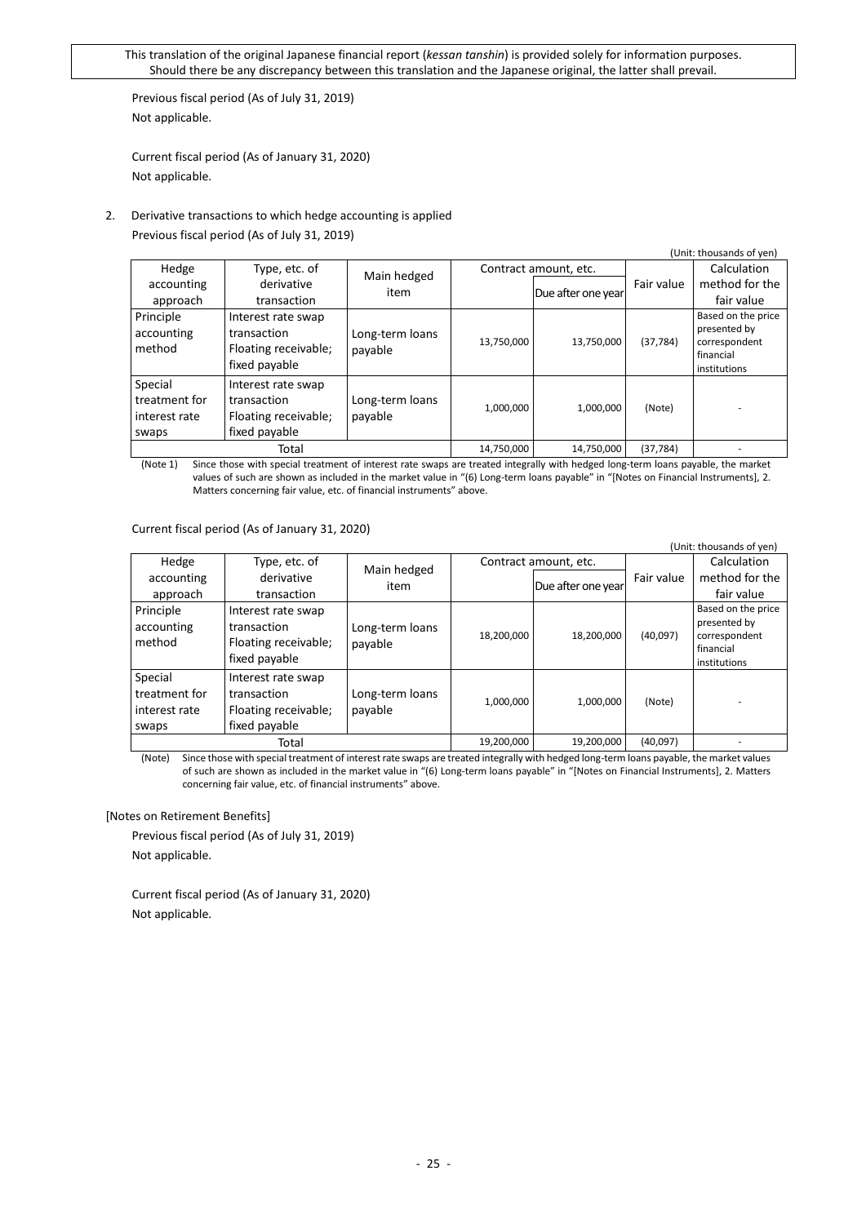Previous fiscal period (As of July 31, 2019) Not applicable.

Current fiscal period (As of January 31, 2020) Not applicable.

## 2. Derivative transactions to which hedge accounting is applied Previous fiscal period (As of July 31, 2019)

| (Unit: thousands of yen)                           |                                                                            |                            |            |                       |            |                                                                                  |  |  |  |
|----------------------------------------------------|----------------------------------------------------------------------------|----------------------------|------------|-----------------------|------------|----------------------------------------------------------------------------------|--|--|--|
| Hedge                                              | Type, etc. of                                                              |                            |            | Contract amount, etc. |            | Calculation                                                                      |  |  |  |
| accounting                                         | derivative                                                                 | Main hedged                |            | Due after one year    | Fair value | method for the                                                                   |  |  |  |
| approach                                           | transaction                                                                | item                       |            |                       |            | fair value                                                                       |  |  |  |
| Principle<br>accounting<br>method                  | Interest rate swap<br>transaction<br>Floating receivable;<br>fixed payable | Long-term loans<br>payable | 13,750,000 | 13,750,000            | (37, 784)  | Based on the price<br>presented by<br>correspondent<br>financial<br>institutions |  |  |  |
| Special<br>treatment for<br>interest rate<br>swaps | Interest rate swap<br>transaction<br>Floating receivable;<br>fixed payable | Long-term loans<br>payable | 1,000,000  | 1,000,000             | (Note)     |                                                                                  |  |  |  |
|                                                    | Total                                                                      |                            | 14,750,000 | 14,750,000            | (37, 784)  |                                                                                  |  |  |  |

(Note 1) Since those with special treatment of interest rate swaps are treated integrally with hedged long-term loans payable, the market values of such are shown as included in the market value in "(6) Long-term loans payable" in "[Notes on Financial Instruments], 2. Matters concerning fair value, etc. of financial instruments" above.

Current fiscal period (As of January 31, 2020)

|                                                    |                                                                            |                            |            |                       |            | (Unit: thousands of yen)                                                         |
|----------------------------------------------------|----------------------------------------------------------------------------|----------------------------|------------|-----------------------|------------|----------------------------------------------------------------------------------|
| Hedge                                              | Type, etc. of                                                              |                            |            | Contract amount, etc. |            | Calculation                                                                      |
| accounting                                         | derivative                                                                 | Main hedged<br>item        |            | Due after one year    | Fair value | method for the                                                                   |
| approach                                           | transaction                                                                |                            |            |                       |            | fair value                                                                       |
| Principle<br>accounting<br>method                  | Interest rate swap<br>transaction<br>Floating receivable;<br>fixed payable | Long-term loans<br>payable | 18,200,000 | 18,200,000            | (40,097)   | Based on the price<br>presented by<br>correspondent<br>financial<br>institutions |
| Special<br>treatment for<br>interest rate<br>swaps | Interest rate swap<br>transaction<br>Floating receivable;<br>fixed payable | Long-term loans<br>payable | 1,000,000  | 1,000,000             | (Note)     |                                                                                  |
|                                                    | Total                                                                      |                            | 19,200,000 | 19,200,000            | (40,097)   |                                                                                  |

(Note) Since those with special treatment of interest rate swaps are treated integrally with hedged long-term loans payable, the market values of such are shown as included in the market value in "(6) Long-term loans payable" in "[Notes on Financial Instruments], 2. Matters concerning fair value, etc. of financial instruments" above.

[Notes on Retirement Benefits]

Previous fiscal period (As of July 31, 2019) Not applicable.

Current fiscal period (As of January 31, 2020) Not applicable.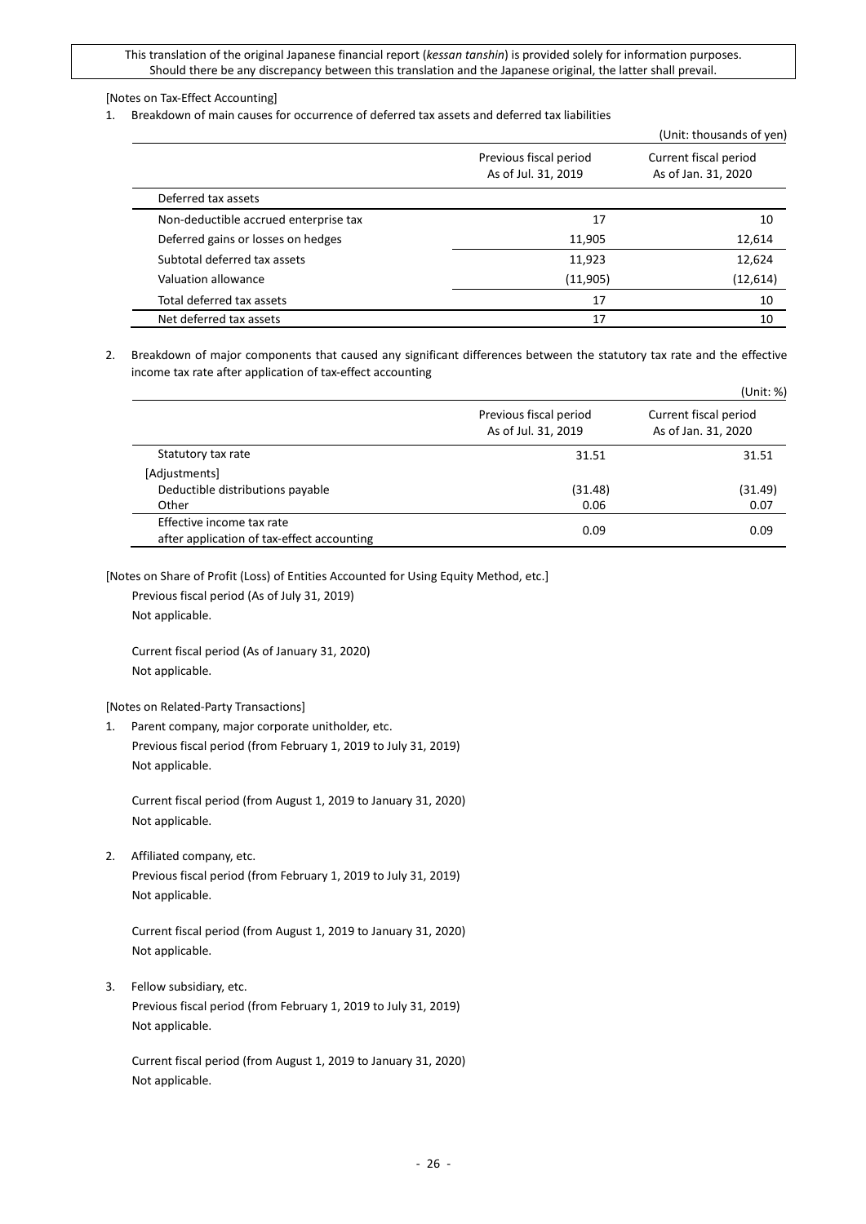### [Notes on Tax-Effect Accounting]

1. Breakdown of main causes for occurrence of deferred tax assets and deferred tax liabilities

|                                       |                                               | (Unit: thousands of yen)                     |
|---------------------------------------|-----------------------------------------------|----------------------------------------------|
|                                       | Previous fiscal period<br>As of Jul. 31, 2019 | Current fiscal period<br>As of Jan. 31, 2020 |
| Deferred tax assets                   |                                               |                                              |
| Non-deductible accrued enterprise tax | 17                                            | 10                                           |
| Deferred gains or losses on hedges    | 11,905                                        | 12,614                                       |
| Subtotal deferred tax assets          | 11,923                                        | 12,624                                       |
| Valuation allowance                   | (11,905)                                      | (12,614)                                     |
| Total deferred tax assets             | 17                                            | 10                                           |
| Net deferred tax assets               | 17                                            | 10                                           |

2. Breakdown of major components that caused any significant differences between the statutory tax rate and the effective income tax rate after application of tax-effect accounting

|                                                                         |                                               | (Unit: %)                                    |  |
|-------------------------------------------------------------------------|-----------------------------------------------|----------------------------------------------|--|
|                                                                         | Previous fiscal period<br>As of Jul. 31, 2019 | Current fiscal period<br>As of Jan. 31, 2020 |  |
| Statutory tax rate                                                      | 31.51                                         | 31.51                                        |  |
| [Adjustments]                                                           |                                               |                                              |  |
| Deductible distributions payable                                        | (31.48)                                       | (31.49)                                      |  |
| Other                                                                   | 0.06                                          | 0.07                                         |  |
| Effective income tax rate<br>after application of tax-effect accounting | 0.09                                          | 0.09                                         |  |

[Notes on Share of Profit (Loss) of Entities Accounted for Using Equity Method, etc.]

Previous fiscal period (As of July 31, 2019) Not applicable.

Current fiscal period (As of January 31, 2020) Not applicable.

[Notes on Related-Party Transactions]

1. Parent company, major corporate unitholder, etc. Previous fiscal period (from February 1, 2019 to July 31, 2019) Not applicable.

Current fiscal period (from August 1, 2019 to January 31, 2020) Not applicable.

2. Affiliated company, etc.

Previous fiscal period (from February 1, 2019 to July 31, 2019) Not applicable.

Current fiscal period (from August 1, 2019 to January 31, 2020) Not applicable.

3. Fellow subsidiary, etc.

Previous fiscal period (from February 1, 2019 to July 31, 2019) Not applicable.

Current fiscal period (from August 1, 2019 to January 31, 2020) Not applicable.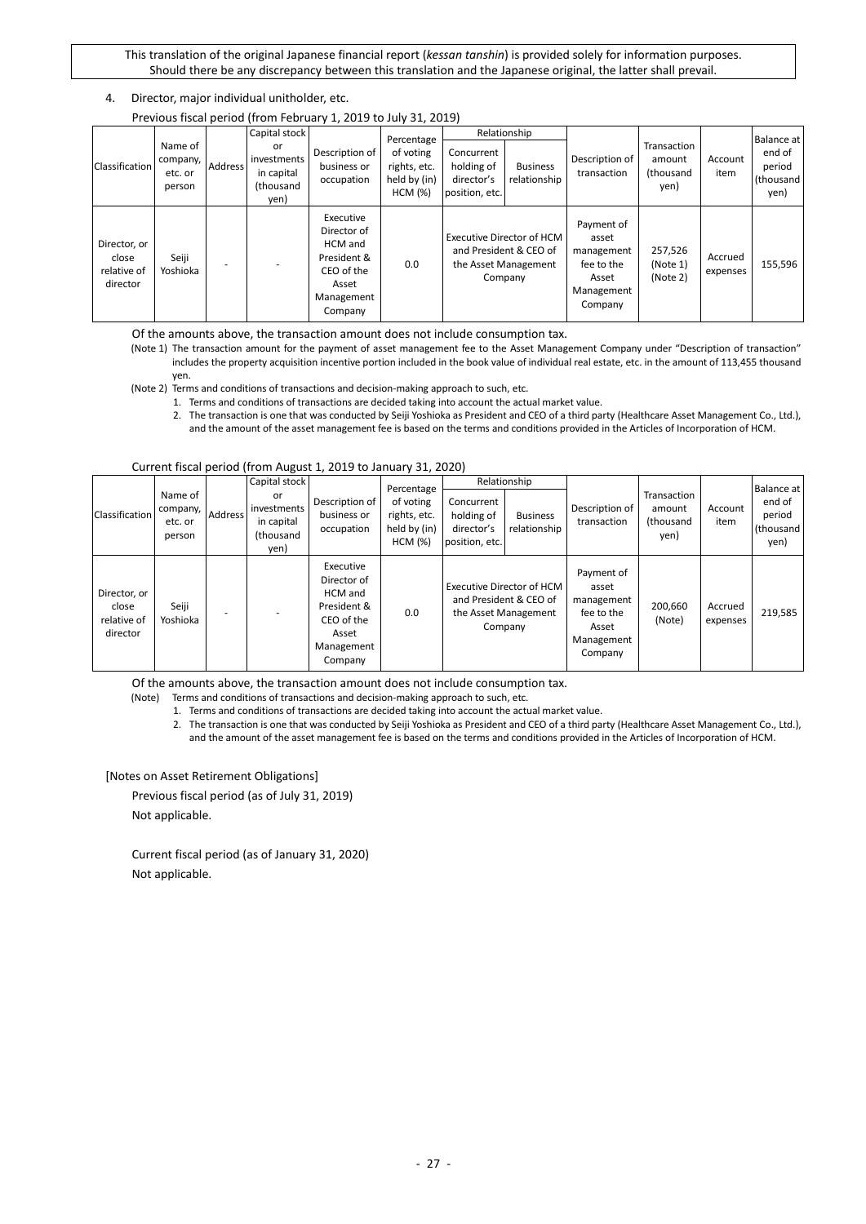### 4. Director, major individual unitholder, etc.

|                                                  |                                          |                                                                                                                |                                                      | Previous fiscal period (from February 1, 2019 to July 31, 2019)                                    |                                 |                               |                                                                                        |                                                                                   |                                       |                     |            |
|--------------------------------------------------|------------------------------------------|----------------------------------------------------------------------------------------------------------------|------------------------------------------------------|----------------------------------------------------------------------------------------------------|---------------------------------|-------------------------------|----------------------------------------------------------------------------------------|-----------------------------------------------------------------------------------|---------------------------------------|---------------------|------------|
|                                                  |                                          |                                                                                                                | Capital stock                                        |                                                                                                    | Percentage                      |                               | Relationship                                                                           |                                                                                   |                                       |                     | Balance at |
| <b>Classification</b>                            | Name of<br>company,<br>etc. or<br>person | or<br>Description of<br>investments<br>Address<br>business or<br>in capital<br>occupation<br>(thousand<br>yen) | of voting<br>rights, etc.<br>held by (in)<br>HCM (%) | Concurrent<br>holding of<br>director's<br>position, etc.                                           | <b>Business</b><br>relationship | Description of<br>transaction | Transaction<br>amount<br>(thousand<br>yen)                                             | Account<br>item                                                                   | end of<br>period<br>(thousand<br>yen) |                     |            |
| Director, or<br>close<br>relative of<br>director | Seiji<br>Yoshioka                        |                                                                                                                |                                                      | Executive<br>Director of<br>HCM and<br>President &<br>CEO of the<br>Asset<br>Management<br>Company | 0.0                             |                               | Executive Director of HCM<br>and President & CEO of<br>the Asset Management<br>Company | Payment of<br>asset<br>management<br>fee to the<br>Asset<br>Management<br>Company | 257,526<br>(Note 1)<br>(Note 2)       | Accrued<br>expenses | 155,596    |

Previous fiscal period (from February 1, 2019 to July 31, 2019)

Of the amounts above, the transaction amount does not include consumption tax.

(Note 1) The transaction amount for the payment of asset management fee to the Asset Management Company under "Description of transaction" includes the property acquisition incentive portion included in the book value of individual real estate, etc. in the amount of 113,455 thousand yen.

(Note 2) Terms and conditions of transactions and decision-making approach to such, etc.

1. Terms and conditions of transactions are decided taking into account the actual market value.

2. The transaction is one that was conducted by Seiji Yoshioka as President and CEO of a third party (Healthcare Asset Management Co., Ltd.), and the amount of the asset management fee is based on the terms and conditions provided in the Articles of Incorporation of HCM.

#### Current fiscal period (from August 1, 2019 to January 31, 2020)

|                                                  |                                                                                                                                                            | Capital stock                                        |                                                                                                    | Percentage                      |                               | Relationship                                                                           |                                                                                   |                                       |                     | Balance at |
|--------------------------------------------------|------------------------------------------------------------------------------------------------------------------------------------------------------------|------------------------------------------------------|----------------------------------------------------------------------------------------------------|---------------------------------|-------------------------------|----------------------------------------------------------------------------------------|-----------------------------------------------------------------------------------|---------------------------------------|---------------------|------------|
| Classification                                   | Name of<br>or<br>Description of<br>investments<br>company,<br>Address<br>business or<br>in capital<br>etc. or<br>occupation<br>(thousand<br>person<br>yen) | of voting<br>rights, etc.<br>held by (in)<br>HCM (%) | Concurrent<br>holding of<br>director's<br>position, etc.                                           | <b>Business</b><br>relationship | Description of<br>transaction | Transaction<br>amount<br>(thousand<br>yen)                                             | Account<br>item                                                                   | end of<br>period<br>(thousand<br>yen) |                     |            |
| Director, or<br>close<br>relative of<br>director | Seiji<br>Yoshioka                                                                                                                                          |                                                      | Executive<br>Director of<br>HCM and<br>President &<br>CEO of the<br>Asset<br>Management<br>Company | 0.0                             |                               | Executive Director of HCM<br>and President & CEO of<br>the Asset Management<br>Company | Payment of<br>asset<br>management<br>fee to the<br>Asset<br>Management<br>Company | 200,660<br>(Note)                     | Accrued<br>expenses | 219,585    |

Of the amounts above, the transaction amount does not include consumption tax.

(Note) Terms and conditions of transactions and decision-making approach to such, etc.

1. Terms and conditions of transactions are decided taking into account the actual market value.

2. The transaction is one that was conducted by Seiji Yoshioka as President and CEO of a third party (Healthcare Asset Management Co., Ltd.), and the amount of the asset management fee is based on the terms and conditions provided in the Articles of Incorporation of HCM.

#### [Notes on Asset Retirement Obligations]

Previous fiscal period (as of July 31, 2019)

Not applicable.

Current fiscal period (as of January 31, 2020) Not applicable.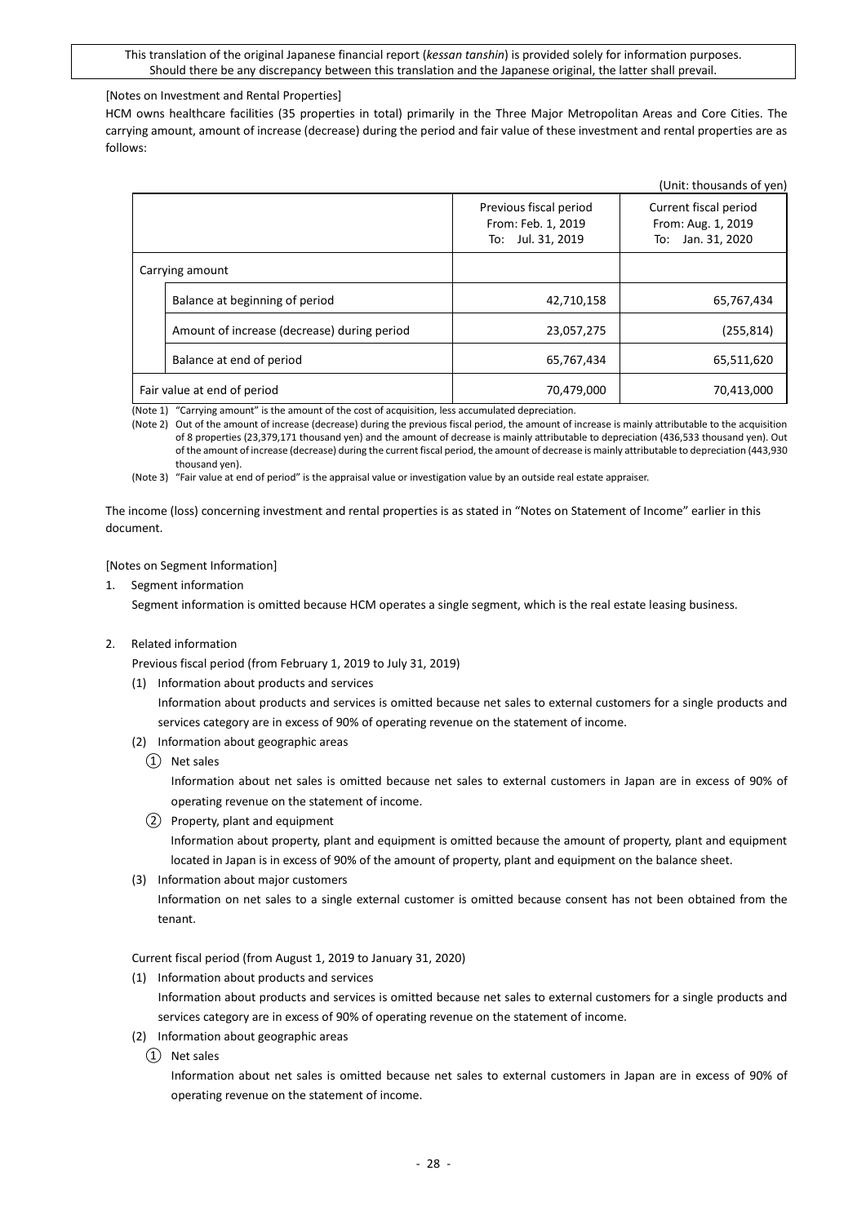### [Notes on Investment and Rental Properties]

HCM owns healthcare facilities (35 properties in total) primarily in the Three Major Metropolitan Areas and Core Cities. The carrying amount, amount of increase (decrease) during the period and fair value of these investment and rental properties are as follows:

|                 |                                             |                                                                   | (Unit: thousands of yen)                                            |
|-----------------|---------------------------------------------|-------------------------------------------------------------------|---------------------------------------------------------------------|
|                 |                                             | Previous fiscal period<br>From: Feb. 1, 2019<br>To: Jul. 31, 2019 | Current fiscal period<br>From: Aug. 1, 2019<br>Jan. 31, 2020<br>To: |
| Carrying amount |                                             |                                                                   |                                                                     |
|                 | Balance at beginning of period              | 42,710,158                                                        | 65,767,434                                                          |
|                 | Amount of increase (decrease) during period | 23,057,275                                                        | (255, 814)                                                          |
|                 | Balance at end of period                    | 65,767,434                                                        | 65,511,620                                                          |
|                 | Fair value at end of period                 | 70,479,000                                                        | 70,413,000                                                          |

(Note 1) "Carrying amount" is the amount of the cost of acquisition, less accumulated depreciation.

(Note 2) Out of the amount of increase (decrease) during the previous fiscal period, the amount of increase is mainly attributable to the acquisition of 8 properties (23,379,171 thousand yen) and the amount of decrease is mainly attributable to depreciation (436,533 thousand yen). Out of the amount of increase (decrease) during the current fiscal period, the amount of decrease is mainly attributable to depreciation (443,930 thousand yen).

(Note 3) "Fair value at end of period" is the appraisal value or investigation value by an outside real estate appraiser.

The income (loss) concerning investment and rental properties is as stated in "Notes on Statement of Income" earlier in this document.

#### [Notes on Segment Information]

1. Segment information

Segment information is omitted because HCM operates a single segment, which is the real estate leasing business.

2. Related information

Previous fiscal period (from February 1, 2019 to July 31, 2019)

(1) Information about products and services

Information about products and services is omitted because net sales to external customers for a single products and services category are in excess of 90% of operating revenue on the statement of income.

- (2) Information about geographic areas
	- ① Net sales

Information about net sales is omitted because net sales to external customers in Japan are in excess of 90% of operating revenue on the statement of income.

② Property, plant and equipment

Information about property, plant and equipment is omitted because the amount of property, plant and equipment located in Japan is in excess of 90% of the amount of property, plant and equipment on the balance sheet.

(3) Information about major customers

Information on net sales to a single external customer is omitted because consent has not been obtained from the tenant.

Current fiscal period (from August 1, 2019 to January 31, 2020)

(1) Information about products and services

Information about products and services is omitted because net sales to external customers for a single products and services category are in excess of 90% of operating revenue on the statement of income.

- (2) Information about geographic areas
	- ① Net sales

Information about net sales is omitted because net sales to external customers in Japan are in excess of 90% of operating revenue on the statement of income.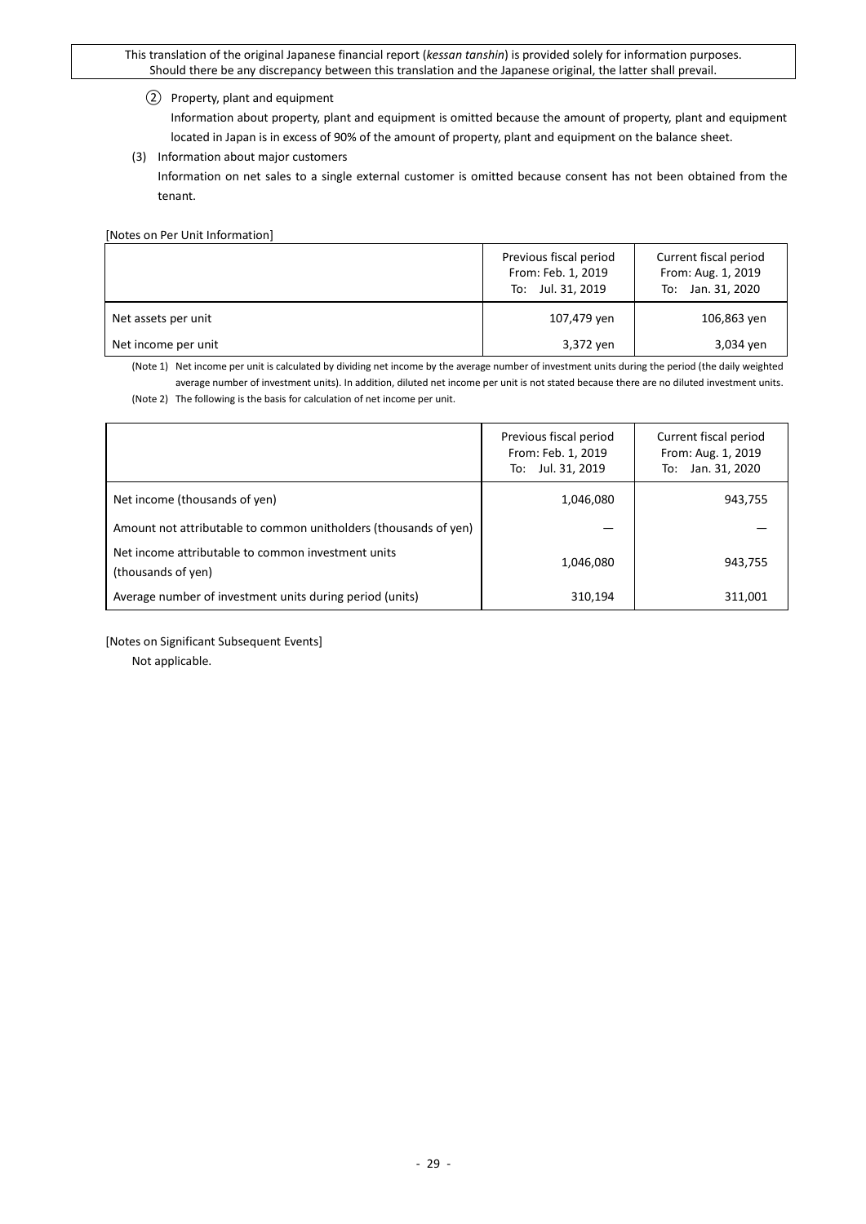### ② Property, plant and equipment

Information about property, plant and equipment is omitted because the amount of property, plant and equipment located in Japan is in excess of 90% of the amount of property, plant and equipment on the balance sheet.

### (3) Information about major customers

Information on net sales to a single external customer is omitted because consent has not been obtained from the tenant.

[Notes on Per Unit Information]

|                     | Previous fiscal period<br>From: Feb. 1, 2019<br>To: Jul. 31, 2019 | Current fiscal period<br>From: Aug. 1, 2019<br>To: Jan. 31, 2020 |
|---------------------|-------------------------------------------------------------------|------------------------------------------------------------------|
| Net assets per unit | 107,479 yen                                                       | 106,863 yen                                                      |
| Net income per unit | 3,372 yen                                                         | 3,034 yen                                                        |

(Note 1) Net income per unit is calculated by dividing net income by the average number of investment units during the period (the daily weighted average number of investment units). In addition, diluted net income per unit is not stated because there are no diluted investment units. (Note 2) The following is the basis for calculation of net income per unit.

|                                                                          | Previous fiscal period<br>From: Feb. 1, 2019<br>To: Jul. 31, 2019 | Current fiscal period<br>From: Aug. 1, 2019<br>To: Jan. 31, 2020 |
|--------------------------------------------------------------------------|-------------------------------------------------------------------|------------------------------------------------------------------|
| Net income (thousands of yen)                                            | 1,046,080                                                         | 943,755                                                          |
| Amount not attributable to common unitholders (thousands of yen)         |                                                                   |                                                                  |
| Net income attributable to common investment units<br>(thousands of yen) | 1,046,080                                                         | 943,755                                                          |
| Average number of investment units during period (units)                 | 310,194                                                           | 311.001                                                          |

[Notes on Significant Subsequent Events]

Not applicable.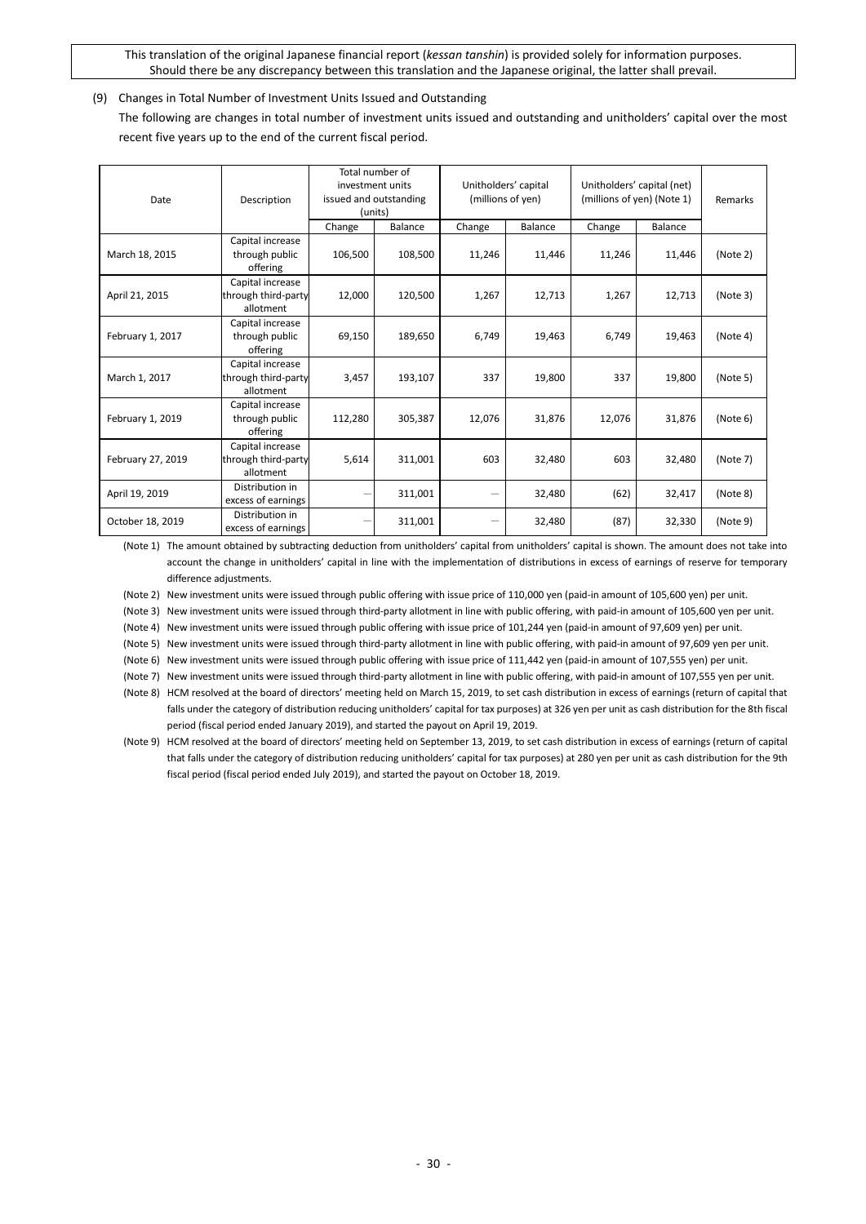<span id="page-29-0"></span>(9) Changes in Total Number of Investment Units Issued and Outstanding

The following are changes in total number of investment units issued and outstanding and unitholders' capital over the most recent five years up to the end of the current fiscal period.

| Date              | Description                                          | Total number of<br>investment units<br>issued and outstanding<br>(units) |         | Unitholders' capital<br>(millions of yen) |         | Unitholders' capital (net)<br>(millions of yen) (Note 1) |                | Remarks  |
|-------------------|------------------------------------------------------|--------------------------------------------------------------------------|---------|-------------------------------------------|---------|----------------------------------------------------------|----------------|----------|
|                   |                                                      | Change                                                                   | Balance | Change                                    | Balance | Change                                                   | <b>Balance</b> |          |
| March 18, 2015    | Capital increase<br>through public<br>offering       | 106,500                                                                  | 108,500 | 11,246                                    | 11,446  | 11,246                                                   | 11,446         | (Note 2) |
| April 21, 2015    | Capital increase<br>through third-party<br>allotment | 12,000                                                                   | 120,500 | 1,267                                     | 12,713  | 1,267                                                    | 12,713         | (Note 3) |
| February 1, 2017  | Capital increase<br>through public<br>offering       | 69,150                                                                   | 189,650 | 6,749                                     | 19,463  | 6,749                                                    | 19,463         | (Note 4) |
| March 1, 2017     | Capital increase<br>through third-party<br>allotment | 3,457                                                                    | 193,107 | 337                                       | 19,800  | 337                                                      | 19,800         | (Note 5) |
| February 1, 2019  | Capital increase<br>through public<br>offering       | 112,280                                                                  | 305,387 | 12,076                                    | 31,876  | 12,076                                                   | 31,876         | (Note 6) |
| February 27, 2019 | Capital increase<br>through third-party<br>allotment | 5,614                                                                    | 311,001 | 603                                       | 32,480  | 603                                                      | 32,480         | (Note 7) |
| April 19, 2019    | Distribution in<br>excess of earnings                |                                                                          | 311,001 | —                                         | 32,480  | (62)                                                     | 32,417         | (Note 8) |
| October 18, 2019  | Distribution in<br>excess of earnings                |                                                                          | 311,001 |                                           | 32,480  | (87)                                                     | 32,330         | (Note 9) |

(Note 1) The amount obtained by subtracting deduction from unitholders' capital from unitholders' capital is shown. The amount does not take into account the change in unitholders' capital in line with the implementation of distributions in excess of earnings of reserve for temporary difference adjustments.

(Note 2) New investment units were issued through public offering with issue price of 110,000 yen (paid-in amount of 105,600 yen) per unit.

(Note 3) New investment units were issued through third-party allotment in line with public offering, with paid-in amount of 105,600 yen per unit.

(Note 4) New investment units were issued through public offering with issue price of 101,244 yen (paid-in amount of 97,609 yen) per unit.

(Note 5) New investment units were issued through third-party allotment in line with public offering, with paid-in amount of 97,609 yen per unit.

(Note 6) New investment units were issued through public offering with issue price of 111,442 yen (paid-in amount of 107,555 yen) per unit.

(Note 7) New investment units were issued through third-party allotment in line with public offering, with paid-in amount of 107,555 yen per unit.

(Note 8) HCM resolved at the board of directors' meeting held on March 15, 2019, to set cash distribution in excess of earnings (return of capital that falls under the category of distribution reducing unitholders' capital for tax purposes) at 326 yen per unit as cash distribution for the 8th fiscal period (fiscal period ended January 2019), and started the payout on April 19, 2019.

(Note 9) HCM resolved at the board of directors' meeting held on September 13, 2019, to set cash distribution in excess of earnings (return of capital that falls under the category of distribution reducing unitholders' capital for tax purposes) at 280 yen per unit as cash distribution for the 9th fiscal period (fiscal period ended July 2019), and started the payout on October 18, 2019.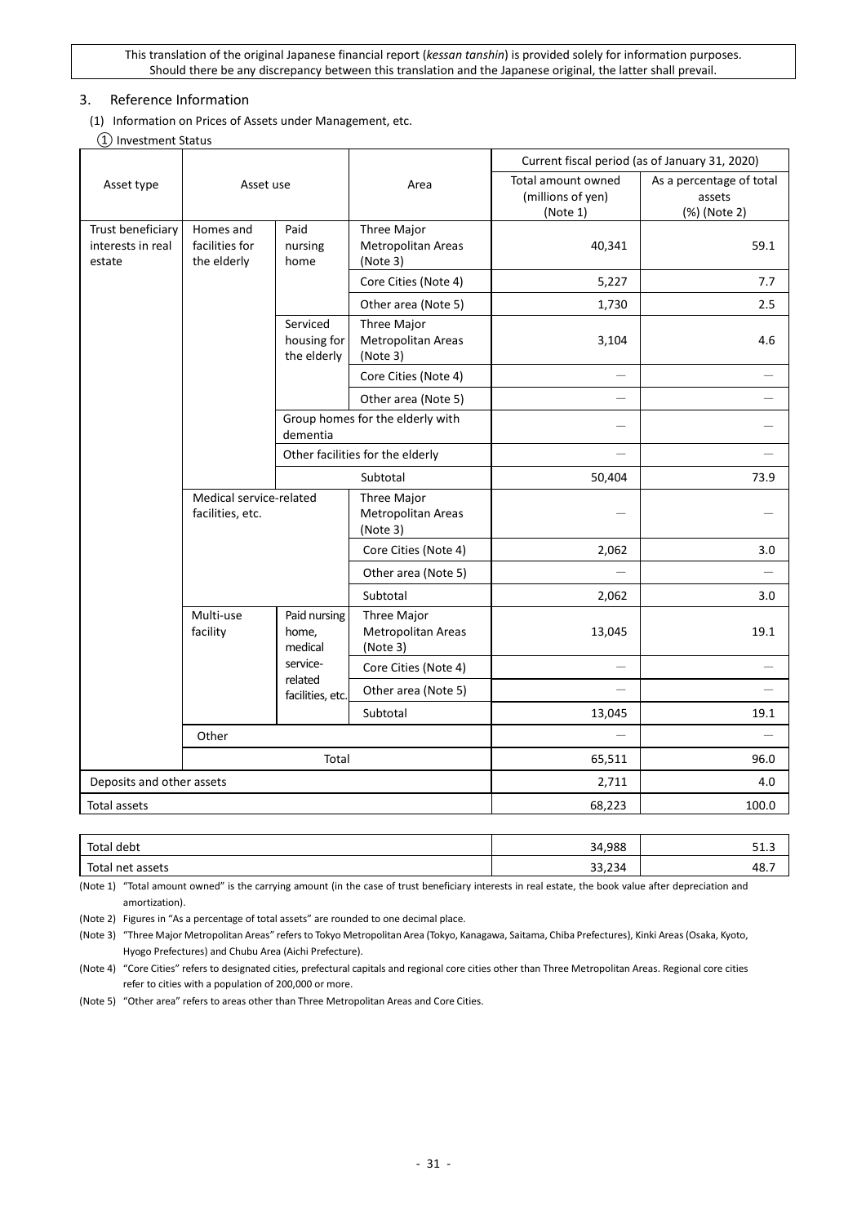## <span id="page-30-0"></span>3. Reference Information

<span id="page-30-1"></span>(1) Information on Prices of Assets under Management, etc.

### ① Investment Status

|                             |                                             |                                        |                                               |                                                     | Current fiscal period (as of January 31, 2020)     |
|-----------------------------|---------------------------------------------|----------------------------------------|-----------------------------------------------|-----------------------------------------------------|----------------------------------------------------|
| Asset type                  | Asset use                                   |                                        | Area                                          | Total amount owned<br>(millions of yen)<br>(Note 1) | As a percentage of total<br>assets<br>(%) (Note 2) |
| Trust beneficiary           | Homes and                                   | Paid                                   | Three Major                                   |                                                     |                                                    |
| interests in real<br>estate | facilities for<br>the elderly               | nursing<br>home                        | Metropolitan Areas<br>(Note 3)                | 40,341                                              | 59.1                                               |
|                             |                                             |                                        | Core Cities (Note 4)                          | 5,227                                               | 7.7                                                |
|                             |                                             |                                        | Other area (Note 5)                           | 1,730                                               | 2.5                                                |
|                             |                                             | Serviced<br>housing for<br>the elderly | Three Major<br>Metropolitan Areas<br>(Note 3) | 3,104                                               | 4.6                                                |
|                             |                                             |                                        | Core Cities (Note 4)                          |                                                     |                                                    |
|                             |                                             |                                        | Other area (Note 5)                           |                                                     |                                                    |
|                             |                                             | dementia                               | Group homes for the elderly with              |                                                     |                                                    |
|                             |                                             |                                        | Other facilities for the elderly              |                                                     | $\overline{\phantom{0}}$                           |
|                             |                                             |                                        | Subtotal                                      | 50,404                                              | 73.9                                               |
|                             | Medical service-related<br>facilities, etc. |                                        | Three Major<br>Metropolitan Areas<br>(Note 3) |                                                     |                                                    |
|                             |                                             |                                        | Core Cities (Note 4)                          | 2,062                                               | 3.0                                                |
|                             |                                             |                                        | Other area (Note 5)                           |                                                     |                                                    |
|                             |                                             |                                        | Subtotal                                      | 2,062                                               | 3.0                                                |
|                             | Multi-use<br>facility                       | Paid nursing<br>home,<br>medical       | Three Major<br>Metropolitan Areas<br>(Note 3) | 13,045                                              | 19.1                                               |
|                             |                                             | service-                               | Core Cities (Note 4)                          |                                                     |                                                    |
|                             |                                             | related<br>facilities, etc.            | Other area (Note 5)                           |                                                     |                                                    |
|                             |                                             |                                        | Subtotal                                      | 13,045                                              | 19.1                                               |
|                             | Other                                       |                                        |                                               | $\equiv$                                            | $\equiv$                                           |
|                             |                                             | Total                                  |                                               | 65,511                                              | 96.0                                               |
| Deposits and other assets   |                                             |                                        |                                               | 2,711                                               | 4.0                                                |
| Total assets                |                                             |                                        |                                               | 68,223                                              | 100.0                                              |
|                             |                                             |                                        |                                               |                                                     |                                                    |

| Total debt             | 34,988          | ن…⊥ت |
|------------------------|-----------------|------|
| Total.<br>' net assets | 22.22<br>33,234 | 48., |

(Note 1) "Total amount owned" is the carrying amount (in the case of trust beneficiary interests in real estate, the book value after depreciation and amortization).

(Note 2) Figures in "As a percentage of total assets" are rounded to one decimal place.

(Note 3) "Three Major Metropolitan Areas" refers to Tokyo Metropolitan Area (Tokyo, Kanagawa, Saitama, Chiba Prefectures), Kinki Areas (Osaka, Kyoto, Hyogo Prefectures) and Chubu Area (Aichi Prefecture).

(Note 4) "Core Cities" refers to designated cities, prefectural capitals and regional core cities other than Three Metropolitan Areas. Regional core cities refer to cities with a population of 200,000 or more.

(Note 5) "Other area" refers to areas other than Three Metropolitan Areas and Core Cities.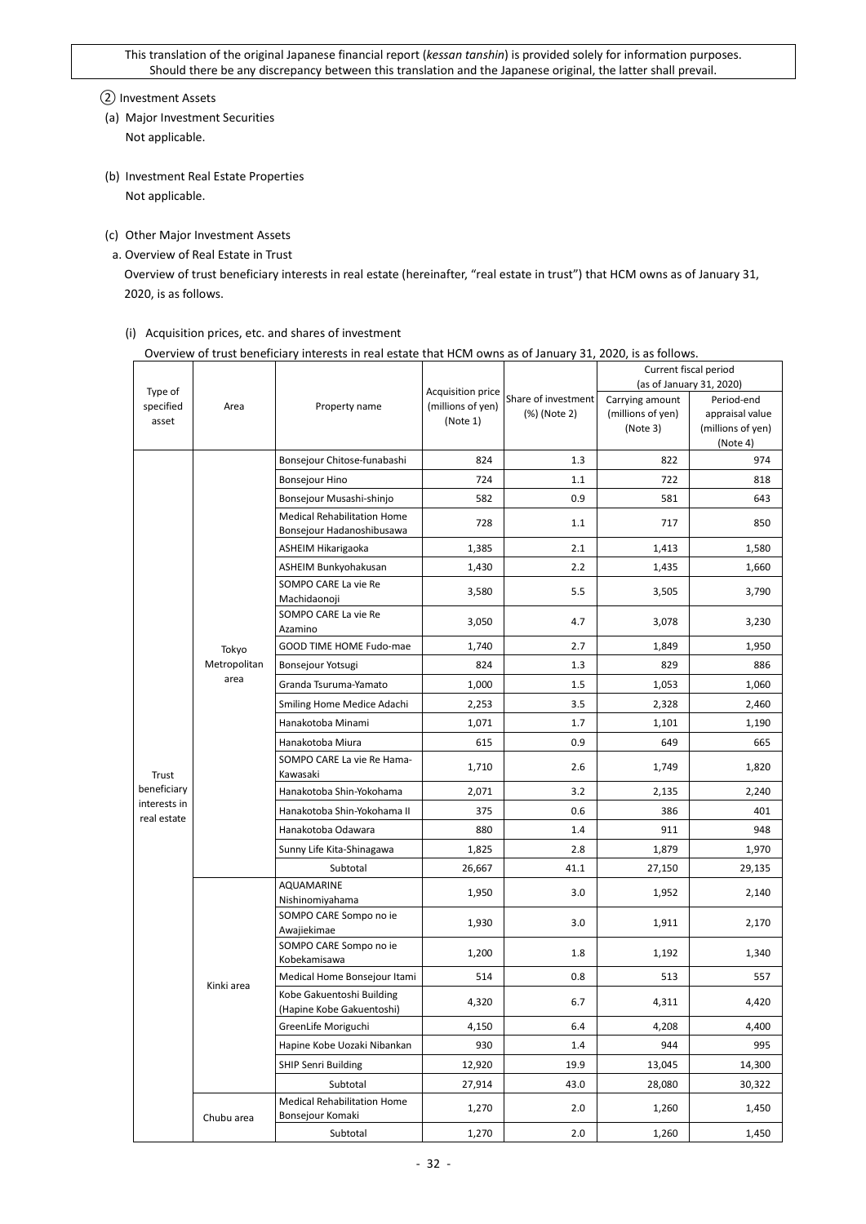② Investment Assets

- (a) Major Investment Securities Not applicable.
- (b) Investment Real Estate Properties Not applicable.
- (c) Other Major Investment Assets
- a. Overview of Real Estate in Trust

Overview of trust beneficiary interests in real estate (hereinafter, "real estate in trust") that HCM owns as of January 31, 2020, is as follows.

|              |              | Overview of trust beneficially interests in rear estate that helvi owns as or January 31, 2020, is as ionows. |                   |                     |                          |                   |
|--------------|--------------|---------------------------------------------------------------------------------------------------------------|-------------------|---------------------|--------------------------|-------------------|
|              |              |                                                                                                               |                   |                     | Current fiscal period    |                   |
| Type of      |              |                                                                                                               | Acquisition price |                     | (as of January 31, 2020) |                   |
| specified    | Area         | Property name                                                                                                 | (millions of yen) | Share of investment | Carrying amount          | Period-end        |
| asset        |              |                                                                                                               | (Note 1)          | (%) (Note 2)        | (millions of yen)        | appraisal value   |
|              |              |                                                                                                               |                   |                     | (Note 3)                 | (millions of yen) |
|              |              |                                                                                                               |                   |                     |                          | (Note 4)          |
|              |              | Bonsejour Chitose-funabashi                                                                                   | 824               | 1.3                 | 822                      | 974               |
|              |              | Bonsejour Hino                                                                                                | 724               | 1.1                 | 722                      | 818               |
|              |              | Bonsejour Musashi-shinjo                                                                                      | 582               | 0.9                 | 581                      | 643               |
|              |              | <b>Medical Rehabilitation Home</b><br>Bonsejour Hadanoshibusawa                                               | 728               | 1.1                 | 717                      | 850               |
|              |              | ASHEIM Hikarigaoka                                                                                            | 1,385             | 2.1                 | 1,413                    | 1,580             |
|              |              | ASHEIM Bunkyohakusan                                                                                          | 1,430             | 2.2                 | 1,435                    | 1,660             |
|              |              | SOMPO CARE La vie Re                                                                                          | 3,580             | 5.5                 | 3,505                    | 3,790             |
|              |              | Machidaonoji<br>SOMPO CARE La vie Re                                                                          |                   |                     |                          |                   |
|              |              | Azamino                                                                                                       | 3,050             | 4.7                 | 3,078                    | 3,230             |
|              | Tokyo        | GOOD TIME HOME Fudo-mae                                                                                       | 1,740             | 2.7                 | 1,849                    | 1,950             |
|              | Metropolitan | Bonsejour Yotsugi                                                                                             | 824               | 1.3                 | 829                      | 886               |
|              | area         | Granda Tsuruma-Yamato                                                                                         | 1,000             | 1.5                 | 1,053                    | 1,060             |
|              |              | Smiling Home Medice Adachi                                                                                    | 2,253             | 3.5                 | 2,328                    | 2,460             |
|              |              | Hanakotoba Minami                                                                                             | 1,071             | 1.7                 | 1,101                    | 1,190             |
|              |              | Hanakotoba Miura                                                                                              | 615               | 0.9                 | 649                      | 665               |
| Trust        |              | SOMPO CARE La vie Re Hama-<br>Kawasaki                                                                        | 1,710             | 2.6                 | 1,749                    | 1,820             |
| beneficiary  |              | Hanakotoba Shin-Yokohama                                                                                      | 2,071             | 3.2                 | 2,135                    | 2,240             |
| interests in |              | Hanakotoba Shin-Yokohama II                                                                                   | 375               | 0.6                 | 386                      | 401               |
| real estate  |              | Hanakotoba Odawara                                                                                            | 880               | 1.4                 | 911                      | 948               |
|              |              | Sunny Life Kita-Shinagawa                                                                                     | 1,825             | 2.8                 | 1,879                    | 1,970             |
|              |              | Subtotal                                                                                                      | 26,667            | 41.1                | 27,150                   | 29,135            |
|              |              | AQUAMARINE<br>Nishinomiyahama                                                                                 | 1,950             | 3.0                 | 1,952                    | 2,140             |
|              |              | SOMPO CARE Sompo no ie<br>Awajiekimae                                                                         | 1,930             | 3.0                 | 1,911                    | 2,170             |
|              |              | SOMPO CARE Sompo no ie<br>Kobekamisawa                                                                        | 1,200             | 1.8                 | 1,192                    | 1,340             |
|              |              | Medical Home Bonsejour Itami                                                                                  | 514               | 0.8                 | 513                      | 557               |
|              | Kinki area   | Kobe Gakuentoshi Building                                                                                     |                   | 6.7                 |                          | 4,420             |
|              |              | (Hapine Kobe Gakuentoshi)                                                                                     | 4,320             |                     | 4,311                    |                   |
|              |              | GreenLife Moriguchi                                                                                           | 4,150             | 6.4                 | 4,208                    | 4,400             |
|              |              | Hapine Kobe Uozaki Nibankan                                                                                   | 930               | 1.4                 | 944                      | 995               |
|              |              | <b>SHIP Senri Building</b>                                                                                    | 12,920            | 19.9                | 13,045                   | 14,300            |
|              |              | Subtotal                                                                                                      | 27,914            | 43.0                | 28,080                   | 30,322            |
|              | Chubu area   | <b>Medical Rehabilitation Home</b><br>Bonsejour Komaki                                                        | 1,270             | 2.0                 | 1,260                    | 1,450             |
|              |              | Subtotal                                                                                                      | 1,270             | 2.0                 | 1,260                    | 1,450             |

(i) Acquisition prices, etc. and shares of investment

Overview of trust beneficiary interests in real estate that HCM owns as of January 31, 2020, is as follows.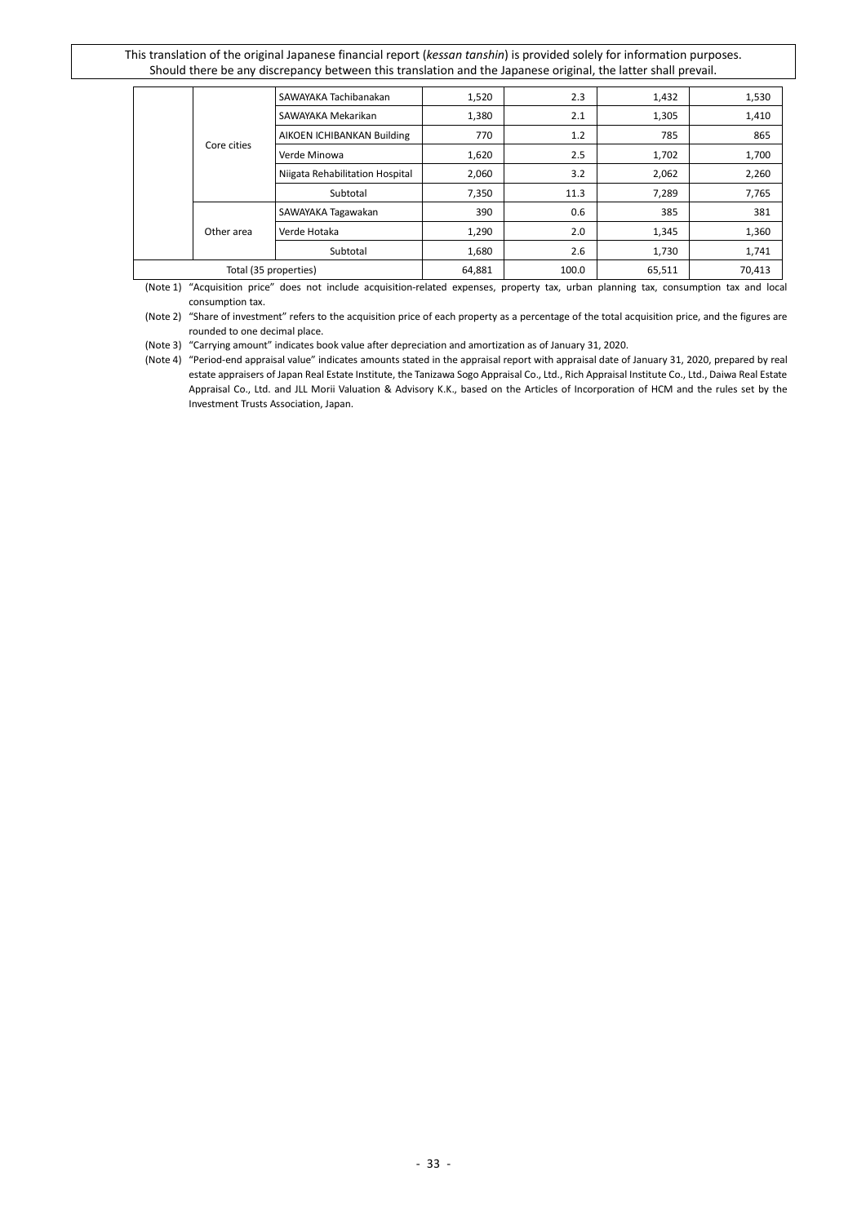|                       |             | SAWAYAKA Tachibanakan           | 1,520 | 2.3    | 1,432  | 1,530 |
|-----------------------|-------------|---------------------------------|-------|--------|--------|-------|
|                       |             | SAWAYAKA Mekarikan              | 1,380 | 2.1    | 1,305  | 1,410 |
|                       | Core cities | AIKOEN ICHIBANKAN Building      | 770   | 1.2    | 785    | 865   |
|                       |             | Verde Minowa                    | 1,620 | 2.5    | 1,702  | 1,700 |
|                       |             | Niigata Rehabilitation Hospital | 2,060 | 3.2    | 2,062  | 2,260 |
|                       |             | Subtotal                        | 7,350 | 11.3   | 7,289  | 7,765 |
|                       |             | SAWAYAKA Tagawakan              | 390   | 0.6    | 385    | 381   |
|                       | Other area  | Verde Hotaka                    | 1,290 | 2.0    | 1,345  | 1,360 |
|                       |             | Subtotal                        | 1,680 | 2.6    | 1,730  | 1,741 |
| Total (35 properties) |             | 64,881                          | 100.0 | 65,511 | 70,413 |       |

(Note 1) "Acquisition price" does not include acquisition-related expenses, property tax, urban planning tax, consumption tax and local consumption tax.

(Note 2) "Share of investment" refers to the acquisition price of each property as a percentage of the total acquisition price, and the figures are rounded to one decimal place.

(Note 3) "Carrying amount" indicates book value after depreciation and amortization as of January 31, 2020.

(Note 4) "Period-end appraisal value" indicates amounts stated in the appraisal report with appraisal date of January 31, 2020, prepared by real estate appraisers of Japan Real Estate Institute, the Tanizawa Sogo Appraisal Co., Ltd., Rich Appraisal Institute Co., Ltd., Daiwa Real Estate Appraisal Co., Ltd. and JLL Morii Valuation & Advisory K.K., based on the Articles of Incorporation of HCM and the rules set by the Investment Trusts Association, Japan.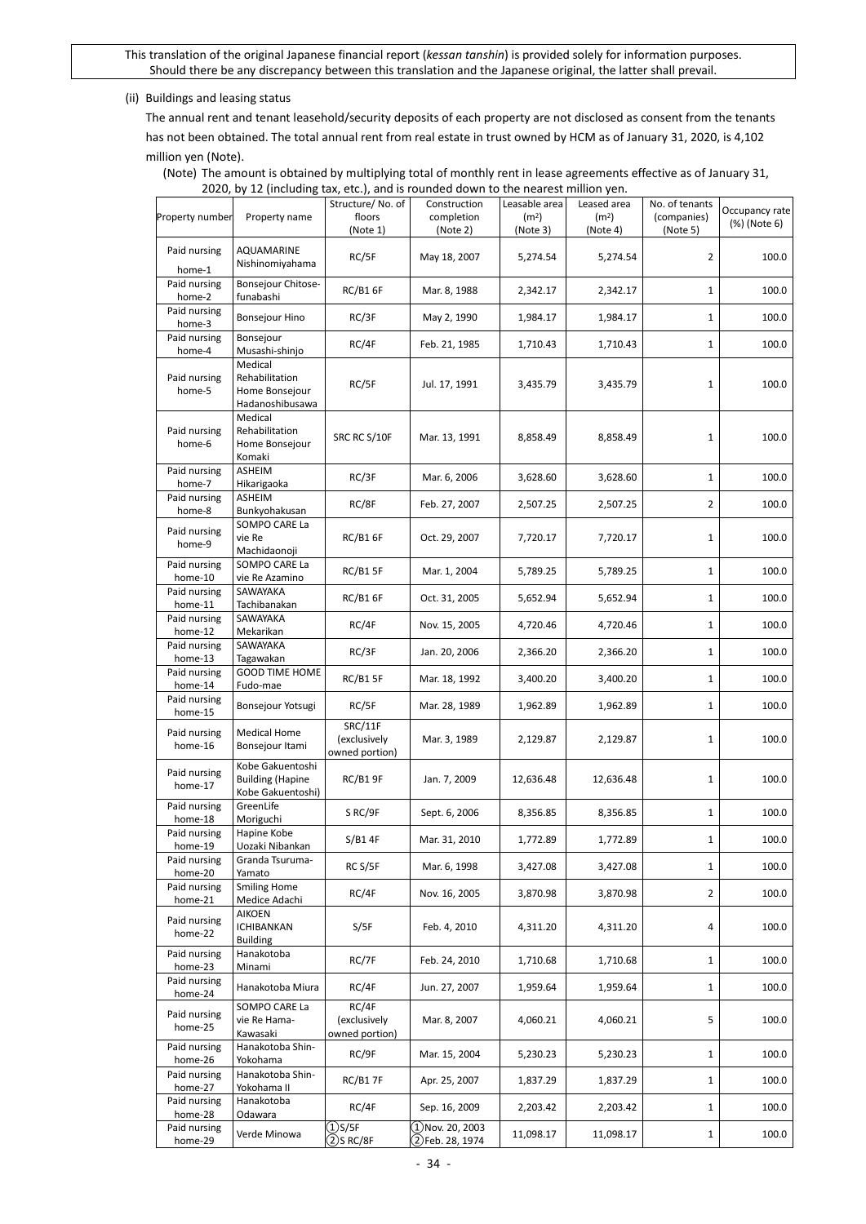#### (ii) Buildings and leasing status

The annual rent and tenant leasehold/security deposits of each property are not disclosed as consent from the tenants has not been obtained. The total annual rent from real estate in trust owned by HCM as of January 31, 2020, is 4,102 million yen (Note).

(Note) The amount is obtained by multiplying total of monthly rent in lease agreements effective as of January 31, 2020, by 12 (including tax, etc.), and is rounded down to the nearest million yen.

| Property number         | Property name                                                    | Structure/No. of<br>floors                | Construction<br>completion             | Leasable area<br>(m <sup>2</sup> ) | Leased area<br>(m <sup>2</sup> ) | No. of tenants<br>(companies) | Occupancy rate |
|-------------------------|------------------------------------------------------------------|-------------------------------------------|----------------------------------------|------------------------------------|----------------------------------|-------------------------------|----------------|
|                         |                                                                  | (Note 1)                                  | (Note 2)                               | (Note 3)                           | (Note 4)                         | (Note 5)                      | (%) (Note 6)   |
| Paid nursing<br>home-1  | AQUAMARINE<br>Nishinomiyahama                                    | RC/5F                                     | May 18, 2007                           | 5,274.54                           | 5,274.54                         | 2                             | 100.0          |
| Paid nursing<br>home-2  | Bonsejour Chitose-<br>funabashi                                  | RC/B16F                                   | Mar. 8, 1988                           | 2,342.17                           | 2,342.17                         | $\mathbf{1}$                  | 100.0          |
| Paid nursing<br>home-3  | <b>Bonsejour Hino</b>                                            | RC/3F                                     | May 2, 1990                            | 1,984.17                           | 1,984.17                         | $\mathbf{1}$                  | 100.0          |
| Paid nursing<br>home-4  | Bonsejour<br>Musashi-shinjo                                      | RC/4F                                     | Feb. 21, 1985                          | 1,710.43                           | 1,710.43                         | 1                             | 100.0          |
| Paid nursing<br>home-5  | Medical<br>Rehabilitation<br>Home Bonsejour<br>Hadanoshibusawa   | RC/5F                                     | Jul. 17, 1991                          | 3,435.79                           | 3,435.79                         | 1                             | 100.0          |
| Paid nursing<br>home-6  | Medical<br>Rehabilitation<br>Home Bonsejour<br>Komaki            | SRC RC S/10F                              | Mar. 13, 1991                          | 8,858.49                           | 8,858.49                         | 1                             | 100.0          |
| Paid nursing<br>home-7  | ASHEIM<br>Hikarigaoka                                            | RC/3F                                     | Mar. 6, 2006                           | 3,628.60                           | 3,628.60                         | 1                             | 100.0          |
| Paid nursing<br>home-8  | ASHEIM<br>Bunkyohakusan                                          | RC/8F                                     | Feb. 27, 2007                          | 2,507.25                           | 2,507.25                         | 2                             | 100.0          |
| Paid nursing<br>home-9  | SOMPO CARE La<br>vie Re<br>Machidaonoji                          | <b>RC/B1 6F</b>                           | Oct. 29, 2007                          | 7,720.17                           | 7,720.17                         | 1                             | 100.0          |
| Paid nursing<br>home-10 | SOMPO CARE La<br>vie Re Azamino                                  | <b>RC/B1 5F</b>                           | Mar. 1, 2004                           | 5,789.25                           | 5,789.25                         | 1                             | 100.0          |
| Paid nursing<br>home-11 | SAWAYAKA<br>Tachibanakan                                         | <b>RC/B1 6F</b>                           | Oct. 31, 2005                          | 5,652.94                           | 5,652.94                         | 1                             | 100.0          |
| Paid nursing<br>home-12 | SAWAYAKA<br>Mekarikan                                            | RC/4F                                     | Nov. 15, 2005                          | 4,720.46                           | 4,720.46                         | 1                             | 100.0          |
| Paid nursing<br>home-13 | SAWAYAKA<br>Tagawakan                                            | RC/3F                                     | Jan. 20, 2006                          | 2,366.20                           | 2,366.20                         | $\mathbf{1}$                  | 100.0          |
| Paid nursing<br>home-14 | <b>GOOD TIME HOME</b><br>Fudo-mae                                | <b>RC/B1 5F</b>                           | Mar. 18, 1992                          | 3,400.20                           | 3,400.20                         | $\mathbf{1}$                  | 100.0          |
| Paid nursing<br>home-15 | Bonsejour Yotsugi                                                | RC/5F                                     | Mar. 28, 1989                          | 1,962.89                           | 1,962.89                         | 1                             | 100.0          |
| Paid nursing<br>home-16 | <b>Medical Home</b><br>Bonsejour Itami                           | SRC/11F<br>(exclusively<br>owned portion) | Mar. 3, 1989                           | 2,129.87                           | 2,129.87                         | 1                             | 100.0          |
| Paid nursing<br>home-17 | Kobe Gakuentoshi<br><b>Building (Hapine</b><br>Kobe Gakuentoshi) | <b>RC/B1 9F</b>                           | Jan. 7, 2009                           | 12,636.48                          | 12,636.48                        | 1                             | 100.0          |
| Paid nursing<br>home-18 | GreenLife<br>Moriguchi                                           | S RC/9F                                   | Sept. 6, 2006                          | 8,356.85                           | 8,356.85                         | 1                             | 100.0          |
| Paid nursing<br>home-19 | Hapine Kobe<br>Uozaki Nibankan                                   | S/B14F                                    | Mar. 31, 2010                          | 1,772.89                           | 1,772.89                         | 1                             | 100.0          |
| Paid nursing<br>home-20 | Granda Tsuruma-<br>Yamato                                        | RC S/5F                                   | Mar. 6, 1998                           | 3,427.08                           | 3,427.08                         | 1                             | 100.0          |
| Paid nursing<br>home-21 | <b>Smiling Home</b><br>Medice Adachi                             | RC/4F                                     | Nov. 16, 2005                          | 3,870.98                           | 3,870.98                         | $\overline{2}$                | 100.0          |
| Paid nursing<br>home-22 | AIKOEN<br><b>ICHIBANKAN</b><br><b>Building</b>                   | S/5F                                      | Feb. 4, 2010                           | 4,311.20                           | 4,311.20                         | 4                             | 100.0          |
| Paid nursing<br>home-23 | Hanakotoba<br>Minami                                             | RC/7F                                     | Feb. 24, 2010                          | 1,710.68                           | 1,710.68                         | 1                             | 100.0          |
| Paid nursing<br>home-24 | Hanakotoba Miura                                                 | RC/4F                                     | Jun. 27, 2007                          | 1,959.64                           | 1,959.64                         | 1                             | 100.0          |
| Paid nursing<br>home-25 | SOMPO CARE La<br>vie Re Hama-<br>Kawasaki                        | RC/4F<br>(exclusively<br>owned portion)   | Mar. 8, 2007                           | 4,060.21                           | 4,060.21                         | 5                             | 100.0          |
| Paid nursing<br>home-26 | Hanakotoba Shin-<br>Yokohama                                     | RC/9F                                     | Mar. 15, 2004                          | 5,230.23                           | 5,230.23                         | 1                             | 100.0          |
| Paid nursing<br>home-27 | Hanakotoba Shin-<br>Yokohama II                                  | <b>RC/B17F</b>                            | Apr. 25, 2007                          | 1,837.29                           | 1,837.29                         | $\mathbf{1}$                  | 100.0          |
| Paid nursing<br>home-28 | Hanakotoba<br>Odawara                                            | RC/4F                                     | Sep. 16, 2009                          | 2,203.42                           | 2,203.42                         | $\mathbf{1}$                  | 100.0          |
| Paid nursing<br>home-29 | Verde Minowa                                                     | $\overline{OS/5F}$<br>$(2)$ S RC/8F       | $(1)$ Nov. 20, 2003<br>2)Feb. 28, 1974 | 11,098.17                          | 11,098.17                        | $\mathbf{1}$                  | 100.0          |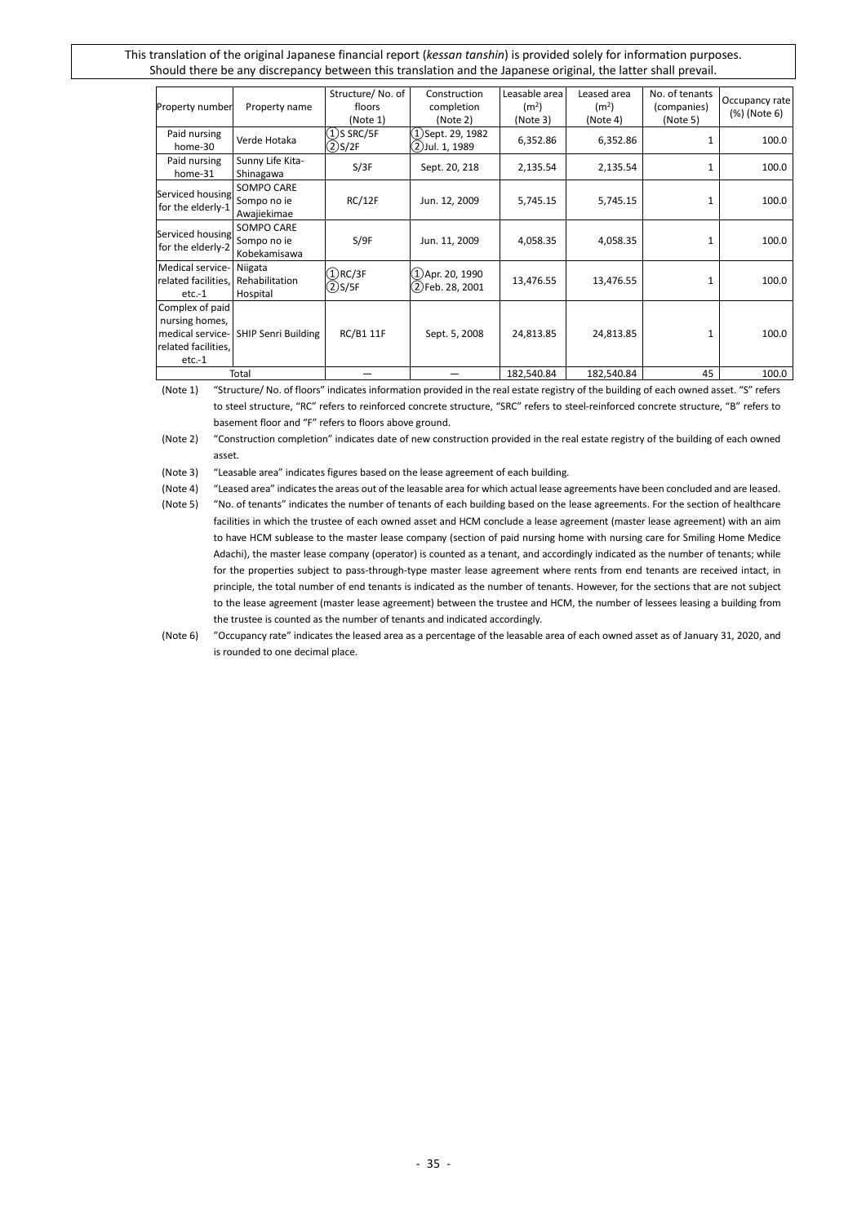| Property number                                                                          | Property name                             | Structure/No. of<br>floors<br>(Note 1) | Construction<br>completion<br>(Note 2) | Leasable area<br>(m <sup>2</sup> )<br>(Note 3) | Leased area<br>(m <sup>2</sup> )<br>(Note 4) | No. of tenants<br>(companies)<br>(Note 5) | Occupancy rate<br>(%) (Note 6) |
|------------------------------------------------------------------------------------------|-------------------------------------------|----------------------------------------|----------------------------------------|------------------------------------------------|----------------------------------------------|-------------------------------------------|--------------------------------|
| Paid nursing<br>home-30                                                                  | Verde Hotaka                              | $(1)$ S SRC/5F<br>$(2)$ S/2F           | (1)Sept. 29, 1982<br>2)Jul. 1, 1989)   | 6,352.86                                       | 6,352.86                                     |                                           | 100.0                          |
| Paid nursing<br>home-31                                                                  | Sunny Life Kita-<br>Shinagawa             | S/3F                                   | Sept. 20, 218                          | 2,135.54                                       | 2,135.54                                     | 1                                         | 100.0                          |
| Serviced housing<br>for the elderly-1                                                    | SOMPO CARE<br>Sompo no ie<br>Awajiekimae  | RC/12F                                 | Jun. 12, 2009                          | 5,745.15                                       | 5,745.15                                     | 1                                         | 100.0                          |
| Serviced housing<br>for the elderly-2                                                    | SOMPO CARE<br>Sompo no ie<br>Kobekamisawa | S/9F                                   | Jun. 11, 2009                          | 4,058.35                                       | 4,058.35                                     | 1                                         | 100.0                          |
| Medical service-<br>related facilities.<br>$etc.-1$                                      | Niigata<br>Rehabilitation<br>Hospital     | $(1)$ RC/3F<br>$(2)$ S/5F              | (1)Apr. 20, 1990<br>(2)Feb. 28, 2001   | 13,476.55                                      | 13,476.55                                    | $\mathbf{1}$                              | 100.0                          |
| Complex of paid<br>nursing homes,<br>medical service-<br>related facilities,<br>$etc.-1$ | <b>SHIP Senri Building</b>                | RC/B1 11F                              | Sept. 5, 2008                          | 24,813.85                                      | 24,813.85                                    | $\mathbf{1}$                              | 100.0                          |
|                                                                                          | Total                                     |                                        |                                        | 182,540.84                                     | 182,540.84                                   | 45                                        | 100.0                          |

(Note 1) "Structure/ No. of floors" indicates information provided in the real estate registry of the building of each owned asset. "S" refers to steel structure, "RC" refers to reinforced concrete structure, "SRC" refers to steel-reinforced concrete structure, "B" refers to basement floor and "F" refers to floors above ground.

(Note 2) "Construction completion" indicates date of new construction provided in the real estate registry of the building of each owned asset.

(Note 3) "Leasable area" indicates figures based on the lease agreement of each building.

(Note 4) "Leased area" indicates the areas out of the leasable area for which actual lease agreements have been concluded and are leased.

<sup>(</sup>Note 5) "No. of tenants" indicates the number of tenants of each building based on the lease agreements. For the section of healthcare facilities in which the trustee of each owned asset and HCM conclude a lease agreement (master lease agreement) with an aim to have HCM sublease to the master lease company (section of paid nursing home with nursing care for Smiling Home Medice Adachi), the master lease company (operator) is counted as a tenant, and accordingly indicated as the number of tenants; while for the properties subject to pass-through-type master lease agreement where rents from end tenants are received intact, in principle, the total number of end tenants is indicated as the number of tenants. However, for the sections that are not subject to the lease agreement (master lease agreement) between the trustee and HCM, the number of lessees leasing a building from the trustee is counted as the number of tenants and indicated accordingly.

<sup>(</sup>Note 6) "Occupancy rate" indicates the leased area as a percentage of the leasable area of each owned asset as of January 31, 2020, and is rounded to one decimal place.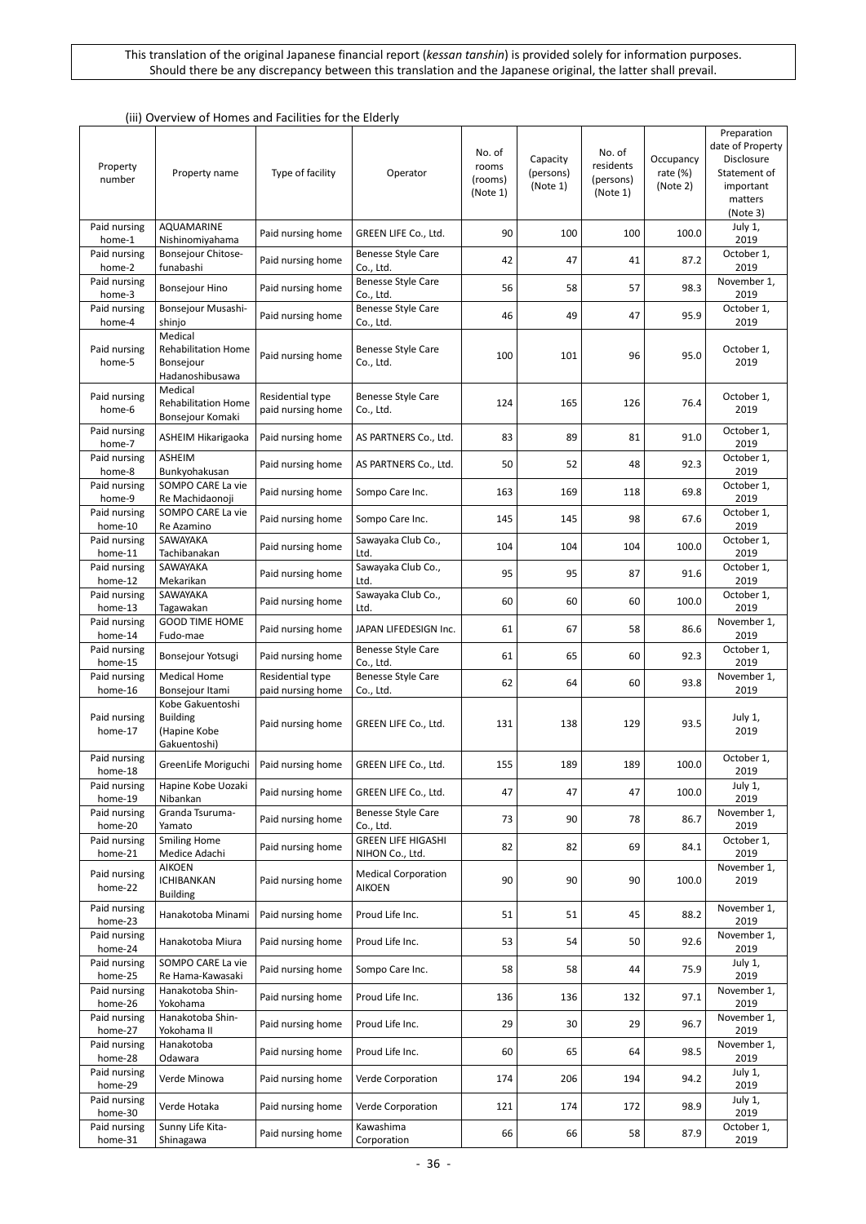| Property<br>number      | Property name                                                         | Type of facility                      | Operator                                     | No. of<br>rooms<br>(rooms)<br>(Note 1) | Capacity<br>(persons)<br>(Note 1) | No. of<br>residents<br>(persons)<br>(Note 1) | Occupancy<br>rate $(%)$<br>(Note 2) | Preparation<br>date of Property<br>Disclosure<br>Statement of<br>important<br>matters<br>(Note 3) |
|-------------------------|-----------------------------------------------------------------------|---------------------------------------|----------------------------------------------|----------------------------------------|-----------------------------------|----------------------------------------------|-------------------------------------|---------------------------------------------------------------------------------------------------|
| Paid nursing<br>home-1  | AQUAMARINE<br>Nishinomiyahama                                         | Paid nursing home                     | GREEN LIFE Co., Ltd.                         | 90                                     | 100                               | 100                                          | 100.0                               | July 1,<br>2019                                                                                   |
| Paid nursing<br>home-2  | Bonsejour Chitose-<br>funabashi                                       | Paid nursing home                     | <b>Benesse Style Care</b><br>Co., Ltd.       | 42                                     | 47                                | 41                                           | 87.2                                | October 1,<br>2019                                                                                |
| Paid nursing<br>home-3  | Bonsejour Hino                                                        | Paid nursing home                     | <b>Benesse Style Care</b><br>Co., Ltd.       | 56                                     | 58                                | 57                                           | 98.3                                | November 1,<br>2019                                                                               |
| Paid nursing<br>home-4  | Bonsejour Musashi-<br>shinjo                                          | Paid nursing home                     | Benesse Style Care<br>Co., Ltd.              | 46                                     | 49                                | 47                                           | 95.9                                | October 1,<br>2019                                                                                |
| Paid nursing<br>home-5  | Medical<br><b>Rehabilitation Home</b><br>Bonsejour<br>Hadanoshibusawa | Paid nursing home                     | <b>Benesse Style Care</b><br>Co., Ltd.       | 100                                    | 101                               | 96                                           | 95.0                                | October 1,<br>2019                                                                                |
| Paid nursing<br>home-6  | Medical<br><b>Rehabilitation Home</b><br>Bonsejour Komaki             | Residential type<br>paid nursing home | Benesse Style Care<br>Co., Ltd.              | 124                                    | 165                               | 126                                          | 76.4                                | October 1,<br>2019                                                                                |
| Paid nursing<br>home-7  | ASHEIM Hikarigaoka                                                    | Paid nursing home                     | AS PARTNERS Co., Ltd.                        | 83                                     | 89                                | 81                                           | 91.0                                | October 1,<br>2019                                                                                |
| Paid nursing<br>home-8  | ASHEIM<br>Bunkyohakusan                                               | Paid nursing home                     | AS PARTNERS Co., Ltd.                        | 50                                     | 52                                | 48                                           | 92.3                                | October 1,<br>2019                                                                                |
| Paid nursing<br>home-9  | SOMPO CARE La vie<br>Re Machidaonoji                                  | Paid nursing home                     | Sompo Care Inc.                              | 163                                    | 169                               | 118                                          | 69.8                                | October 1,<br>2019                                                                                |
| Paid nursing<br>home-10 | SOMPO CARE La vie<br>Re Azamino                                       | Paid nursing home                     | Sompo Care Inc.                              | 145                                    | 145                               | 98                                           | 67.6                                | October 1,<br>2019                                                                                |
| Paid nursing<br>home-11 | SAWAYAKA<br>Tachibanakan                                              | Paid nursing home                     | Sawayaka Club Co.,<br>Ltd.                   | 104                                    | 104                               | 104                                          | 100.0                               | October 1,<br>2019                                                                                |
| Paid nursing<br>home-12 | SAWAYAKA<br>Mekarikan                                                 | Paid nursing home                     | Sawayaka Club Co.,<br>Ltd.                   | 95                                     | 95                                | 87                                           | 91.6                                | October 1,<br>2019                                                                                |
| Paid nursing<br>home-13 | SAWAYAKA<br>Tagawakan                                                 | Paid nursing home                     | Sawayaka Club Co.,<br>Ltd.                   | 60                                     | 60                                | 60                                           | 100.0                               | October 1,<br>2019                                                                                |
| Paid nursing<br>home-14 | <b>GOOD TIME HOME</b><br>Fudo-mae                                     | Paid nursing home                     | JAPAN LIFEDESIGN Inc.                        | 61                                     | 67                                | 58                                           | 86.6                                | November 1,<br>2019                                                                               |
| Paid nursing<br>home-15 | Bonsejour Yotsugi                                                     | Paid nursing home                     | Benesse Style Care<br>Co., Ltd.              | 61                                     | 65                                | 60                                           | 92.3                                | October 1,<br>2019                                                                                |
| Paid nursing<br>home-16 | <b>Medical Home</b><br>Bonsejour Itami                                | Residential type<br>paid nursing home | Benesse Style Care<br>Co., Ltd.              | 62                                     | 64                                | 60                                           | 93.8                                | November 1,<br>2019                                                                               |
| Paid nursing<br>home-17 | Kobe Gakuentoshi<br><b>Building</b><br>(Hapine Kobe<br>Gakuentoshi)   | Paid nursing home                     | GREEN LIFE Co., Ltd.                         | 131                                    | 138                               | 129                                          | 93.5                                | July 1,<br>2019                                                                                   |
| Paid nursing<br>home-18 | GreenLife Moriguchi                                                   | Paid nursing home                     | GREEN LIFE Co., Ltd.                         | 155                                    | 189                               | 189                                          | 100.0                               | October 1,<br>2019                                                                                |
| Paid nursing<br>home-19 | Hapine Kobe Uozaki<br>Nibankan                                        | Paid nursing home                     | GREEN LIFE Co., Ltd.                         | 47                                     | 47                                | 47                                           | 100.0                               | July 1,<br>2019                                                                                   |
| Paid nursing<br>home-20 | Granda Tsuruma-<br>Yamato                                             | Paid nursing home                     | <b>Benesse Style Care</b><br>Co., Ltd.       | 73                                     | 90                                | 78                                           | 86.7                                | November 1,<br>2019                                                                               |
| Paid nursing<br>home-21 | <b>Smiling Home</b><br>Medice Adachi                                  | Paid nursing home                     | <b>GREEN LIFE HIGASHI</b><br>NIHON Co., Ltd. | 82                                     | 82                                | 69                                           | 84.1                                | October 1,<br>2019                                                                                |
| Paid nursing<br>home-22 | <b>AIKOEN</b><br>ICHIBANKAN<br><b>Building</b>                        | Paid nursing home                     | <b>Medical Corporation</b><br>AIKOEN         | 90                                     | 90                                | 90                                           | 100.0                               | November 1,<br>2019                                                                               |
| Paid nursing<br>home-23 | Hanakotoba Minami                                                     | Paid nursing home                     | Proud Life Inc.                              | 51                                     | 51                                | 45                                           | 88.2                                | November 1,<br>2019                                                                               |
| Paid nursing<br>home-24 | Hanakotoba Miura                                                      | Paid nursing home                     | Proud Life Inc.                              | 53                                     | 54                                | 50                                           | 92.6                                | November 1,<br>2019                                                                               |
| Paid nursing<br>home-25 | SOMPO CARE La vie<br>Re Hama-Kawasaki                                 | Paid nursing home                     | Sompo Care Inc.                              | 58                                     | 58                                | 44                                           | 75.9                                | July 1,<br>2019                                                                                   |
| Paid nursing<br>home-26 | Hanakotoba Shin-<br>Yokohama                                          | Paid nursing home                     | Proud Life Inc.                              | 136                                    | 136                               | 132                                          | 97.1                                | November 1,<br>2019                                                                               |
| Paid nursing<br>home-27 | Hanakotoba Shin-<br>Yokohama II                                       | Paid nursing home                     | Proud Life Inc.                              | 29                                     | 30                                | 29                                           | 96.7                                | November 1,<br>2019                                                                               |
| Paid nursing<br>home-28 | Hanakotoba<br>Odawara                                                 | Paid nursing home                     | Proud Life Inc.                              | 60                                     | 65                                | 64                                           | 98.5                                | November 1,<br>2019                                                                               |
| Paid nursing<br>home-29 | Verde Minowa                                                          | Paid nursing home                     | Verde Corporation                            | 174                                    | 206                               | 194                                          | 94.2                                | July 1,<br>2019                                                                                   |
| Paid nursing<br>home-30 | Verde Hotaka                                                          | Paid nursing home                     | Verde Corporation                            | 121                                    | 174                               | 172                                          | 98.9                                | July 1,<br>2019                                                                                   |
| Paid nursing<br>home-31 | Sunny Life Kita-<br>Shinagawa                                         | Paid nursing home                     | Kawashima<br>Corporation                     | 66                                     | 66                                | 58                                           | 87.9                                | October 1,<br>2019                                                                                |

#### (iii) Overview of Homes and Facilities for the Elderly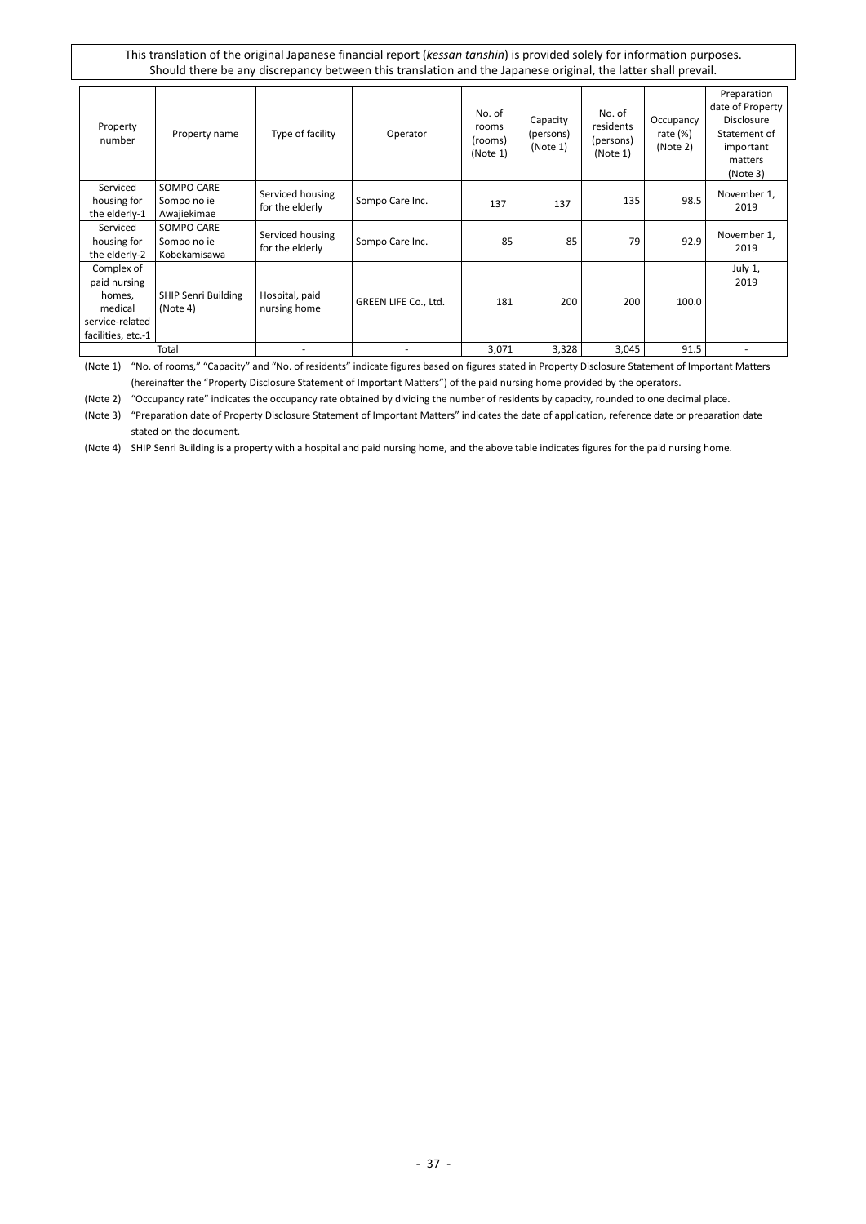| Property<br>number                                                                       | Property name                             | Type of facility                    | Operator             | No. of<br>rooms<br>(rooms)<br>(Note 1) | Capacity<br>(persons)<br>(Note 1) | No. of<br>residents<br>(persons)<br>(Note 1) | Occupancy<br>rate $(\%)$<br>(Note 2) | Preparation<br>date of Property<br>Disclosure<br>Statement of<br>important<br>matters<br>(Note 3) |
|------------------------------------------------------------------------------------------|-------------------------------------------|-------------------------------------|----------------------|----------------------------------------|-----------------------------------|----------------------------------------------|--------------------------------------|---------------------------------------------------------------------------------------------------|
| Serviced<br>housing for<br>the elderly-1                                                 | SOMPO CARE<br>Sompo no ie<br>Awajiekimae  | Serviced housing<br>for the elderly | Sompo Care Inc.      | 137                                    | 137                               | 135                                          | 98.5                                 | November 1,<br>2019                                                                               |
| Serviced<br>housing for<br>the elderly-2                                                 | SOMPO CARE<br>Sompo no ie<br>Kobekamisawa | Serviced housing<br>for the elderly | Sompo Care Inc.      | 85                                     | 85                                | 79                                           | 92.9                                 | November 1,<br>2019                                                                               |
| Complex of<br>paid nursing<br>homes,<br>medical<br>service-related<br>facilities, etc.-1 | <b>SHIP Senri Building</b><br>(Note 4)    | Hospital, paid<br>nursing home      | GREEN LIFE Co., Ltd. | 181                                    | 200                               | 200                                          | 100.0                                | July 1,<br>2019                                                                                   |
|                                                                                          | Total                                     |                                     |                      | 3,071                                  | 3,328                             | 3,045                                        | 91.5                                 |                                                                                                   |

(Note 1) "No. of rooms," "Capacity" and "No. of residents" indicate figures based on figures stated in Property Disclosure Statement of Important Matters (hereinafter the "Property Disclosure Statement of Important Matters") of the paid nursing home provided by the operators.

(Note 2) "Occupancy rate" indicates the occupancy rate obtained by dividing the number of residents by capacity, rounded to one decimal place.

(Note 3) "Preparation date of Property Disclosure Statement of Important Matters" indicates the date of application, reference date or preparation date stated on the document.

(Note 4) SHIP Senri Building is a property with a hospital and paid nursing home, and the above table indicates figures for the paid nursing home.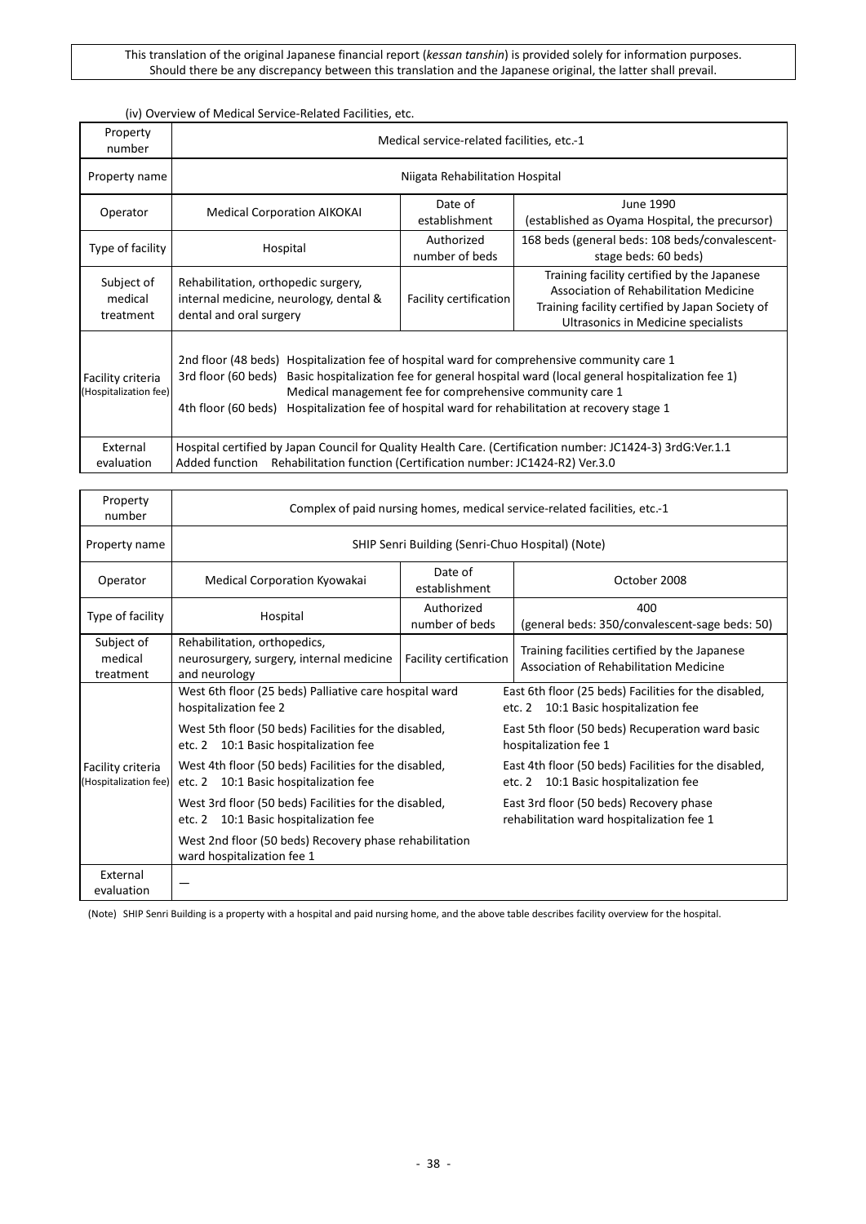#### (iv) Overview of Medical Service-Related Facilities, etc.

| Property<br>number                         | Medical service-related facilities, etc.-1                                                                                                                                                                                                                                                                                                                                         |                                                                                                                                                                                                           |                                                                        |  |  |  |  |  |  |  |
|--------------------------------------------|------------------------------------------------------------------------------------------------------------------------------------------------------------------------------------------------------------------------------------------------------------------------------------------------------------------------------------------------------------------------------------|-----------------------------------------------------------------------------------------------------------------------------------------------------------------------------------------------------------|------------------------------------------------------------------------|--|--|--|--|--|--|--|
| Property name                              | Niigata Rehabilitation Hospital                                                                                                                                                                                                                                                                                                                                                    |                                                                                                                                                                                                           |                                                                        |  |  |  |  |  |  |  |
| Operator                                   | Date of<br>June 1990<br><b>Medical Corporation AIKOKAI</b><br>(established as Oyama Hospital, the precursor)<br>establishment                                                                                                                                                                                                                                                      |                                                                                                                                                                                                           |                                                                        |  |  |  |  |  |  |  |
| Type of facility                           | Hospital                                                                                                                                                                                                                                                                                                                                                                           | Authorized<br>number of beds                                                                                                                                                                              | 168 beds (general beds: 108 beds/convalescent-<br>stage beds: 60 beds) |  |  |  |  |  |  |  |
| Subject of<br>medical<br>treatment         | Rehabilitation, orthopedic surgery,<br>internal medicine, neurology, dental &<br>dental and oral surgery                                                                                                                                                                                                                                                                           | Training facility certified by the Japanese<br>Association of Rehabilitation Medicine<br>Facility certification<br>Training facility certified by Japan Society of<br>Ultrasonics in Medicine specialists |                                                                        |  |  |  |  |  |  |  |
| Facility criteria<br>(Hospitalization fee) | 2nd floor (48 beds) Hospitalization fee of hospital ward for comprehensive community care 1<br>3rd floor (60 beds)<br>Basic hospitalization fee for general hospital ward (local general hospitalization fee 1)<br>Medical management fee for comprehensive community care 1<br>Hospitalization fee of hospital ward for rehabilitation at recovery stage 1<br>4th floor (60 beds) |                                                                                                                                                                                                           |                                                                        |  |  |  |  |  |  |  |
| External<br>evaluation                     | Hospital certified by Japan Council for Quality Health Care. (Certification number: JC1424-3) 3rdG:Ver.1.1<br>Rehabilitation function (Certification number: JC1424-R2) Ver.3.0<br>Added function                                                                                                                                                                                  |                                                                                                                                                                                                           |                                                                        |  |  |  |  |  |  |  |

| Property<br>number                         | Complex of paid nursing homes, medical service-related facilities, etc.-1                      |                                                  |                                                                                                |  |  |  |  |  |  |  |
|--------------------------------------------|------------------------------------------------------------------------------------------------|--------------------------------------------------|------------------------------------------------------------------------------------------------|--|--|--|--|--|--|--|
| Property name                              |                                                                                                | SHIP Senri Building (Senri-Chuo Hospital) (Note) |                                                                                                |  |  |  |  |  |  |  |
| Operator                                   | Medical Corporation Kyowakai                                                                   | Date of<br>establishment                         | October 2008                                                                                   |  |  |  |  |  |  |  |
| Type of facility                           | Hospital                                                                                       | Authorized<br>number of beds                     | 400<br>(general beds: 350/convalescent-sage beds: 50)                                          |  |  |  |  |  |  |  |
| Subject of<br>medical<br>treatment         | Rehabilitation, orthopedics,<br>neurosurgery, surgery, internal medicine<br>and neurology      | Facility certification                           | Training facilities certified by the Japanese<br>Association of Rehabilitation Medicine        |  |  |  |  |  |  |  |
|                                            | West 6th floor (25 beds) Palliative care hospital ward<br>hospitalization fee 2                |                                                  | East 6th floor (25 beds) Facilities for the disabled,<br>etc. 2 10:1 Basic hospitalization fee |  |  |  |  |  |  |  |
|                                            | West 5th floor (50 beds) Facilities for the disabled,<br>etc. 2 10:1 Basic hospitalization fee |                                                  | East 5th floor (50 beds) Recuperation ward basic<br>hospitalization fee 1                      |  |  |  |  |  |  |  |
| Facility criteria<br>(Hospitalization fee) | West 4th floor (50 beds) Facilities for the disabled,<br>etc. 2 10:1 Basic hospitalization fee |                                                  | East 4th floor (50 beds) Facilities for the disabled,<br>etc. 2 10:1 Basic hospitalization fee |  |  |  |  |  |  |  |
|                                            | West 3rd floor (50 beds) Facilities for the disabled,<br>etc. 2 10:1 Basic hospitalization fee |                                                  | East 3rd floor (50 beds) Recovery phase<br>rehabilitation ward hospitalization fee 1           |  |  |  |  |  |  |  |
|                                            | West 2nd floor (50 beds) Recovery phase rehabilitation<br>ward hospitalization fee 1           |                                                  |                                                                                                |  |  |  |  |  |  |  |
| External<br>evaluation                     |                                                                                                |                                                  |                                                                                                |  |  |  |  |  |  |  |

(Note) SHIP Senri Building is a property with a hospital and paid nursing home, and the above table describes facility overview for the hospital.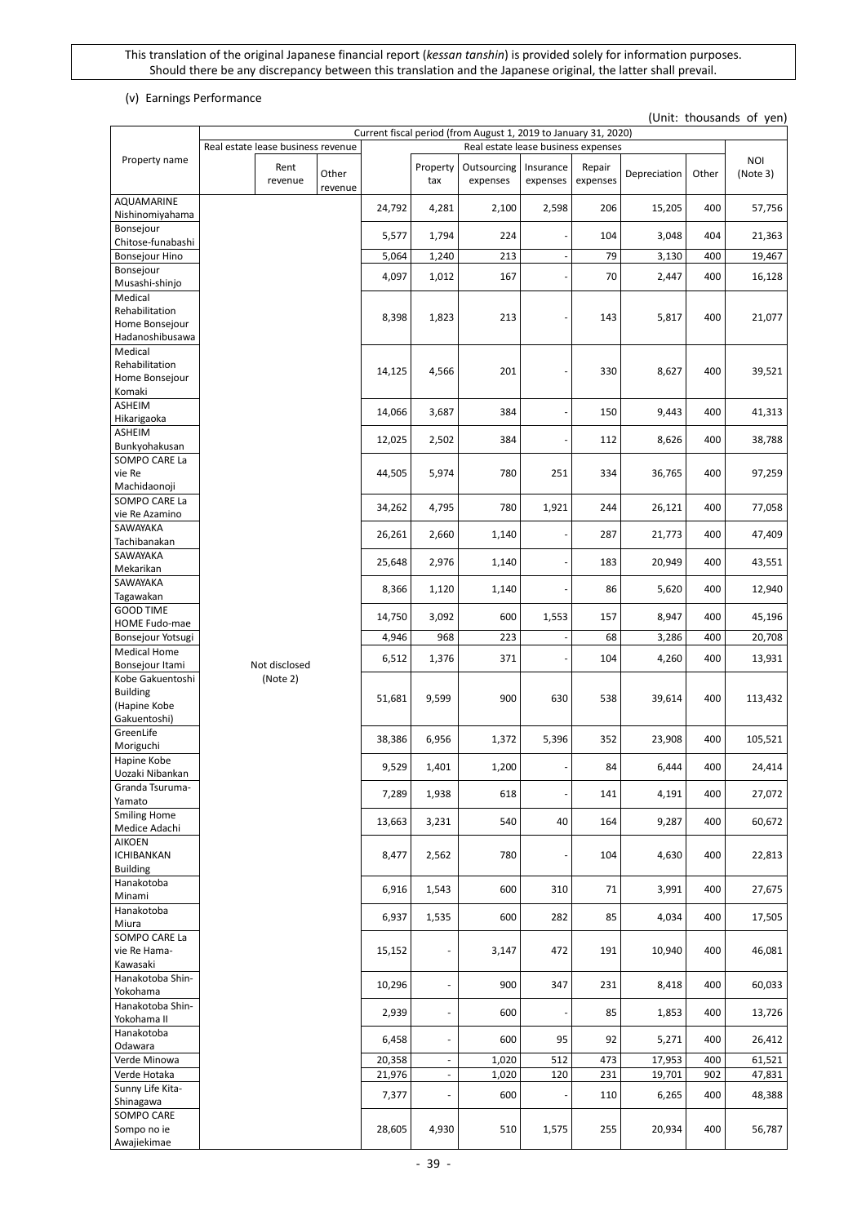### (v) Earnings Performance

'n

# (Unit: thousands of yen)

|                                          |                                    |         |        |                          | Current fiscal period (from August 1, 2019 to January 31, 2020) |                          |                    |              |       |            |
|------------------------------------------|------------------------------------|---------|--------|--------------------------|-----------------------------------------------------------------|--------------------------|--------------------|--------------|-------|------------|
| Property name                            | Real estate lease business revenue |         |        |                          | Real estate lease business expenses                             |                          |                    |              |       | <b>NOI</b> |
|                                          | Rent<br>revenue                    | Other   |        | Property<br>tax          | Outsourcing<br>expenses                                         | Insurance<br>expenses    | Repair<br>expenses | Depreciation | Other | (Note 3)   |
| AQUAMARINE                               |                                    | revenue |        |                          |                                                                 |                          |                    |              |       |            |
| Nishinomiyahama                          |                                    |         | 24,792 | 4,281                    | 2,100                                                           | 2,598                    | 206                | 15,205       | 400   | 57,756     |
| Bonsejour                                |                                    |         | 5,577  | 1,794                    | 224                                                             |                          | 104                | 3,048        | 404   | 21,363     |
| Chitose-funabashi                        |                                    |         |        |                          |                                                                 |                          |                    |              |       |            |
| <b>Bonsejour Hino</b>                    |                                    |         | 5,064  | 1,240                    | 213                                                             | $\overline{\phantom{a}}$ | 79                 | 3,130        | 400   | 19,467     |
| Bonsejour<br>Musashi-shinjo              |                                    |         | 4,097  | 1,012                    | 167                                                             | $\overline{\phantom{a}}$ | 70                 | 2,447        | 400   | 16,128     |
| Medical                                  |                                    |         |        |                          |                                                                 |                          |                    |              |       |            |
| Rehabilitation                           |                                    |         | 8,398  | 1,823                    | 213                                                             |                          | 143                | 5,817        | 400   | 21,077     |
| Home Bonsejour                           |                                    |         |        |                          |                                                                 |                          |                    |              |       |            |
| Hadanoshibusawa<br>Medical               |                                    |         |        |                          |                                                                 |                          |                    |              |       |            |
| Rehabilitation                           |                                    |         |        |                          |                                                                 |                          |                    |              |       |            |
| Home Bonsejour                           |                                    |         | 14,125 | 4,566                    | 201                                                             |                          | 330                | 8,627        | 400   | 39,521     |
| Komaki                                   |                                    |         |        |                          |                                                                 |                          |                    |              |       |            |
| ASHEIM<br>Hikarigaoka                    |                                    |         | 14,066 | 3,687                    | 384                                                             | ٠                        | 150                | 9,443        | 400   | 41,313     |
| ASHEIM                                   |                                    |         |        |                          |                                                                 |                          |                    |              |       |            |
| Bunkyohakusan                            |                                    |         | 12,025 | 2,502                    | 384                                                             |                          | 112                | 8,626        | 400   | 38,788     |
| SOMPO CARE La                            |                                    |         |        |                          |                                                                 |                          |                    |              |       |            |
| vie Re                                   |                                    |         | 44,505 | 5,974                    | 780                                                             | 251                      | 334                | 36,765       | 400   | 97,259     |
| Machidaonoji<br>SOMPO CARE La            |                                    |         |        |                          |                                                                 |                          |                    |              |       |            |
| vie Re Azamino                           |                                    |         | 34,262 | 4,795                    | 780                                                             | 1,921                    | 244                | 26,121       | 400   | 77,058     |
| SAWAYAKA                                 |                                    |         | 26,261 | 2,660                    | 1,140                                                           |                          | 287                | 21,773       | 400   | 47,409     |
| Tachibanakan                             |                                    |         |        |                          |                                                                 |                          |                    |              |       |            |
| SAWAYAKA                                 |                                    |         | 25,648 | 2,976                    | 1,140                                                           | $\overline{\phantom{a}}$ | 183                | 20,949       | 400   | 43,551     |
| Mekarikan<br>SAWAYAKA                    |                                    |         |        |                          |                                                                 |                          |                    |              |       |            |
| Tagawakan                                |                                    |         | 8,366  | 1,120                    | 1,140                                                           |                          | 86                 | 5,620        | 400   | 12,940     |
| <b>GOOD TIME</b>                         |                                    |         | 14,750 | 3,092                    | 600                                                             | 1,553                    | 157                | 8,947        | 400   | 45,196     |
| HOME Fudo-mae                            |                                    |         |        |                          |                                                                 |                          |                    |              |       |            |
| Bonsejour Yotsugi<br><b>Medical Home</b> |                                    |         | 4,946  | 968                      | 223                                                             | $\overline{\phantom{a}}$ | 68                 | 3,286        | 400   | 20,708     |
| Bonsejour Itami                          | Not disclosed                      |         | 6,512  | 1,376                    | 371                                                             |                          | 104                | 4,260        | 400   | 13,931     |
| Kobe Gakuentoshi                         | (Note 2)                           |         |        |                          |                                                                 |                          |                    |              |       |            |
| <b>Building</b>                          |                                    |         | 51,681 | 9,599                    | 900                                                             | 630                      | 538                | 39,614       | 400   | 113,432    |
| (Hapine Kobe                             |                                    |         |        |                          |                                                                 |                          |                    |              |       |            |
| Gakuentoshi)<br>GreenLife                |                                    |         |        |                          |                                                                 |                          |                    |              |       |            |
| Moriguchi                                |                                    |         | 38,386 | 6,956                    | 1,372                                                           | 5,396                    | 352                | 23,908       | 400   | 105,521    |
| Hapine Kobe                              |                                    |         | 9,529  | 1,401                    | 1,200                                                           |                          | 84                 | 6,444        | 400   | 24,414     |
| Uozaki Nibankan                          |                                    |         |        |                          |                                                                 |                          |                    |              |       |            |
| Granda Tsuruma-<br>Yamato                |                                    |         | 7,289  | 1,938                    | 618                                                             |                          | 141                | 4,191        | 400   | 27,072     |
| <b>Smiling Home</b>                      |                                    |         |        |                          |                                                                 |                          |                    |              |       |            |
| Medice Adachi                            |                                    |         | 13,663 | 3,231                    | 540                                                             | 40                       | 164                | 9,287        | 400   | 60,672     |
| <b>AIKOEN</b>                            |                                    |         |        |                          |                                                                 |                          |                    |              |       |            |
| <b>ICHIBANKAN</b><br><b>Building</b>     |                                    |         | 8,477  | 2,562                    | 780                                                             |                          | 104                | 4,630        | 400   | 22,813     |
| Hanakotoba                               |                                    |         |        |                          |                                                                 |                          |                    |              |       |            |
| Minami                                   |                                    |         | 6,916  | 1,543                    | 600                                                             | 310                      | 71                 | 3,991        | 400   | 27,675     |
| Hanakotoba                               |                                    |         | 6,937  | 1,535                    | 600                                                             | 282                      | 85                 | 4,034        | 400   | 17,505     |
| Miura<br>SOMPO CARE La                   |                                    |         |        |                          |                                                                 |                          |                    |              |       |            |
| vie Re Hama-                             |                                    |         | 15,152 | $\overline{\phantom{a}}$ | 3,147                                                           | 472                      | 191                | 10,940       | 400   | 46,081     |
| Kawasaki                                 |                                    |         |        |                          |                                                                 |                          |                    |              |       |            |
| Hanakotoba Shin-                         |                                    |         | 10,296 | $\blacksquare$           | 900                                                             | 347                      | 231                | 8,418        | 400   | 60,033     |
| Yokohama                                 |                                    |         |        |                          |                                                                 |                          |                    |              |       |            |
| Hanakotoba Shin-<br>Yokohama II          |                                    |         | 2,939  | $\overline{\phantom{a}}$ | 600                                                             |                          | 85                 | 1,853        | 400   | 13,726     |
| Hanakotoba                               |                                    |         |        |                          |                                                                 |                          |                    |              |       |            |
| Odawara                                  |                                    |         | 6,458  | $\blacksquare$           | 600                                                             | 95                       | 92                 | 5,271        | 400   | 26,412     |
| Verde Minowa                             |                                    |         | 20,358 | $\Box$                   | 1,020                                                           | 512                      | 473                | 17,953       | 400   | 61,521     |
| Verde Hotaka<br>Sunny Life Kita-         |                                    |         | 21,976 | $\overline{\phantom{a}}$ | 1,020                                                           | 120                      | 231                | 19,701       | 902   | 47,831     |
| Shinagawa                                |                                    |         | 7,377  | $\Box$                   | 600                                                             |                          | 110                | 6,265        | 400   | 48,388     |
| SOMPO CARE                               |                                    |         |        |                          |                                                                 |                          |                    |              |       |            |
| Sompo no ie                              |                                    |         | 28,605 | 4,930                    | 510                                                             | 1,575                    | 255                | 20,934       | 400   | 56,787     |
| Awajiekimae                              |                                    |         |        |                          |                                                                 |                          |                    |              |       |            |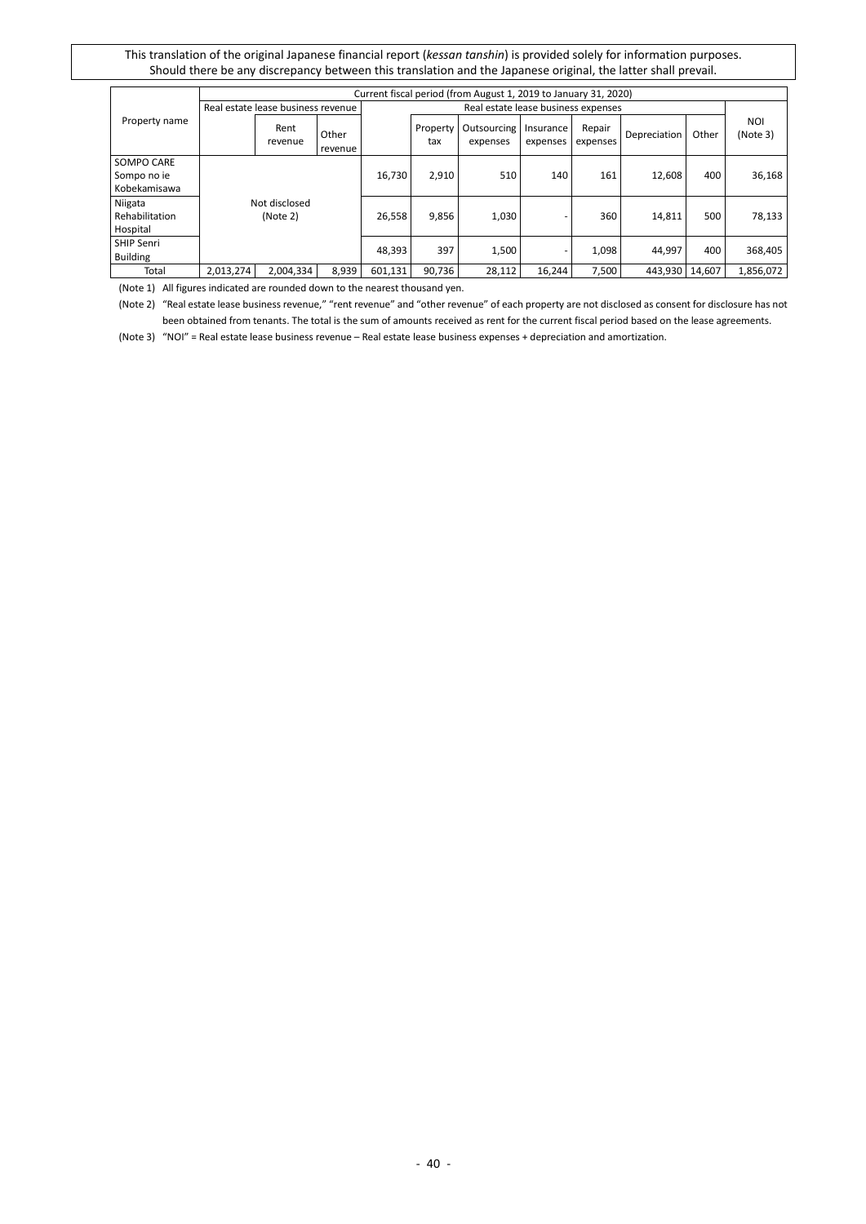|                   |                                    |                 |                  |         |                                     | Current fiscal period (from August 1, 2019 to January 31, 2020) |                       |                    |                |       |                        |
|-------------------|------------------------------------|-----------------|------------------|---------|-------------------------------------|-----------------------------------------------------------------|-----------------------|--------------------|----------------|-------|------------------------|
|                   | Real estate lease business revenue |                 |                  |         | Real estate lease business expenses |                                                                 |                       |                    |                |       |                        |
| Property name     |                                    | Rent<br>revenue | Other<br>revenue |         | Property<br>tax                     | Outsourcing<br>expenses                                         | Insurance<br>expenses | Repair<br>expenses | Depreciation   | Other | <b>NOI</b><br>(Note 3) |
| SOMPO CARE        |                                    |                 |                  |         |                                     |                                                                 |                       |                    |                |       |                        |
| Sompo no ie       |                                    |                 |                  | 16,730  | 2,910                               | 510                                                             | 140                   | 161                | 12,608         | 400   | 36,168                 |
| Kobekamisawa      |                                    |                 |                  |         |                                     |                                                                 |                       |                    |                |       |                        |
| Niigata           |                                    | Not disclosed   |                  |         |                                     |                                                                 |                       |                    |                |       |                        |
| Rehabilitation    |                                    | (Note 2)        |                  | 26,558  | 9,856                               | 1,030                                                           |                       | 360                | 14,811         | 500   | 78,133                 |
| Hospital          |                                    |                 |                  |         |                                     |                                                                 |                       |                    |                |       |                        |
| <b>SHIP Senri</b> |                                    |                 |                  | 48.393  | 397                                 | 1,500                                                           |                       | 1,098              | 44,997         | 400   | 368,405                |
| Building          |                                    |                 |                  |         |                                     |                                                                 |                       |                    |                |       |                        |
| Total             | 2,013,274                          | 2,004,334       | 8,939            | 601,131 | 90,736                              | 28,112                                                          | 16.244                | 7,500              | 443,930 14,607 |       | 1,856,072              |

(Note 1) All figures indicated are rounded down to the nearest thousand yen.

(Note 2) "Real estate lease business revenue," "rent revenue" and "other revenue" of each property are not disclosed as consent for disclosure has not been obtained from tenants. The total is the sum of amounts received as rent for the current fiscal period based on the lease agreements.

(Note 3) "NOI" = Real estate lease business revenue – Real estate lease business expenses + depreciation and amortization.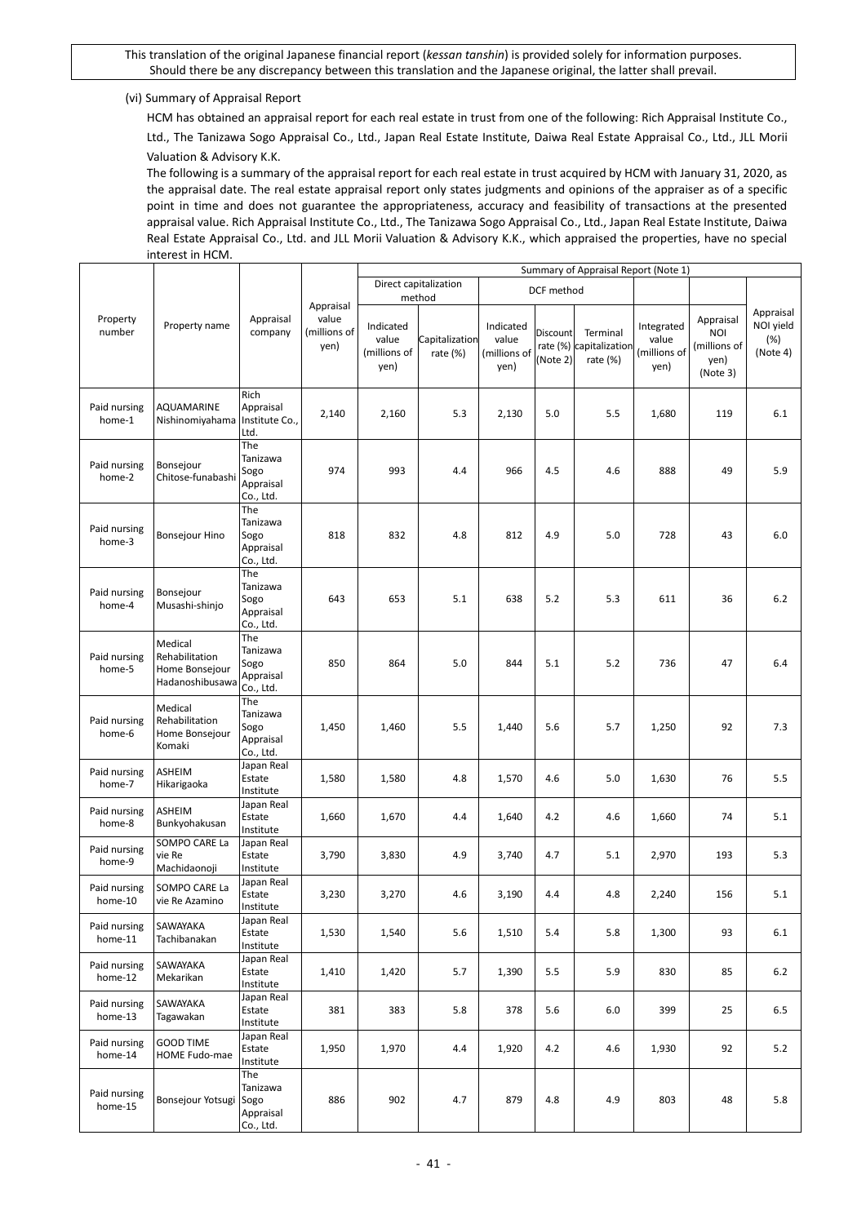#### (vi) Summary of Appraisal Report

HCM has obtained an appraisal report for each real estate in trust from one of the following: Rich Appraisal Institute Co., Ltd., The Tanizawa Sogo Appraisal Co., Ltd., Japan Real Estate Institute, Daiwa Real Estate Appraisal Co., Ltd., JLL Morii Valuation & Advisory K.K.

The following is a summary of the appraisal report for each real estate in trust acquired by HCM with January 31, 2020, as the appraisal date. The real estate appraisal report only states judgments and opinions of the appraiser as of a specific point in time and does not guarantee the appropriateness, accuracy and feasibility of transactions at the presented appraisal value. Rich Appraisal Institute Co., Ltd., The Tanizawa Sogo Appraisal Co., Ltd., Japan Real Estate Institute, Daiwa Real Estate Appraisal Co., Ltd. and JLL Morii Valuation & Advisory K.K., which appraised the properties, have no special interest in HCM.

|                         |                                                                |                                                   |                               | Summary of Appraisal Report (Note 1)       |                                 |                                            |                      |                                                 |                                             |                                                             |                                           |
|-------------------------|----------------------------------------------------------------|---------------------------------------------------|-------------------------------|--------------------------------------------|---------------------------------|--------------------------------------------|----------------------|-------------------------------------------------|---------------------------------------------|-------------------------------------------------------------|-------------------------------------------|
|                         |                                                                |                                                   | Appraisal                     |                                            | Direct capitalization<br>method |                                            | DCF method           |                                                 |                                             |                                                             |                                           |
| Property<br>number      | Property name                                                  | Appraisal<br>company                              | value<br>(millions of<br>yen) | Indicated<br>value<br>(millions of<br>yen) | Capitalization<br>rate (%)      | Indicated<br>value<br>(millions of<br>yen) | Discount<br>(Note 2) | Terminal<br>rate (%) capitalization<br>rate (%) | Integrated<br>value<br>(millions of<br>yen) | Appraisal<br><b>NOI</b><br>(millions of<br>yen)<br>(Note 3) | Appraisal<br>NOI yield<br>(%)<br>(Note 4) |
| Paid nursing<br>home-1  | AQUAMARINE<br>Nishinomiyahama Institute Co.,                   | Rich<br>Appraisal<br>Ltd.                         | 2,140                         | 2,160                                      | 5.3                             | 2,130                                      | 5.0                  | 5.5                                             | 1,680                                       | 119                                                         | 6.1                                       |
| Paid nursing<br>home-2  | Bonsejour<br>Chitose-funabashi                                 | The<br>Tanizawa<br>Sogo<br>Appraisal<br>Co., Ltd. | 974                           | 993                                        | 4.4                             | 966                                        | 4.5                  | 4.6                                             | 888                                         | 49                                                          | 5.9                                       |
| Paid nursing<br>home-3  | <b>Bonsejour Hino</b>                                          | The<br>Tanizawa<br>Sogo<br>Appraisal<br>Co., Ltd. | 818                           | 832                                        | 4.8                             | 812                                        | 4.9                  | 5.0                                             | 728                                         | 43                                                          | 6.0                                       |
| Paid nursing<br>home-4  | Bonsejour<br>Musashi-shinjo                                    | The<br>Tanizawa<br>Sogo<br>Appraisal<br>Co., Ltd. | 643                           | 653                                        | 5.1                             | 638                                        | 5.2                  | 5.3                                             | 611                                         | 36                                                          | 6.2                                       |
| Paid nursing<br>home-5  | Medical<br>Rehabilitation<br>Home Bonsejour<br>Hadanoshibusawa | The<br>Tanizawa<br>Sogo<br>Appraisal<br>Co., Ltd. | 850                           | 864                                        | 5.0                             | 844                                        | 5.1                  | 5.2                                             | 736                                         | 47                                                          | 6.4                                       |
| Paid nursing<br>home-6  | Medical<br>Rehabilitation<br>Home Bonsejour<br>Komaki          | The<br>Tanizawa<br>Sogo<br>Appraisal<br>Co., Ltd. | 1,450                         | 1,460                                      | 5.5                             | 1,440                                      | 5.6                  | 5.7                                             | 1,250                                       | 92                                                          | 7.3                                       |
| Paid nursing<br>home-7  | ASHEIM<br>Hikarigaoka                                          | Japan Real<br>Estate<br>Institute                 | 1,580                         | 1,580                                      | 4.8                             | 1,570                                      | 4.6                  | 5.0                                             | 1,630                                       | 76                                                          | 5.5                                       |
| Paid nursing<br>home-8  | ASHEIM<br>Bunkyohakusan                                        | Japan Real<br>Estate<br>Institute                 | 1,660                         | 1,670                                      | 4.4                             | 1,640                                      | 4.2                  | 4.6                                             | 1,660                                       | 74                                                          | 5.1                                       |
| Paid nursing<br>home-9  | SOMPO CARE La<br>vie Re<br>Machidaonoji                        | Japan Real<br>Estate<br>Institute                 | 3,790                         | 3,830                                      | 4.9                             | 3,740                                      | 4.7                  | 5.1                                             | 2,970                                       | 193                                                         | 5.3                                       |
| Paid nursing<br>home-10 | SOMPO CARE La<br>vie Re Azamino                                | Japan Real<br>Estate<br>Institute                 | 3,230                         | 3,270                                      | 4.6                             | 3,190                                      | 4.4                  | 4.8                                             | 2,240                                       | 156                                                         | 5.1                                       |
| Paid nursing<br>home-11 | SAWAYAKA<br>Tachibanakan                                       | Japan Real<br>Estate<br>Institute                 | 1,530                         | 1,540                                      | 5.6                             | 1,510                                      | 5.4                  | 5.8                                             | 1,300                                       | 93                                                          | 6.1                                       |
| Paid nursing<br>home-12 | SAWAYAKA<br>Mekarikan                                          | Japan Real<br>Estate<br>Institute                 | 1,410                         | 1,420                                      | 5.7                             | 1,390                                      | 5.5                  | 5.9                                             | 830                                         | 85                                                          | $6.2$                                     |
| Paid nursing<br>home-13 | SAWAYAKA<br>Tagawakan                                          | Japan Real<br>Estate<br>Institute                 | 381                           | 383                                        | 5.8                             | 378                                        | 5.6                  | 6.0                                             | 399                                         | 25                                                          | 6.5                                       |
| Paid nursing<br>home-14 | GOOD TIME<br><b>HOME Fudo-mae</b>                              | Japan Real<br>Estate<br>Institute                 | 1,950                         | 1,970                                      | 4.4                             | 1,920                                      | 4.2                  | 4.6                                             | 1,930                                       | 92                                                          | 5.2                                       |
| Paid nursing<br>home-15 | Bonsejour Yotsugi                                              | The<br>Tanizawa<br>Sogo<br>Appraisal<br>Co., Ltd. | 886                           | 902                                        | 4.7                             | 879                                        | 4.8                  | 4.9                                             | 803                                         | 48                                                          | 5.8                                       |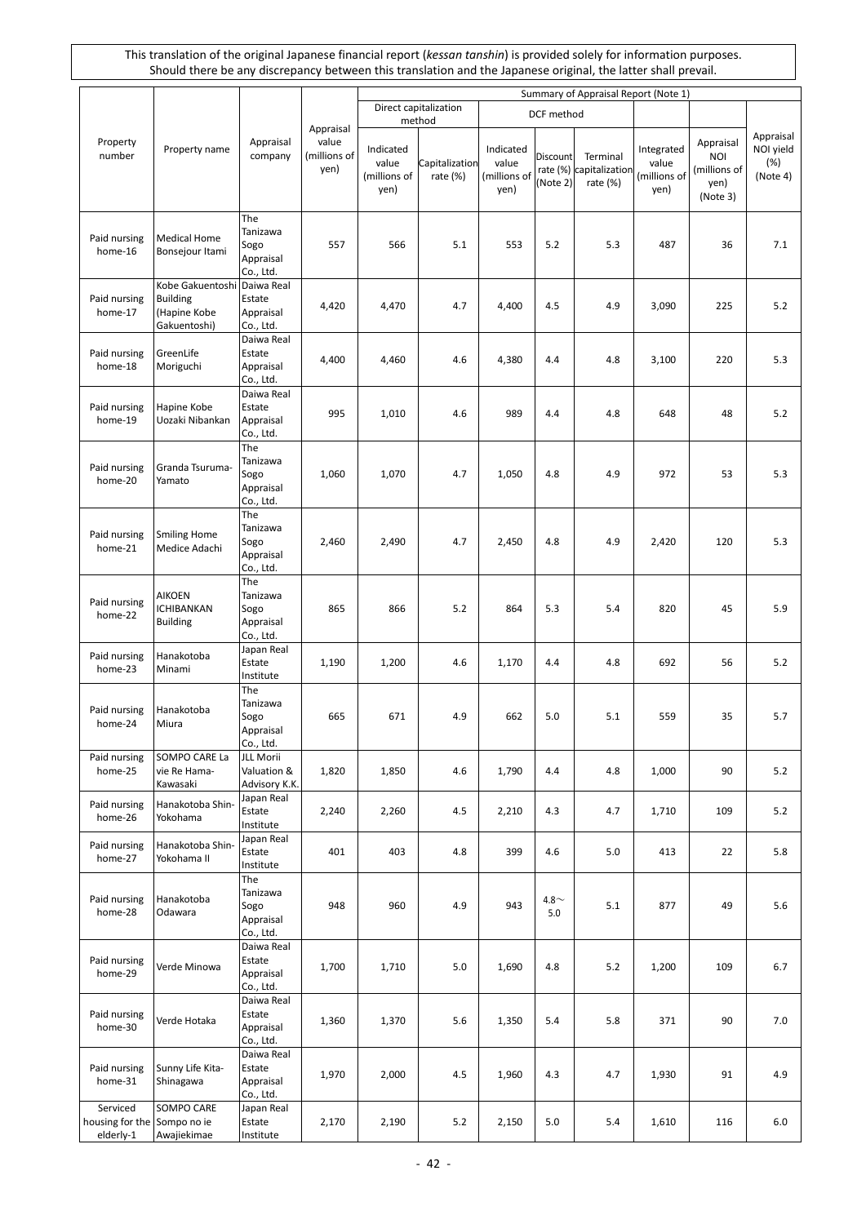|                                                      |                                                                     |                                                   |                                            |                                            |                                      |                                            |                             | Summary of Appraisal Report (Note 1)               |                                             |                                                      |                                           |
|------------------------------------------------------|---------------------------------------------------------------------|---------------------------------------------------|--------------------------------------------|--------------------------------------------|--------------------------------------|--------------------------------------------|-----------------------------|----------------------------------------------------|---------------------------------------------|------------------------------------------------------|-------------------------------------------|
|                                                      |                                                                     |                                                   |                                            |                                            | Direct capitalization                |                                            | DCF method                  |                                                    |                                             |                                                      |                                           |
| Property<br>number                                   | Property name                                                       | Appraisal<br>company                              | Appraisal<br>value<br>(millions of<br>yen) | Indicated<br>value<br>(millions of<br>yen) | method<br>Capitalization<br>rate (%) | Indicated<br>value<br>(millions of<br>yen) | <b>Discount</b><br>(Note 2) | Terminal<br>rate (%) capitalization<br>rate $(\%)$ | Integrated<br>value<br>(millions of<br>yen) | Appraisal<br>NOI<br>(millions of<br>yen)<br>(Note 3) | Appraisal<br>NOI yield<br>(%)<br>(Note 4) |
| Paid nursing<br>home-16                              | <b>Medical Home</b><br>Bonsejour Itami                              | The<br>Tanizawa<br>Sogo<br>Appraisal<br>Co., Ltd. | 557                                        | 566                                        | 5.1                                  | 553                                        | 5.2                         | 5.3                                                | 487                                         | 36                                                   | 7.1                                       |
| Paid nursing<br>home-17                              | Kobe Gakuentoshi<br><b>Building</b><br>(Hapine Kobe<br>Gakuentoshi) | Daiwa Real<br>Estate<br>Appraisal<br>Co., Ltd.    | 4,420                                      | 4,470                                      | 4.7                                  | 4,400                                      | 4.5                         | 4.9                                                | 3,090                                       | 225                                                  | 5.2                                       |
| Paid nursing<br>home-18                              | GreenLife<br>Moriguchi                                              | Daiwa Real<br>Estate<br>Appraisal<br>Co., Ltd.    | 4,400                                      | 4,460                                      | 4.6                                  | 4,380                                      | 4.4                         | 4.8                                                | 3,100                                       | 220                                                  | 5.3                                       |
| Paid nursing<br>home-19                              | Hapine Kobe<br>Uozaki Nibankan                                      | Daiwa Real<br>Estate<br>Appraisal<br>Co., Ltd.    | 995                                        | 1,010                                      | 4.6                                  | 989                                        | 4.4                         | 4.8                                                | 648                                         | 48                                                   | 5.2                                       |
| Paid nursing<br>home-20                              | Granda Tsuruma-<br>Yamato                                           | The<br>Tanizawa<br>Sogo<br>Appraisal<br>Co., Ltd. | 1,060                                      | 1,070                                      | 4.7                                  | 1,050                                      | 4.8                         | 4.9                                                | 972                                         | 53                                                   | 5.3                                       |
| Paid nursing<br>home-21                              | <b>Smiling Home</b><br>Medice Adachi                                | The<br>Tanizawa<br>Sogo<br>Appraisal<br>Co., Ltd. | 2,460                                      | 2,490                                      | 4.7                                  | 2,450                                      | 4.8                         | 4.9                                                | 2,420                                       | 120                                                  | 5.3                                       |
| Paid nursing<br>home-22                              | <b>AIKOEN</b><br>ICHIBANKAN<br><b>Building</b>                      | The<br>Tanizawa<br>Sogo<br>Appraisal<br>Co., Ltd. | 865                                        | 866                                        | 5.2                                  | 864                                        | 5.3                         | 5.4                                                | 820                                         | 45                                                   | 5.9                                       |
| Paid nursing<br>home-23                              | Hanakotoba<br>Minami                                                | Japan Real<br>Estate<br>Institute                 | 1,190                                      | 1,200                                      | 4.6                                  | 1,170                                      | 4.4                         | 4.8                                                | 692                                         | 56                                                   | 5.2                                       |
| Paid nursing<br>home-24                              | Hanakotoba<br>Miura                                                 | The<br>Tanizawa<br>Sogo<br>Appraisal<br>Co., Ltd. | 665                                        | 671                                        | 4.9                                  | 662                                        | 5.0                         | 5.1                                                | 559                                         | 35                                                   | 5.7                                       |
| Paid nursing<br>home-25                              | SOMPO CARE La<br>vie Re Hama-<br>Kawasaki                           | JLL Morii<br>Valuation &<br>Advisory K.K.         | 1,820                                      | 1,850                                      | 4.6                                  | 1,790                                      | 4.4                         | 4.8                                                | 1,000                                       | 90                                                   | 5.2                                       |
| Paid nursing<br>home-26                              | Hanakotoba Shin-<br>Yokohama                                        | Japan Real<br>Estate<br>Institute                 | 2,240                                      | 2,260                                      | 4.5                                  | 2,210                                      | 4.3                         | 4.7                                                | 1,710                                       | 109                                                  | 5.2                                       |
| Paid nursing<br>home-27                              | Hanakotoba Shin-<br>Yokohama II                                     | Japan Real<br>Estate<br>Institute                 | 401                                        | 403                                        | 4.8                                  | 399                                        | 4.6                         | 5.0                                                | 413                                         | 22                                                   | 5.8                                       |
| Paid nursing<br>home-28                              | Hanakotoba<br>Odawara                                               | The<br>Tanizawa<br>Sogo<br>Appraisal<br>Co., Ltd. | 948                                        | 960                                        | 4.9                                  | 943                                        | $4.8\sim$<br>5.0            | 5.1                                                | 877                                         | 49                                                   | 5.6                                       |
| Paid nursing<br>home-29                              | Verde Minowa                                                        | Daiwa Real<br>Estate<br>Appraisal<br>Co., Ltd.    | 1,700                                      | 1,710                                      | 5.0                                  | 1,690                                      | 4.8                         | 5.2                                                | 1,200                                       | 109                                                  | 6.7                                       |
| Paid nursing<br>home-30                              | Verde Hotaka                                                        | Daiwa Real<br>Estate<br>Appraisal<br>Co., Ltd.    | 1,360                                      | 1,370                                      | 5.6                                  | 1,350                                      | 5.4                         | 5.8                                                | 371                                         | 90                                                   | 7.0                                       |
| Paid nursing<br>home-31                              | Sunny Life Kita-<br>Shinagawa                                       | Daiwa Real<br>Estate<br>Appraisal<br>Co., Ltd.    | 1,970                                      | 2,000                                      | 4.5                                  | 1,960                                      | 4.3                         | 4.7                                                | 1,930                                       | 91                                                   | 4.9                                       |
| Serviced<br>housing for the Sompo no ie<br>elderly-1 | SOMPO CARE<br>Awajiekimae                                           | Japan Real<br>Estate<br>Institute                 | 2,170                                      | 2,190                                      | 5.2                                  | 2,150                                      | 5.0                         | 5.4                                                | 1,610                                       | 116                                                  | 6.0                                       |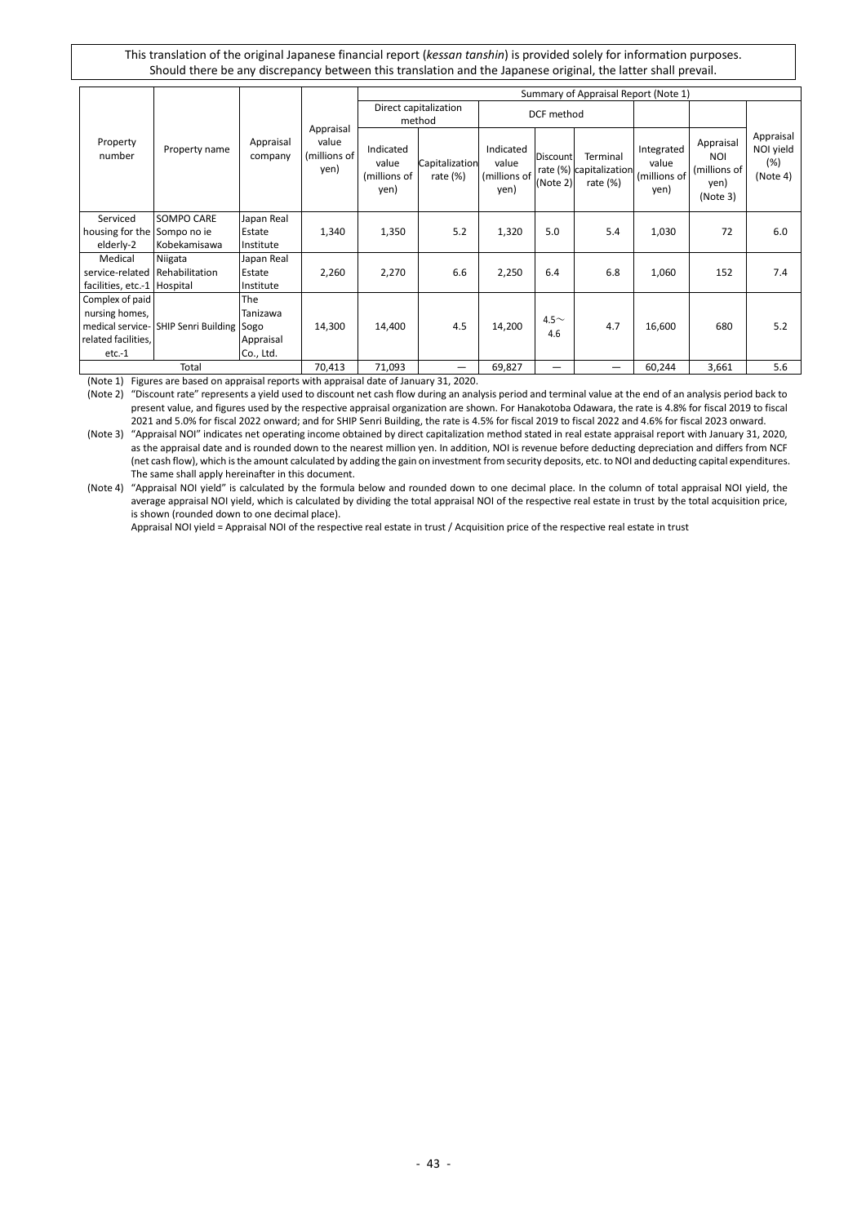|                                         |                                           |                      |                                            |                                            |                                 |                                            |                             | Summary of Appraisal Report (Note 1)               |                                             |                                                             |                                           |
|-----------------------------------------|-------------------------------------------|----------------------|--------------------------------------------|--------------------------------------------|---------------------------------|--------------------------------------------|-----------------------------|----------------------------------------------------|---------------------------------------------|-------------------------------------------------------------|-------------------------------------------|
|                                         |                                           |                      |                                            |                                            | Direct capitalization<br>method | DCF method                                 |                             |                                                    |                                             |                                                             |                                           |
| Property<br>number                      | Property name                             | Appraisal<br>company | Appraisal<br>value<br>(millions of<br>yen) | Indicated<br>value<br>(millions of<br>yen) | Capitalization<br>rate $(\%)$   | Indicated<br>value<br>(millions of<br>yen) | <b>Discount</b><br>(Note 2) | Terminal<br>rate (%) capitalization<br>rate $(\%)$ | Integrated<br>value<br>(millions of<br>yen) | Appraisal<br><b>NOI</b><br>(millions of<br>yen)<br>(Note 3) | Appraisal<br>NOI yield<br>(%)<br>(Note 4) |
| Serviced<br>housing for the Sompo no ie | <b>SOMPO CARE</b>                         | Japan Real<br>Estate | 1,340                                      | 1,350                                      | 5.2                             | 1,320                                      | 5.0                         | 5.4                                                | 1,030                                       | 72                                                          | 6.0                                       |
| elderly-2                               | Kobekamisawa                              | Institute            |                                            |                                            |                                 |                                            |                             |                                                    |                                             |                                                             |                                           |
| Medical                                 | Niigata                                   | Japan Real           |                                            |                                            |                                 |                                            |                             |                                                    |                                             |                                                             |                                           |
| service-related Rehabilitation          |                                           | Estate               | 2,260                                      | 2,270                                      | 6.6                             | 2,250                                      | 6.4                         | 6.8                                                | 1,060                                       | 152                                                         | 7.4                                       |
| facilities, etc.-1 Hospital             |                                           | Institute            |                                            |                                            |                                 |                                            |                             |                                                    |                                             |                                                             |                                           |
| Complex of paid                         |                                           | The                  |                                            |                                            |                                 |                                            |                             |                                                    |                                             |                                                             |                                           |
| nursing homes,                          |                                           | Tanizawa             |                                            |                                            |                                 |                                            | $4.5\sim$                   |                                                    |                                             |                                                             |                                           |
|                                         | medical service- SHIP Senri Building Sogo |                      | 14,300                                     | 14,400                                     | 4.5                             | 14,200                                     | 4.6                         | 4.7                                                | 16,600                                      | 680                                                         | 5.2                                       |
| related facilities,                     |                                           | Appraisal            |                                            |                                            |                                 |                                            |                             |                                                    |                                             |                                                             |                                           |
| $etc.-1$                                |                                           | Co., Ltd.            |                                            |                                            |                                 |                                            |                             |                                                    |                                             |                                                             |                                           |
|                                         | Total                                     |                      | 70,413                                     | 71,093                                     | —                               | 69,827                                     |                             | —                                                  | 60,244                                      | 3,661                                                       | 5.6                                       |

(Note 1) Figures are based on appraisal reports with appraisal date of January 31, 2020.

(Note 2) "Discount rate" represents a yield used to discount net cash flow during an analysis period and terminal value at the end of an analysis period back to present value, and figures used by the respective appraisal organization are shown. For Hanakotoba Odawara, the rate is 4.8% for fiscal 2019 to fiscal 2021 and 5.0% for fiscal 2022 onward; and for SHIP Senri Building, the rate is 4.5% for fiscal 2019 to fiscal 2022 and 4.6% for fiscal 2023 onward.

(Note 3) "Appraisal NOI" indicates net operating income obtained by direct capitalization method stated in real estate appraisal report with January 31, 2020, as the appraisal date and is rounded down to the nearest million yen. In addition, NOI is revenue before deducting depreciation and differs from NCF (net cash flow), which is the amount calculated by adding the gain on investment from security deposits, etc. to NOI and deducting capital expenditures. The same shall apply hereinafter in this document.

(Note 4) "Appraisal NOI yield" is calculated by the formula below and rounded down to one decimal place. In the column of total appraisal NOI yield, the average appraisal NOI yield, which is calculated by dividing the total appraisal NOI of the respective real estate in trust by the total acquisition price, is shown (rounded down to one decimal place).

Appraisal NOI yield = Appraisal NOI of the respective real estate in trust / Acquisition price of the respective real estate in trust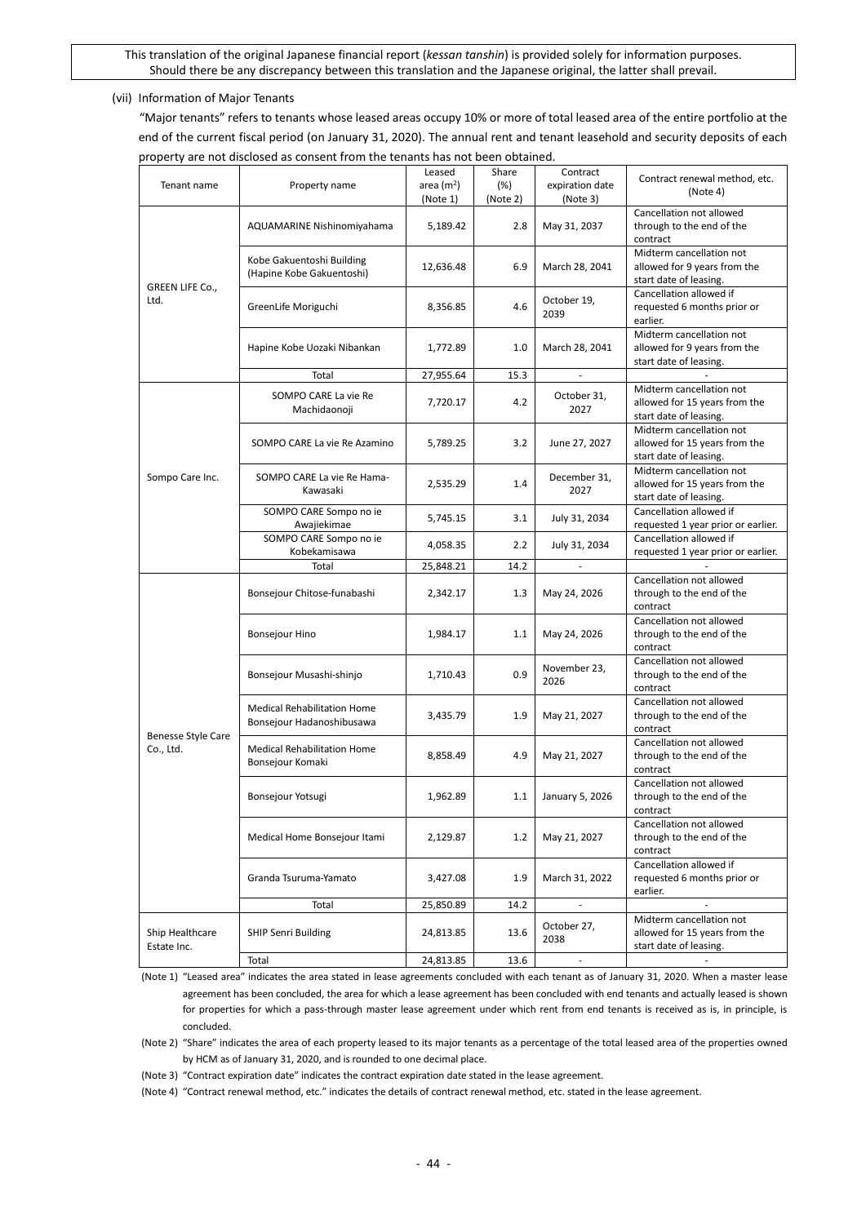#### (vii) Information of Major Tenants

"Major tenants" refers to tenants whose leased areas occupy 10% or more of total leased area of the entire portfolio at the end of the current fiscal period (on January 31, 2020). The annual rent and tenant leasehold and security deposits of each property are not disclosed as consent from the tenants has not been obtained.

| Tenant name                     | Property name                                                   | Leased<br>area $(m2)$<br>(Note 1) | Share<br>$(\%)$<br>(Note 2) | Contract<br>expiration date<br>(Note 3) | Contract renewal method, etc.<br>(Note 4)                                           |
|---------------------------------|-----------------------------------------------------------------|-----------------------------------|-----------------------------|-----------------------------------------|-------------------------------------------------------------------------------------|
|                                 | AQUAMARINE Nishinomiyahama                                      | 5,189.42                          | 2.8                         | May 31, 2037                            | Cancellation not allowed<br>through to the end of the<br>contract                   |
| GREEN LIFE Co.,<br>Ltd.         | Kobe Gakuentoshi Building<br>(Hapine Kobe Gakuentoshi)          | 12,636.48                         | 6.9                         | March 28, 2041                          | Midterm cancellation not<br>allowed for 9 years from the<br>start date of leasing.  |
|                                 | GreenLife Moriguchi                                             | 8,356.85                          | 4.6                         | October 19,<br>2039                     | Cancellation allowed if<br>requested 6 months prior or<br>earlier.                  |
|                                 | Hapine Kobe Uozaki Nibankan                                     | 1,772.89                          | 1.0                         | March 28, 2041                          | Midterm cancellation not<br>allowed for 9 years from the<br>start date of leasing.  |
|                                 | Total                                                           | 27,955.64                         | 15.3                        | ä,                                      |                                                                                     |
|                                 | SOMPO CARE La vie Re<br>Machidaonoji                            | 7,720.17                          | 4.2                         | October 31,<br>2027                     | Midterm cancellation not<br>allowed for 15 years from the<br>start date of leasing. |
|                                 | SOMPO CARE La vie Re Azamino                                    | 5,789.25                          | 3.2                         | June 27, 2027                           | Midterm cancellation not<br>allowed for 15 years from the<br>start date of leasing. |
| Sompo Care Inc.                 | SOMPO CARE La vie Re Hama-<br>Kawasaki                          | 2,535.29                          | 1.4                         | December 31,<br>2027                    | Midterm cancellation not<br>allowed for 15 years from the<br>start date of leasing. |
|                                 | SOMPO CARE Sompo no ie<br>Awajiekimae                           | 5,745.15                          | 3.1                         | July 31, 2034                           | Cancellation allowed if<br>requested 1 year prior or earlier.                       |
|                                 | SOMPO CARE Sompo no ie<br>Kobekamisawa                          | 4,058.35                          | 2.2                         | July 31, 2034                           | Cancellation allowed if<br>requested 1 year prior or earlier.                       |
|                                 | Total                                                           | 25,848.21                         | 14.2                        | ä,                                      |                                                                                     |
|                                 | Bonsejour Chitose-funabashi                                     | 2,342.17                          | 1.3                         | May 24, 2026                            | Cancellation not allowed<br>through to the end of the<br>contract                   |
|                                 | Bonsejour Hino                                                  | 1,984.17                          | 1.1                         | May 24, 2026                            | Cancellation not allowed<br>through to the end of the<br>contract                   |
|                                 | Bonsejour Musashi-shinjo                                        | 1,710.43                          | 0.9                         | November 23,<br>2026                    | Cancellation not allowed<br>through to the end of the<br>contract                   |
|                                 | <b>Medical Rehabilitation Home</b><br>Bonsejour Hadanoshibusawa | 3,435.79                          | 1.9                         | May 21, 2027                            | Cancellation not allowed<br>through to the end of the<br>contract                   |
| Benesse Style Care<br>Co., Ltd. | <b>Medical Rehabilitation Home</b><br>Bonsejour Komaki          | 8,858.49                          | 4.9                         | May 21, 2027                            | Cancellation not allowed<br>through to the end of the<br>contract                   |
|                                 | Bonsejour Yotsugi                                               | 1,962.89                          | 1.1                         | January 5, 2026                         | Cancellation not allowed<br>through to the end of the<br>contract                   |
|                                 | Medical Home Bonsejour Itami                                    | 2,129.87                          | 1.2                         | May 21, 2027                            | Cancellation not allowed<br>through to the end of the<br>contract                   |
|                                 | Granda Tsuruma-Yamato                                           | 3,427.08                          | 1.9                         | March 31, 2022                          | Cancellation allowed if<br>requested 6 months prior or<br>earlier.                  |
|                                 | Total                                                           | 25,850.89                         | 14.2                        |                                         |                                                                                     |
| Ship Healthcare<br>Estate Inc.  | <b>SHIP Senri Building</b>                                      | 24,813.85                         | 13.6                        | October 27,<br>2038                     | Midterm cancellation not<br>allowed for 15 years from the<br>start date of leasing. |
|                                 | Total                                                           | 24,813.85                         | 13.6                        | $\overline{\phantom{a}}$                |                                                                                     |

(Note 1) "Leased area" indicates the area stated in lease agreements concluded with each tenant as of January 31, 2020. When a master lease agreement has been concluded, the area for which a lease agreement has been concluded with end tenants and actually leased is shown for properties for which a pass-through master lease agreement under which rent from end tenants is received as is, in principle, is concluded.

(Note 2) "Share" indicates the area of each property leased to its major tenants as a percentage of the total leased area of the properties owned by HCM as of January 31, 2020, and is rounded to one decimal place.

(Note 3) "Contract expiration date" indicates the contract expiration date stated in the lease agreement.

(Note 4) "Contract renewal method, etc." indicates the details of contract renewal method, etc. stated in the lease agreement.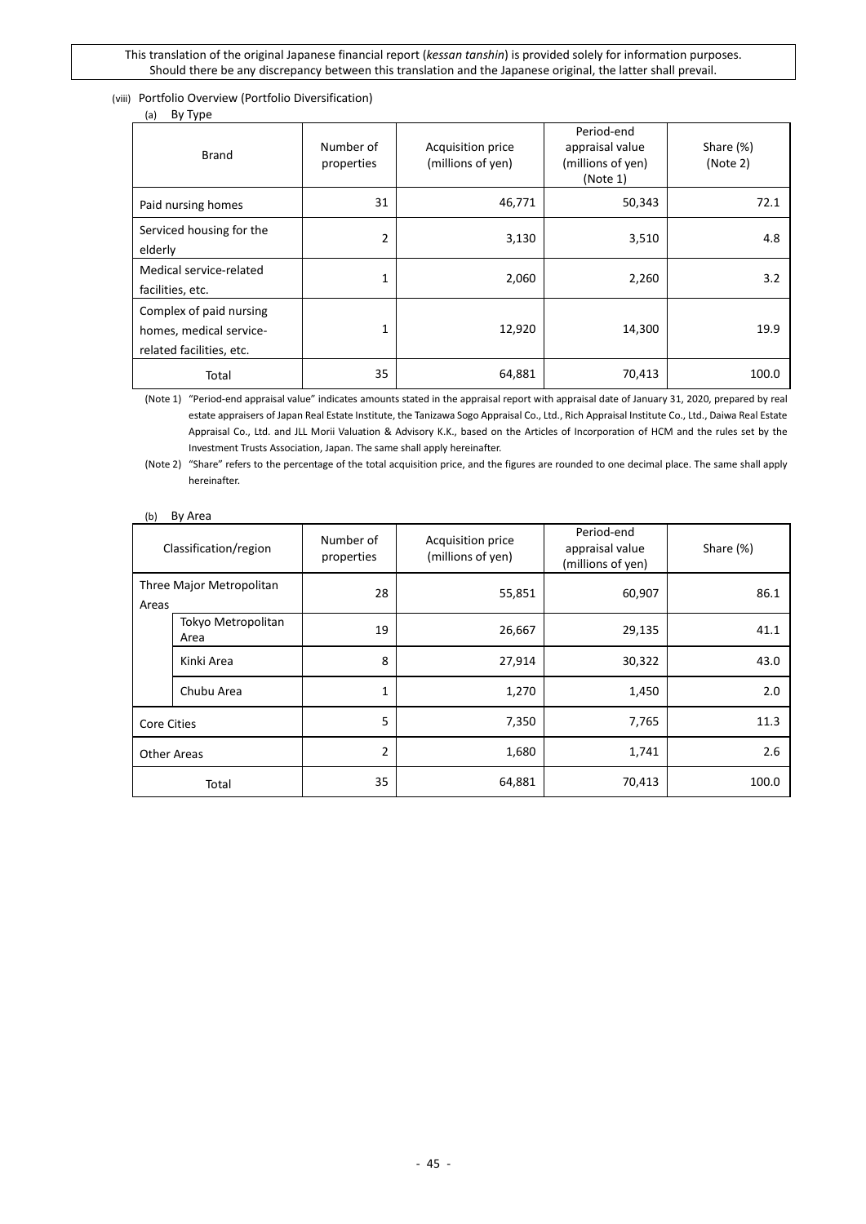### (viii) Portfolio Overview (Portfolio Diversification)

(a) By Type

| $\mathbf{u}_l$<br>$-$ , $\gamma$ $\sim$                                        |                         |                                        |                                                                |                       |
|--------------------------------------------------------------------------------|-------------------------|----------------------------------------|----------------------------------------------------------------|-----------------------|
| <b>Brand</b>                                                                   | Number of<br>properties | Acquisition price<br>(millions of yen) | Period-end<br>appraisal value<br>(millions of yen)<br>(Note 1) | Share (%)<br>(Note 2) |
| Paid nursing homes                                                             | 31                      | 46,771                                 | 50,343                                                         | 72.1                  |
| Serviced housing for the<br>elderly                                            | 2                       | 3,130                                  | 3,510                                                          | 4.8                   |
| Medical service-related<br>facilities, etc.                                    | 1                       | 2,060                                  | 2,260                                                          | 3.2                   |
| Complex of paid nursing<br>homes, medical service-<br>related facilities, etc. | 1                       | 12,920                                 | 14,300                                                         | 19.9                  |
| Total                                                                          | 35                      | 64,881                                 | 70,413                                                         | 100.0                 |

(Note 1) "Period-end appraisal value" indicates amounts stated in the appraisal report with appraisal date of January 31, 2020, prepared by real estate appraisers of Japan Real Estate Institute, the Tanizawa Sogo Appraisal Co., Ltd., Rich Appraisal Institute Co., Ltd., Daiwa Real Estate Appraisal Co., Ltd. and JLL Morii Valuation & Advisory K.K., based on the Articles of Incorporation of HCM and the rules set by the Investment Trusts Association, Japan. The same shall apply hereinafter.

(Note 2) "Share" refers to the percentage of the total acquisition price, and the figures are rounded to one decimal place. The same shall apply hereinafter.

### (b) By Area

| Classification/region             |                            | Number of<br>Acquisition price<br>(millions of yen)<br>properties |        | Period-end<br>appraisal value<br>(millions of yen) | Share (%) |
|-----------------------------------|----------------------------|-------------------------------------------------------------------|--------|----------------------------------------------------|-----------|
| Three Major Metropolitan<br>Areas |                            | 28                                                                | 55,851 | 60,907                                             | 86.1      |
|                                   | Tokyo Metropolitan<br>Area | 19                                                                | 26,667 | 29,135                                             | 41.1      |
|                                   | Kinki Area                 | 8                                                                 | 27,914 | 30,322                                             | 43.0      |
|                                   | Chubu Area                 | 1                                                                 | 1,270  | 1,450                                              | 2.0       |
| Core Cities                       |                            | 5                                                                 | 7,350  | 7,765                                              | 11.3      |
| Other Areas                       |                            | $\overline{2}$                                                    | 1,680  | 1,741                                              | 2.6       |
|                                   | Total                      | 35                                                                | 64,881 | 70,413                                             | 100.0     |